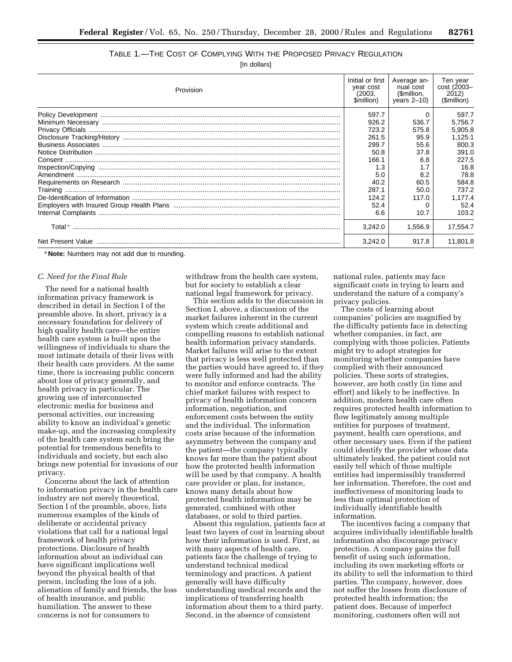# TABLE 1.—THE COST OF COMPLYING WITH THE PROPOSED PRIVACY REGULATION

[In dollars]

| Provision | Initial or first<br>year cost<br>(2003,<br>\$million) | Average an-<br>nual cost<br>(\$million,<br>vears $2-10$ ) | Ten year<br>cost (2003-<br>2012)<br>(\$million) |
|-----------|-------------------------------------------------------|-----------------------------------------------------------|-------------------------------------------------|
|           | 597.7                                                 | 0                                                         | 597.7                                           |
|           | 926.2                                                 | 536.7                                                     | 5.756.7                                         |
|           | 723.2                                                 | 575.8                                                     | 5.905.8                                         |
|           | 261.5                                                 | 95.9                                                      | 1,125.1                                         |
|           | 299.7                                                 | 55.6                                                      | 800.3                                           |
|           | 50.8                                                  | 37.8                                                      | 391.0                                           |
|           | 166.1                                                 | 6.8                                                       | 227.5                                           |
|           | 1.3                                                   | 1.7                                                       | 16.8                                            |
|           | 5.0                                                   | 8.2                                                       | 78.8                                            |
|           | 40.2                                                  | 60.5                                                      | 584.8                                           |
|           | 287.1                                                 | 50.0                                                      | 737.2                                           |
|           | 124.2                                                 | 117.0                                                     | 1.177.4                                         |
|           | 52.4                                                  |                                                           | 52.4                                            |
|           | 6.6                                                   | 10.7                                                      | 103.2                                           |
| Total *   | 3.242.0                                               | 1.556.9                                                   | 17.554.7                                        |
|           | 3,242.0                                               | 917.8                                                     | 11.801.8                                        |

\* **Note:** Numbers may not add due to rounding.

#### *C. Need for the Final Rule*

The need for a national health information privacy framework is described in detail in Section I of the preamble above. In short, privacy is a necessary foundation for delivery of high quality health care—the entire health care system is built upon the willingness of individuals to share the most intimate details of their lives with their health care providers. At the same time, there is increasing public concern about loss of privacy generally, and health privacy in particular. The growing use of interconnected electronic media for business and personal activities, our increasing ability to know an individual's genetic make-up, and the increasing complexity of the health care system each bring the potential for tremendous benefits to individuals and society, but each also brings new potential for invasions of our privacy.

Concerns about the lack of attention to information privacy in the health care industry are not merely theoretical. Section I of the preamble, above, lists numerous examples of the kinds of deliberate or accidental privacy violations that call for a national legal framework of health privacy protections. Disclosure of health information about an individual can have significant implications well beyond the physical health of that person, including the loss of a job, alienation of family and friends, the loss of health insurance, and public humiliation. The answer to these concerns is not for consumers to

withdraw from the health care system, but for society to establish a clear national legal framework for privacy.

This section adds to the discussion in Section I, above, a discussion of the market failures inherent in the current system which create additional and compelling reasons to establish national health information privacy standards. Market failures will arise to the extent that privacy is less well protected than the parties would have agreed to, if they were fully informed and had the ability to monitor and enforce contracts. The chief market failures with respect to privacy of health information concern information, negotiation, and enforcement costs between the entity and the individual. The information costs arise because of the information asymmetry between the company and the patient—the company typically knows far more than the patient about how the protected health information will be used by that company. A health care provider or plan, for instance, knows many details about how protected health information may be generated, combined with other databases, or sold to third parties.

Absent this regulation, patients face at least two layers of cost in learning about how their information is used. First, as with many aspects of health care, patients face the challenge of trying to understand technical medical terminology and practices. A patient generally will have difficulty understanding medical records and the implications of transferring health information about them to a third party. Second, in the absence of consistent

national rules, patients may face significant costs in trying to learn and understand the nature of a company's privacy policies.

The costs of learning about companies' policies are magnified by the difficulty patients face in detecting whether companies, in fact, are complying with those policies. Patients might try to adopt strategies for monitoring whether companies have complied with their announced policies. These sorts of strategies, however, are both costly (in time and effort) and likely to be ineffective. In addition, modern health care often requires protected health information to flow legitimately among multiple entities for purposes of treatment, payment, health care operations, and other necessary uses. Even if the patient could identify the provider whose data ultimately leaked, the patient could not easily tell which of those multiple entities had impermissibly transferred her information. Therefore, the cost and ineffectiveness of monitoring leads to less than optimal protection of individually identifiable health information.

The incentives facing a company that acquires individually identifiable health information also discourage privacy protection. A company gains the full benefit of using such information, including its own marketing efforts or its ability to sell the information to third parties. The company, however, does not suffer the losses from disclosure of protected health information; the patient does. Because of imperfect monitoring, customers often will not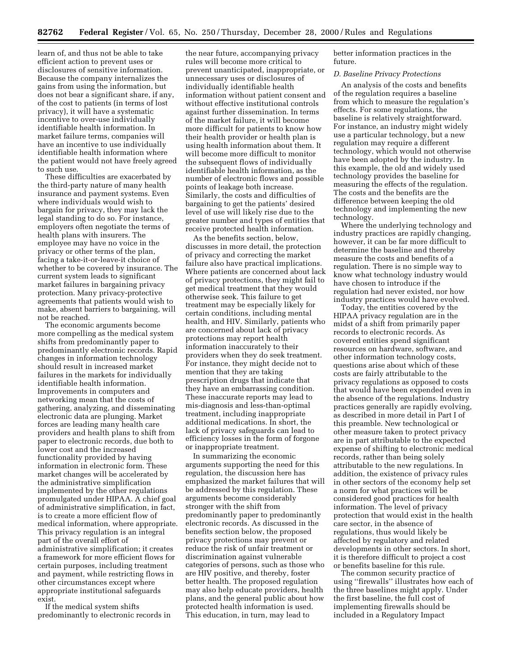learn of, and thus not be able to take efficient action to prevent uses or disclosures of sensitive information. Because the company internalizes the gains from using the information, but does not bear a significant share, if any, of the cost to patients (in terms of lost privacy), it will have a systematic incentive to over-use individually identifiable health information. In market failure terms, companies will have an incentive to use individually identifiable health information where the patient would not have freely agreed to such use.

These difficulties are exacerbated by the third-party nature of many health insurance and payment systems. Even where individuals would wish to bargain for privacy, they may lack the legal standing to do so. For instance, employers often negotiate the terms of health plans with insurers. The employee may have no voice in the privacy or other terms of the plan, facing a take-it-or-leave-it choice of whether to be covered by insurance. The current system leads to significant market failures in bargaining privacy protection. Many privacy-protective agreements that patients would wish to make, absent barriers to bargaining, will not be reached.

The economic arguments become more compelling as the medical system shifts from predominantly paper to predominantly electronic records. Rapid changes in information technology should result in increased market failures in the markets for individually identifiable health information. Improvements in computers and networking mean that the costs of gathering, analyzing, and disseminating electronic data are plunging. Market forces are leading many health care providers and health plans to shift from paper to electronic records, due both to lower cost and the increased functionality provided by having information in electronic form. These market changes will be accelerated by the administrative simplification implemented by the other regulations promulgated under HIPAA. A chief goal of administrative simplification, in fact, is to create a more efficient flow of medical information, where appropriate. This privacy regulation is an integral part of the overall effort of administrative simplification; it creates a framework for more efficient flows for certain purposes, including treatment and payment, while restricting flows in other circumstances except where appropriate institutional safeguards exist.

If the medical system shifts predominantly to electronic records in

the near future, accompanying privacy rules will become more critical to prevent unanticipated, inappropriate, or unnecessary uses or disclosures of individually identifiable health information without patient consent and without effective institutional controls against further dissemination. In terms of the market failure, it will become more difficult for patients to know how their health provider or health plan is using health information about them. It will become more difficult to monitor the subsequent flows of individually identifiable health information, as the number of electronic flows and possible points of leakage both increase. Similarly, the costs and difficulties of bargaining to get the patients' desired level of use will likely rise due to the greater number and types of entities that receive protected health information.

As the benefits section, below, discusses in more detail, the protection of privacy and correcting the market failure also have practical implications. Where patients are concerned about lack of privacy protections, they might fail to get medical treatment that they would otherwise seek. This failure to get treatment may be especially likely for certain conditions, including mental health, and HIV. Similarly, patients who are concerned about lack of privacy protections may report health information inaccurately to their providers when they do seek treatment. For instance, they might decide not to mention that they are taking prescription drugs that indicate that they have an embarrassing condition. These inaccurate reports may lead to mis-diagnosis and less-than-optimal treatment, including inappropriate additional medications. In short, the lack of privacy safeguards can lead to efficiency losses in the form of forgone or inappropriate treatment.

In summarizing the economic arguments supporting the need for this regulation, the discussion here has emphasized the market failures that will be addressed by this regulation. These arguments become considerably stronger with the shift from predominantly paper to predominantly electronic records. As discussed in the benefits section below, the proposed privacy protections may prevent or reduce the risk of unfair treatment or discrimination against vulnerable categories of persons, such as those who are HIV positive, and thereby, foster better health. The proposed regulation may also help educate providers, health plans, and the general public about how protected health information is used. This education, in turn, may lead to

better information practices in the future.

#### *D. Baseline Privacy Protections*

An analysis of the costs and benefits of the regulation requires a baseline from which to measure the regulation's effects. For some regulations, the baseline is relatively straightforward. For instance, an industry might widely use a particular technology, but a new regulation may require a different technology, which would not otherwise have been adopted by the industry. In this example, the old and widely used technology provides the baseline for measuring the effects of the regulation. The costs and the benefits are the difference between keeping the old technology and implementing the new technology.

Where the underlying technology and industry practices are rapidly changing, however, it can be far more difficult to determine the baseline and thereby measure the costs and benefits of a regulation. There is no simple way to know what technology industry would have chosen to introduce if the regulation had never existed, nor how industry practices would have evolved.

Today, the entities covered by the HIPAA privacy regulation are in the midst of a shift from primarily paper records to electronic records. As covered entities spend significant resources on hardware, software, and other information technology costs, questions arise about which of these costs are fairly attributable to the privacy regulations as opposed to costs that would have been expended even in the absence of the regulations. Industry practices generally are rapidly evolving, as described in more detail in Part I of this preamble. New technological or other measure taken to protect privacy are in part attributable to the expected expense of shifting to electronic medical records, rather than being solely attributable to the new regulations. In addition, the existence of privacy rules in other sectors of the economy help set a norm for what practices will be considered good practices for health information. The level of privacy protection that would exist in the health care sector, in the absence of regulations, thus would likely be affected by regulatory and related developments in other sectors. In short, it is therefore difficult to project a cost or benefits baseline for this rule.

The common security practice of using ''firewalls'' illustrates how each of the three baselines might apply. Under the first baseline, the full cost of implementing firewalls should be included in a Regulatory Impact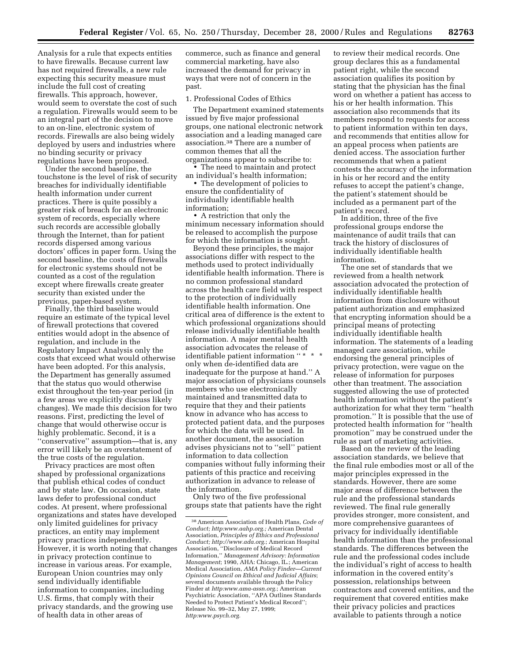Analysis for a rule that expects entities to have firewalls. Because current law has not required firewalls, a new rule expecting this security measure must include the full cost of creating firewalls. This approach, however, would seem to overstate the cost of such a regulation. Firewalls would seem to be an integral part of the decision to move to an on-line, electronic system of records. Firewalls are also being widely deployed by users and industries where no binding security or privacy regulations have been proposed.

Under the second baseline, the touchstone is the level of risk of security breaches for individually identifiable health information under current practices. There is quite possibly a greater risk of breach for an electronic system of records, especially where such records are accessible globally through the Internet, than for patient records dispersed among various doctors' offices in paper form. Using the second baseline, the costs of firewalls for electronic systems should not be counted as a cost of the regulation except where firewalls create greater security than existed under the previous, paper-based system.

Finally, the third baseline would require an estimate of the typical level of firewall protections that covered entities would adopt in the absence of regulation, and include in the Regulatory Impact Analysis only the costs that exceed what would otherwise have been adopted. For this analysis, the Department has generally assumed that the status quo would otherwise exist throughout the ten-year period (in a few areas we explicitly discuss likely changes). We made this decision for two reasons. First, predicting the level of change that would otherwise occur is highly problematic. Second, it is a ''conservative'' assumption—that is, any error will likely be an overstatement of the true costs of the regulation.

Privacy practices are most often shaped by professional organizations that publish ethical codes of conduct and by state law. On occasion, state laws defer to professional conduct codes. At present, where professional organizations and states have developed only limited guidelines for privacy practices, an entity may implement privacy practices independently. However, it is worth noting that changes in privacy protection continue to increase in various areas. For example, European Union countries may only send individually identifiable information to companies, including U.S. firms, that comply with their privacy standards, and the growing use of health data in other areas of

commerce, such as finance and general commercial marketing, have also increased the demand for privacy in ways that were not of concern in the past.

#### 1. Professional Codes of Ethics

The Department examined statements issued by five major professional groups, one national electronic network association and a leading managed care association.38 There are a number of common themes that all the organizations appear to subscribe to:

• The need to maintain and protect an individual's health information;

• The development of policies to ensure the confidentiality of individually identifiable health information;

• A restriction that only the minimum necessary information should be released to accomplish the purpose for which the information is sought.

Beyond these principles, the major associations differ with respect to the methods used to protect individually identifiable health information. There is no common professional standard across the health care field with respect to the protection of individually identifiable health information. One critical area of difference is the extent to which professional organizations should release individually identifiable health information. A major mental health association advocates the release of identifiable patient information " \* \* only when de-identified data are inadequate for the purpose at hand.'' A major association of physicians counsels members who use electronically maintained and transmitted data to require that they and their patients know in advance who has access to protected patient data, and the purposes for which the data will be used. In another document, the association advises physicians not to ''sell'' patient information to data collection companies without fully informing their patients of this practice and receiving authorization in advance to release of the information.

Only two of the five professional groups state that patients have the right to review their medical records. One group declares this as a fundamental patient right, while the second association qualifies its position by stating that the physician has the final word on whether a patient has access to his or her health information. This association also recommends that its members respond to requests for access to patient information within ten days, and recommends that entities allow for an appeal process when patients are denied access. The association further recommends that when a patient contests the accuracy of the information in his or her record and the entity refuses to accept the patient's change, the patient's statement should be included as a permanent part of the patient's record.

In addition, three of the five professional groups endorse the maintenance of audit trails that can track the history of disclosures of individually identifiable health information.

The one set of standards that we reviewed from a health network association advocated the protection of individually identifiable health information from disclosure without patient authorization and emphasized that encrypting information should be a principal means of protecting individually identifiable health information. The statements of a leading managed care association, while endorsing the general principles of privacy protection, were vague on the release of information for purposes other than treatment. The association suggested allowing the use of protected health information without the patient's authorization for what they term ''health promotion.'' It is possible that the use of protected health information for ''health promotion'' may be construed under the rule as part of marketing activities.

Based on the review of the leading association standards, we believe that the final rule embodies most or all of the major principles expressed in the standards. However, there are some major areas of difference between the rule and the professional standards reviewed. The final rule generally provides stronger, more consistent, and more comprehensive guarantees of privacy for individually identifiable health information than the professional standards. The differences between the rule and the professional codes include the individual's right of access to health information in the covered entity's possession, relationships between contractors and covered entities, and the requirement that covered entities make their privacy policies and practices available to patients through a notice

<sup>38</sup>American Association of Health Plans, *Code of Conduct; http:www.aahp.org.;* American Dental Association, *Principles of Ethics and Professional Conduct; http://www.ada.org.*; American Hospital Association, ''Disclosure of Medical Record Information,'' *Management Advisory: Information Management*; 1990, AHA: Chicago, IL.; American Medical Association, *AMA Policy Finder—Current Opinions Council on Ethical and Judicial Affairs*; several documents available through the Policy Finder at *http:www.ama-assn.org.*; American Psychiatric Association, ''APA Outlines Standards Needed to Protect Patient's Medical Record''; Release No. 99–32, May 27, 1999; *http:www.psych.org.*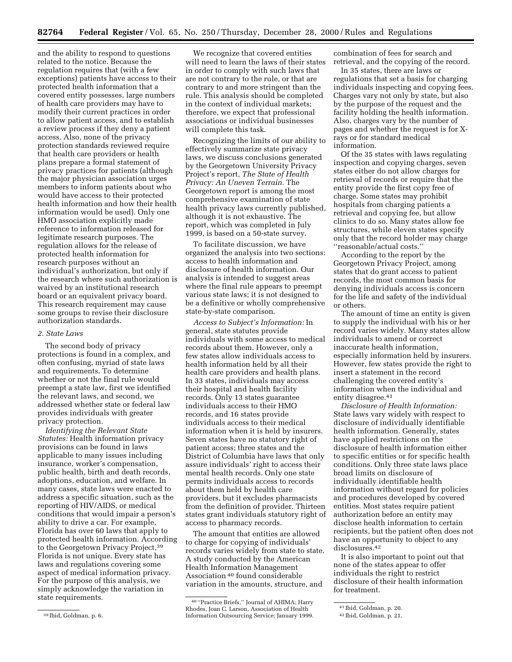and the ability to respond to questions related to the notice. Because the regulation requires that (with a few exceptions) patients have access to their protected health information that a covered entity possesses, large numbers of health care providers may have to modify their current practices in order to allow patient access, and to establish a review process if they deny a patient access. Also, none of the privacy protection standards reviewed require that health care providers or health plans prepare a formal statement of privacy practices for patients (although the major physician association urges members to inform patients about who would have access to their protected health information and how their health information would be used). Only one HMO association explicitly made reference to information released for legitimate research purposes. The regulation allows for the release of protected health information for research purposes without an individual's authorization, but only if the research where such authorization is waived by an institutional research board or an equivalent privacy board. This research requirement may cause some groups to revise their disclosure authorization standards.

#### *2. State Laws*

The second body of privacy protections is found in a complex, and often confusing, myriad of state laws and requirements. To determine whether or not the final rule would preempt a state law, first we identified the relevant laws, and second, we addressed whether state or federal law provides individuals with greater privacy protection.

*Identifying the Relevant State Statutes:* Health information privacy provisions can be found in laws applicable to many issues including insurance, worker's compensation, public health, birth and death records, adoptions, education, and welfare. In many cases, state laws were enacted to address a specific situation, such as the reporting of HIV/AIDS, or medical conditions that would impair a person's ability to drive a car. For example, Florida has over 60 laws that apply to protected health information. According to the Georgetown Privacy Project,<sup>39</sup> Florida is not unique. Every state has laws and regulations covering some aspect of medical information privacy. For the purpose of this analysis, we simply acknowledge the variation in state requirements.

We recognize that covered entities will need to learn the laws of their states in order to comply with such laws that are not contrary to the rule, or that are contrary to and more stringent than the rule. This analysis should be completed in the context of individual markets; therefore, we expect that professional associations or individual businesses will complete this task.

Recognizing the limits of our ability to effectively summarize state privacy laws, we discuss conclusions generated by the Georgetown University Privacy Project's report, *The State of Health Privacy: An Uneven Terrain.* The Georgetown report is among the most comprehensive examination of state health privacy laws currently published, although it is not exhaustive. The report, which was completed in July 1999, is based on a 50-state survey.

To facilitate discussion, we have organized the analysis into two sections: access to health information and disclosure of health information. Our analysis is intended to suggest areas where the final rule appears to preempt various state laws; it is not designed to be a definitive or wholly comprehensive state-by-state comparison.

*Access to Subject's Information:* In general, state statutes provide individuals with some access to medical records about them. However, only a few states allow individuals access to health information held by all their health care providers and health plans. In 33 states, individuals may access their hospital and health facility records. Only 13 states guarantee individuals access to their HMO records, and 16 states provide individuals access to their medical information when it is held by insurers. Seven states have no statutory right of patient access; three states and the District of Columbia have laws that only assure individuals' right to access their mental health records. Only one state permits individuals access to records about them held by health care providers, but it excludes pharmacists from the definition of provider. Thirteen states grant individuals statutory right of access to pharmacy records.

The amount that entities are allowed to charge for copying of individuals' records varies widely from state to state. A study conducted by the American Health Information Management Association 40 found considerable variation in the amounts, structure, and

combination of fees for search and retrieval, and the copying of the record.

In 35 states, there are laws or regulations that set a basis for charging individuals inspecting and copying fees. Charges vary not only by state, but also by the purpose of the request and the facility holding the health information. Also, charges vary by the number of pages and whether the request is for Xrays or for standard medical information.

Of the 35 states with laws regulating inspection and copying charges, seven states either do not allow charges for retrieval of records or require that the entity provide the first copy free of charge. Some states may prohibit hospitals from charging patients a retrieval and copying fee, but allow clinics to do so. Many states allow fee structures, while eleven states specify only that the record holder may charge ''reasonable/actual costs.''

According to the report by the Georgetown Privacy Project, among states that do grant access to patient records, the most common basis for denying individuals access is concern for the life and safety of the individual or others.

The amount of time an entity is given to supply the individual with his or her record varies widely. Many states allow individuals to amend or correct inaccurate health information, especially information held by insurers. However, few states provide the right to insert a statement in the record challenging the covered entity's information when the individual and entity disagree.<sup>41</sup>

*Disclosure of Health Information:* State laws vary widely with respect to disclosure of individually identifiable health information. Generally, states have applied restrictions on the disclosure of health information either to specific entities or for specific health conditions. Only three state laws place broad limits on disclosure of individually identifiable health information without regard for policies and procedures developed by covered entities. Most states require patient authorization before an entity may disclose health information to certain recipients, but the patient often does not have an opportunity to object to any disclosures.42

It is also important to point out that none of the states appear to offer individuals the right to restrict disclosure of their health information for treatment.

<sup>39</sup> Ibid, Goldman, p. 6.

<sup>40</sup> ''Practice Briefs,'' Journal of AHIMA; Harry Rhodes, Joan C. Larson, Association of Health Information Outsourcing Service; January 1999.

<sup>41</sup> Ibid, Goldman, p. 20.

<sup>42</sup> Ibid, Goldman, p. 21.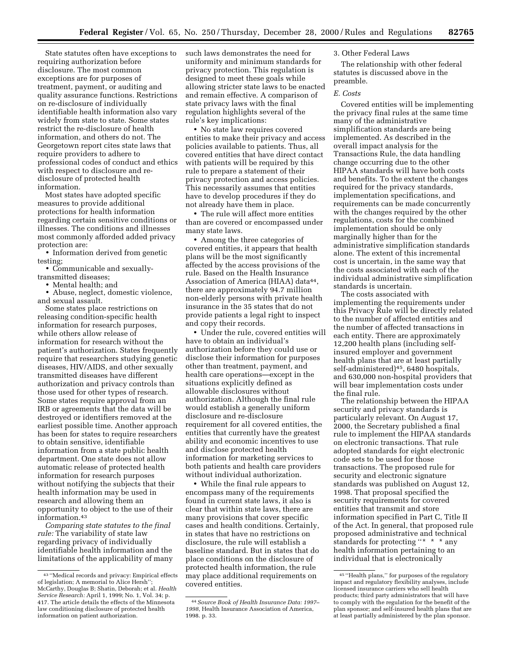State statutes often have exceptions to requiring authorization before disclosure. The most common exceptions are for purposes of treatment, payment, or auditing and quality assurance functions. Restrictions on re-disclosure of individually identifiable health information also vary widely from state to state. Some states restrict the re-disclosure of health information, and others do not. The Georgetown report cites state laws that require providers to adhere to professional codes of conduct and ethics with respect to disclosure and redisclosure of protected health information.

Most states have adopted specific measures to provide additional protections for health information regarding certain sensitive conditions or illnesses. The conditions and illnesses most commonly afforded added privacy protection are:

• Information derived from genetic testing;

• Communicable and sexuallytransmitted diseases;

• Mental health; and

• Abuse, neglect, domestic violence, and sexual assault.

Some states place restrictions on releasing condition-specific health information for research purposes, while others allow release of information for research without the patient's authorization. States frequently require that researchers studying genetic diseases, HIV/AIDS, and other sexually transmitted diseases have different authorization and privacy controls than those used for other types of research. Some states require approval from an IRB or agreements that the data will be destroyed or identifiers removed at the earliest possible time. Another approach has been for states to require researchers to obtain sensitive, identifiable information from a state public health department. One state does not allow automatic release of protected health information for research purposes without notifying the subjects that their health information may be used in research and allowing them an opportunity to object to the use of their information.43

*Comparing state statutes to the final rule:* The variability of state law regarding privacy of individually identifiable health information and the limitations of the applicability of many such laws demonstrates the need for uniformity and minimum standards for privacy protection. This regulation is designed to meet these goals while allowing stricter state laws to be enacted and remain effective. A comparison of state privacy laws with the final regulation highlights several of the rule's key implications:

• No state law requires covered entities to make their privacy and access policies available to patients. Thus, all covered entities that have direct contact with patients will be required by this rule to prepare a statement of their privacy protection and access policies. This necessarily assumes that entities have to develop procedures if they do not already have them in place.

• The rule will affect more entities than are covered or encompassed under many state laws.

• Among the three categories of covered entities, it appears that health plans will be the most significantly affected by the access provisions of the rule. Based on the Health Insurance Association of America (HIAA) data<sup>44</sup>, there are approximately 94.7 million non-elderly persons with private health insurance in the 35 states that do not provide patients a legal right to inspect and copy their records.

• Under the rule, covered entities will have to obtain an individual's authorization before they could use or disclose their information for purposes other than treatment, payment, and health care operations—except in the situations explicitly defined as allowable disclosures without authorization. Although the final rule would establish a generally uniform disclosure and re-disclosure requirement for all covered entities, the entities that currently have the greatest ability and economic incentives to use and disclose protected health information for marketing services to both patients and health care providers without individual authorization.

• While the final rule appears to encompass many of the requirements found in current state laws, it also is clear that within state laws, there are many provisions that cover specific cases and health conditions. Certainly, in states that have no restrictions on disclosure, the rule will establish a baseline standard. But in states that do place conditions on the disclosure of protected health information, the rule may place additional requirements on covered entities.

# 3. Other Federal Laws

The relationship with other federal statutes is discussed above in the preamble.

#### *E. Costs*

Covered entities will be implementing the privacy final rules at the same time many of the administrative simplification standards are being implemented. As described in the overall impact analysis for the Transactions Rule, the data handling change occurring due to the other HIPAA standards will have both costs and benefits. To the extent the changes required for the privacy standards, implementation specifications, and requirements can be made concurrently with the changes required by the other regulations, costs for the combined implementation should be only marginally higher than for the administrative simplification standards alone. The extent of this incremental cost is uncertain, in the same way that the costs associated with each of the individual administrative simplification standards is uncertain.

The costs associated with implementing the requirements under this Privacy Rule will be directly related to the number of affected entities and the number of affected transactions in each entity. There are approximately 12,200 health plans (including selfinsured employer and government health plans that are at least partially self-administered)45, 6480 hospitals, and 630,000 non-hospital providers that will bear implementation costs under the final rule.

The relationship between the HIPAA security and privacy standards is particularly relevant. On August 17, 2000, the Secretary published a final rule to implement the HIPAA standards on electronic transactions. That rule adopted standards for eight electronic code sets to be used for those transactions. The proposed rule for security and electronic signature standards was published on August 12, 1998. That proposal specified the security requirements for covered entities that transmit and store information specified in Part C, Title II of the Act. In general, that proposed rule proposed administrative and technical standards for protecting ''\* \* \* any health information pertaining to an individual that is electronically

<sup>43</sup> ''Medical records and privacy: Empirical effects of legislation; A memorial to Alice Hersh''; McCarthy, Douglas B; Shatin, Deborah; et al. *Health Service Research:* April 1, 1999; No. 1, Vol. 34; p. 417. The article details the effects of the Minnesota law conditioning disclosure of protected health information on patient authorization.

<sup>44</sup>*Source Book of Health Insurance Data: 1997– 1998*, Health Insurance Association of America, 1998. p. 33.

<sup>45</sup> ''Health plans,'' for purposes of the regulatory impact and regulatory flexibility analyses, include licensed insurance carriers who sell health products; third party administrators that will have to comply with the regulation for the benefit of the plan sponsor; and self-insured health plans that are at least partially administered by the plan sponsor.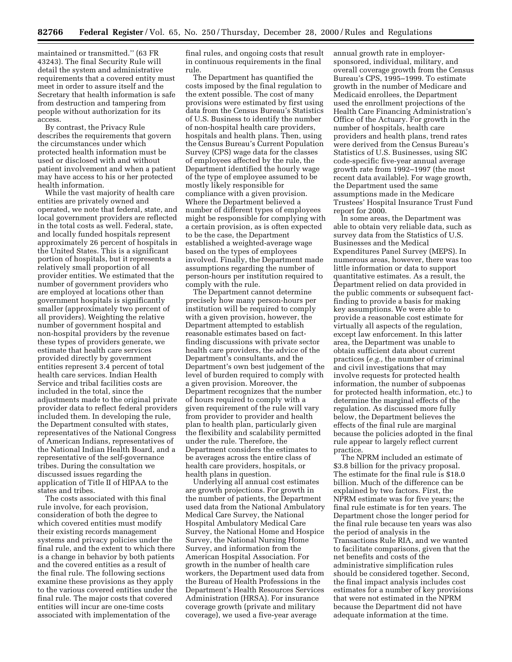maintained or transmitted.'' (63 FR 43243). The final Security Rule will detail the system and administrative requirements that a covered entity must meet in order to assure itself and the Secretary that health information is safe from destruction and tampering from people without authorization for its access.

By contrast, the Privacy Rule describes the requirements that govern the circumstances under which protected health information must be used or disclosed with and without patient involvement and when a patient may have access to his or her protected health information.

While the vast majority of health care entities are privately owned and operated, we note that federal, state, and local government providers are reflected in the total costs as well. Federal, state, and locally funded hospitals represent approximately 26 percent of hospitals in the United States. This is a significant portion of hospitals, but it represents a relatively small proportion of all provider entities. We estimated that the number of government providers who are employed at locations other than government hospitals is significantly smaller (approximately two percent of all providers). Weighting the relative number of government hospital and non-hospital providers by the revenue these types of providers generate, we estimate that health care services provided directly by government entities represent 3.4 percent of total health care services. Indian Health Service and tribal facilities costs are included in the total, since the adjustments made to the original private provider data to reflect federal providers included them. In developing the rule, the Department consulted with states, representatives of the National Congress of American Indians, representatives of the National Indian Health Board, and a representative of the self-governance tribes. During the consultation we discussed issues regarding the application of Title II of HIPAA to the states and tribes.

The costs associated with this final rule involve, for each provision, consideration of both the degree to which covered entities must modify their existing records management systems and privacy policies under the final rule, and the extent to which there is a change in behavior by both patients and the covered entities as a result of the final rule. The following sections examine these provisions as they apply to the various covered entities under the final rule. The major costs that covered entities will incur are one-time costs associated with implementation of the

final rules, and ongoing costs that result in continuous requirements in the final rule.

The Department has quantified the costs imposed by the final regulation to the extent possible. The cost of many provisions were estimated by first using data from the Census Bureau's Statistics of U.S. Business to identify the number of non-hospital health care providers, hospitals and health plans. Then, using the Census Bureau's Current Population Survey (CPS) wage data for the classes of employees affected by the rule, the Department identified the hourly wage of the type of employee assumed to be mostly likely responsible for compliance with a given provision. Where the Department believed a number of different types of employees might be responsible for complying with a certain provision, as is often expected to be the case, the Department established a weighted-average wage based on the types of employees involved. Finally, the Department made assumptions regarding the number of person-hours per institution required to comply with the rule.

The Department cannot determine precisely how many person-hours per institution will be required to comply with a given provision, however, the Department attempted to establish reasonable estimates based on factfinding discussions with private sector health care providers, the advice of the Department's consultants, and the Department's own best judgement of the level of burden required to comply with a given provision. Moreover, the Department recognizes that the number of hours required to comply with a given requirement of the rule will vary from provider to provider and health plan to health plan, particularly given the flexibility and scalability permitted under the rule. Therefore, the Department considers the estimates to be averages across the entire class of health care providers, hospitals, or health plans in question.

Underlying all annual cost estimates are growth projections. For growth in the number of patients, the Department used data from the National Ambulatory Medical Care Survey, the National Hospital Ambulatory Medical Care Survey, the National Home and Hospice Survey, the National Nursing Home Survey, and information from the American Hospital Association. For growth in the number of health care workers, the Department used data from the Bureau of Health Professions in the Department's Health Resources Services Administration (HRSA). For insurance coverage growth (private and military coverage), we used a five-year average

annual growth rate in employersponsored, individual, military, and overall coverage growth from the Census Bureau's CPS, 1995–1999. To estimate growth in the number of Medicare and Medicaid enrollees, the Department used the enrollment projections of the Health Care Financing Administration's Office of the Actuary. For growth in the number of hospitals, health care providers and health plans, trend rates were derived from the Census Bureau's Statistics of U.S. Businesses, using SIC code-specific five-year annual average growth rate from 1992–1997 (the most recent data available). For wage growth, the Department used the same assumptions made in the Medicare Trustees' Hospital Insurance Trust Fund report for 2000.

In some areas, the Department was able to obtain very reliable data, such as survey data from the Statistics of U.S. Businesses and the Medical Expenditures Panel Survey (MEPS). In numerous areas, however, there was too little information or data to support quantitative estimates. As a result, the Department relied on data provided in the public comments or subsequent factfinding to provide a basis for making key assumptions. We were able to provide a reasonable cost estimate for virtually all aspects of the regulation, except law enforcement. In this latter area, the Department was unable to obtain sufficient data about current practices (*e.g.,* the number of criminal and civil investigations that may involve requests for protected health information, the number of subpoenas for protected health information, etc.) to determine the marginal effects of the regulation. As discussed more fully below, the Department believes the effects of the final rule are marginal because the policies adopted in the final rule appear to largely reflect current practice.

The NPRM included an estimate of \$3.8 billion for the privacy proposal. The estimate for the final rule is \$18.0 billion. Much of the difference can be explained by two factors. First, the NPRM estimate was for five years; the final rule estimate is for ten years. The Department chose the longer period for the final rule because ten years was also the period of analysis in the Transactions Rule RIA, and we wanted to facilitate comparisons, given that the net benefits and costs of the administrative simplification rules should be considered together. Second, the final impact analysis includes cost estimates for a number of key provisions that were not estimated in the NPRM because the Department did not have adequate information at the time.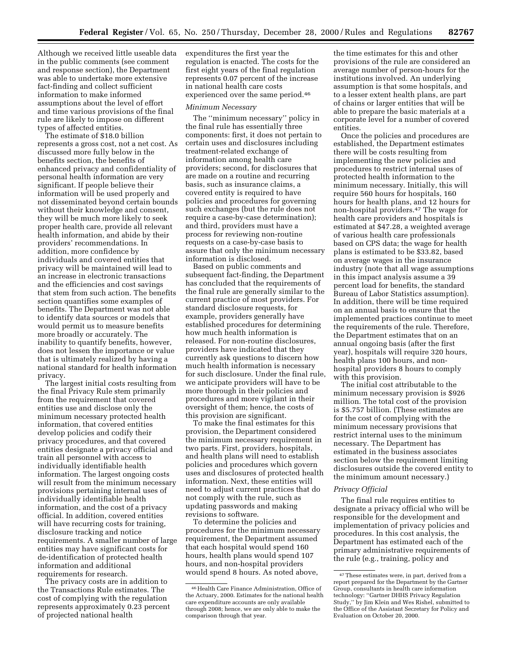Although we received little useable data in the public comments (see comment and response section), the Department was able to undertake more extensive fact-finding and collect sufficient information to make informed assumptions about the level of effort and time various provisions of the final rule are likely to impose on different types of affected entities.

The estimate of \$18.0 billion represents a gross cost, not a net cost. As discussed more fully below in the benefits section, the benefits of enhanced privacy and confidentiality of personal health information are very significant. If people believe their information will be used properly and not disseminated beyond certain bounds without their knowledge and consent, they will be much more likely to seek proper health care, provide all relevant health information, and abide by their providers' recommendations. In addition, more confidence by individuals and covered entities that privacy will be maintained will lead to an increase in electronic transactions and the efficiencies and cost savings that stem from such action. The benefits section quantifies some examples of benefits. The Department was not able to identify data sources or models that would permit us to measure benefits more broadly or accurately. The inability to quantify benefits, however, does not lessen the importance or value that is ultimately realized by having a national standard for health information privacy.

The largest initial costs resulting from the final Privacy Rule stem primarily from the requirement that covered entities use and disclose only the minimum necessary protected health information, that covered entities develop policies and codify their privacy procedures, and that covered entities designate a privacy official and train all personnel with access to individually identifiable health information. The largest ongoing costs will result from the minimum necessary provisions pertaining internal uses of individually identifiable health information, and the cost of a privacy official. In addition, covered entities will have recurring costs for training, disclosure tracking and notice requirements. A smaller number of large entities may have significant costs for de-identification of protected health information and additional requirements for research.

The privacy costs are in addition to the Transactions Rule estimates. The cost of complying with the regulation represents approximately 0.23 percent of projected national health

expenditures the first year the regulation is enacted. The costs for the first eight years of the final regulation represents 0.07 percent of the increase in national health care costs experienced over the same period.46

#### *Minimum Necessary*

The ''minimum necessary'' policy in the final rule has essentially three components: first, it does not pertain to certain uses and disclosures including treatment-related exchange of information among health care providers; second, for disclosures that are made on a routine and recurring basis, such as insurance claims, a covered entity is required to have policies and procedures for governing such exchanges (but the rule does not require a case-by-case determination); and third, providers must have a process for reviewing non-routine requests on a case-by-case basis to assure that only the minimum necessary information is disclosed.

Based on public comments and subsequent fact-finding, the Department has concluded that the requirements of the final rule are generally similar to the current practice of most providers. For standard disclosure requests, for example, providers generally have established procedures for determining how much health information is released. For non-routine disclosures, providers have indicated that they currently ask questions to discern how much health information is necessary for such disclosure. Under the final rule, we anticipate providers will have to be more thorough in their policies and procedures and more vigilant in their oversight of them; hence, the costs of this provision are significant.

To make the final estimates for this provision, the Department considered the minimum necessary requirement in two parts. First, providers, hospitals, and health plans will need to establish policies and procedures which govern uses and disclosures of protected health information. Next, these entities will need to adjust current practices that do not comply with the rule, such as updating passwords and making revisions to software.

To determine the policies and procedures for the minimum necessary requirement, the Department assumed that each hospital would spend 160 hours, health plans would spend 107 hours, and non-hospital providers would spend 8 hours. As noted above,

the time estimates for this and other provisions of the rule are considered an average number of person-hours for the institutions involved. An underlying assumption is that some hospitals, and to a lesser extent health plans, are part of chains or larger entities that will be able to prepare the basic materials at a corporate level for a number of covered entities.

Once the policies and procedures are established, the Department estimates there will be costs resulting from implementing the new policies and procedures to restrict internal uses of protected health information to the minimum necessary. Initially, this will require 560 hours for hospitals, 160 hours for health plans, and 12 hours for non-hospital providers.47 The wage for health care providers and hospitals is estimated at \$47.28, a weighted average of various health care professionals based on CPS data; the wage for health plans is estimated to be \$33.82, based on average wages in the insurance industry (note that all wage assumptions in this impact analysis assume a 39 percent load for benefits, the standard Bureau of Labor Statistics assumption). In addition, there will be time required on an annual basis to ensure that the implemented practices continue to meet the requirements of the rule. Therefore, the Department estimates that on an annual ongoing basis (after the first year), hospitals will require 320 hours, health plans 100 hours, and nonhospital providers 8 hours to comply with this provision.

The initial cost attributable to the minimum necessary provision is \$926 million. The total cost of the provision is \$5.757 billion. (These estimates are for the cost of complying with the minimum necessary provisions that restrict internal uses to the minimum necessary. The Department has estimated in the business associates section below the requirement limiting disclosures outside the covered entity to the minimum amount necessary.)

# *Privacy Official*

The final rule requires entities to designate a privacy official who will be responsible for the development and implementation of privacy policies and procedures. In this cost analysis, the Department has estimated each of the primary administrative requirements of the rule (e.g., training, policy and

<sup>46</sup>Health Care Finance Administration, Office of the Actuary, 2000. Estimates for the national health care expenditure accounts are only available through 2008; hence, we are only able to make the comparison through that year.

<sup>47</sup>These estimates were, in part, derived from a report prepared for the Department by the Gartner Group, consultants in health care information technology: ''Gartner DHHS Privacy Regulation Study,'' by Jim Klein and Wes Rishel, submitted to the Office of the Assistant Secretary for Policy and Evaluation on October 20, 2000.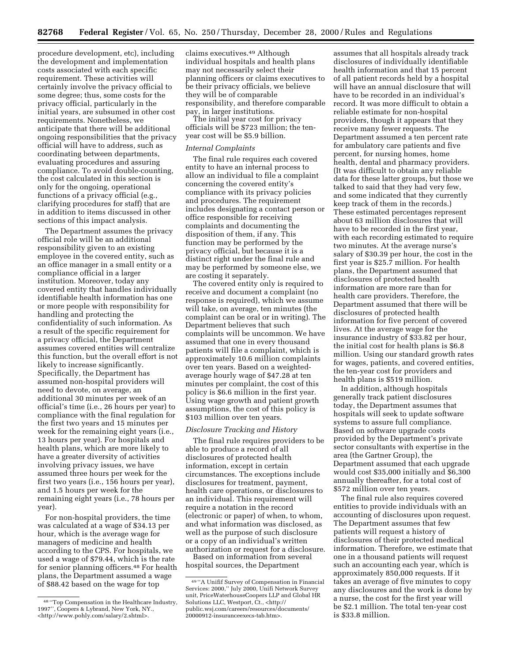procedure development, etc), including the development and implementation costs associated with each specific requirement. These activities will certainly involve the privacy official to some degree; thus, some costs for the privacy official, particularly in the initial years, are subsumed in other cost requirements. Nonetheless, we anticipate that there will be additional ongoing responsibilities that the privacy official will have to address, such as coordinating between departments, evaluating procedures and assuring compliance. To avoid double-counting, the cost calculated in this section is only for the ongoing, operational functions of a privacy official (e.g., clarifying procedures for staff) that are in addition to items discussed in other sections of this impact analysis.

The Department assumes the privacy official role will be an additional responsibility given to an existing employee in the covered entity, such as an office manager in a small entity or a compliance official in a larger institution. Moreover, today any covered entity that handles individually identifiable health information has one or more people with responsibility for handling and protecting the confidentiality of such information. As a result of the specific requirement for a privacy official, the Department assumes covered entities will centralize this function, but the overall effort is not likely to increase significantly. Specifically, the Department has assumed non-hospital providers will need to devote, on average, an additional 30 minutes per week of an official's time (i.e., 26 hours per year) to compliance with the final regulation for the first two years and 15 minutes per week for the remaining eight years (i.e., 13 hours per year). For hospitals and health plans, which are more likely to have a greater diversity of activities involving privacy issues, we have assumed three hours per week for the first two years (i.e., 156 hours per year), and 1.5 hours per week for the remaining eight years (i.e., 78 hours per year).

For non-hospital providers, the time was calculated at a wage of \$34.13 per hour, which is the average wage for managers of medicine and health according to the CPS. For hospitals, we used a wage of \$79.44, which is the rate for senior planning officers.48 For health plans, the Department assumed a wage of \$88.42 based on the wage for top

claims executives.49 Although individual hospitals and health plans may not necessarily select their planning officers or claims executives to be their privacy officials, we believe they will be of comparable responsibility, and therefore comparable pay, in larger institutions.

The initial year cost for privacy officials will be \$723 million; the tenyear cost will be \$5.9 billion.

# *Internal Complaints*

The final rule requires each covered entity to have an internal process to allow an individual to file a complaint concerning the covered entity's compliance with its privacy policies and procedures. The requirement includes designating a contact person or office responsible for receiving complaints and documenting the disposition of them, if any. This function may be performed by the privacy official, but because it is a distinct right under the final rule and may be performed by someone else, we are costing it separately.

The covered entity only is required to receive and document a complaint (no response is required), which we assume will take, on average, ten minutes (the complaint can be oral or in writing). The Department believes that such complaints will be uncommon. We have assumed that one in every thousand patients will file a complaint, which is approximately 10.6 million complaints over ten years. Based on a weightedaverage hourly wage of \$47.28 at ten minutes per complaint, the cost of this policy is \$6.6 million in the first year. Using wage growth and patient growth assumptions, the cost of this policy is \$103 million over ten years.

#### *Disclosure Tracking and History*

The final rule requires providers to be able to produce a record of all disclosures of protected health information, except in certain circumstances. The exceptions include disclosures for treatment, payment, health care operations, or disclosures to an individual. This requirement will require a notation in the record (electronic or paper) of when, to whom, and what information was disclosed, as well as the purpose of such disclosure or a copy of an individual's written authorization or request for a disclosure.

Based on information from several hospital sources, the Department

assumes that all hospitals already track disclosures of individually identifiable health information and that 15 percent of all patient records held by a hospital will have an annual disclosure that will have to be recorded in an individual's record. It was more difficult to obtain a reliable estimate for non-hospital providers, though it appears that they receive many fewer requests. The Department assumed a ten percent rate for ambulatory care patients and five percent, for nursing homes, home health, dental and pharmacy providers. (It was difficult to obtain any reliable data for these latter groups, but those we talked to said that they had very few, and some indicated that they currently keep track of them in the records.) These estimated percentages represent about 63 million disclosures that will have to be recorded in the first year, with each recording estimated to require two minutes. At the average nurse's salary of \$30.39 per hour, the cost in the first year is \$25.7 million. For health plans, the Department assumed that disclosures of protected health information are more rare than for health care providers. Therefore, the Department assumed that there will be disclosures of protected health information for five percent of covered lives. At the average wage for the insurance industry of \$33.82 per hour, the initial cost for health plans is \$6.8 million. Using our standard growth rates for wages, patients, and covered entities, the ten-year cost for providers and health plans is \$519 million.

In addition, although hospitals generally track patient disclosures today, the Department assumes that hospitals will seek to update software systems to assure full compliance. Based on software upgrade costs provided by the Department's private sector consultants with expertise in the area (the Gartner Group), the Department assumed that each upgrade would cost \$35,000 initially and \$6,300 annually thereafter, for a total cost of \$572 million over ten years.

The final rule also requires covered entities to provide individuals with an accounting of disclosures upon request. The Department assumes that few patients will request a history of disclosures of their protected medical information. Therefore, we estimate that one in a thousand patients will request such an accounting each year, which is approximately 850,000 requests. If it takes an average of five minutes to copy any disclosures and the work is done by a nurse, the cost for the first year will be \$2.1 million. The total ten-year cost is \$33.8 million.

<sup>48</sup> ''Top Compensation in the Healthcare Industry, 1997'', Coopers & Lybrand, New York, NY., <http://www.pohly.com/salary/2.shtml>.

<sup>49</sup> ''A Unifif Survey of Compensation in Financial Services: 2000,'' July 2000, Unifi Network Survey unit, PriceWaterhouseCoopers LLP and Global HR Solutions LLC, Westport, Ct., <http:// public.wsj.com/careers/resources/documents/ 20000912-insuranceexecs-tab.htm>.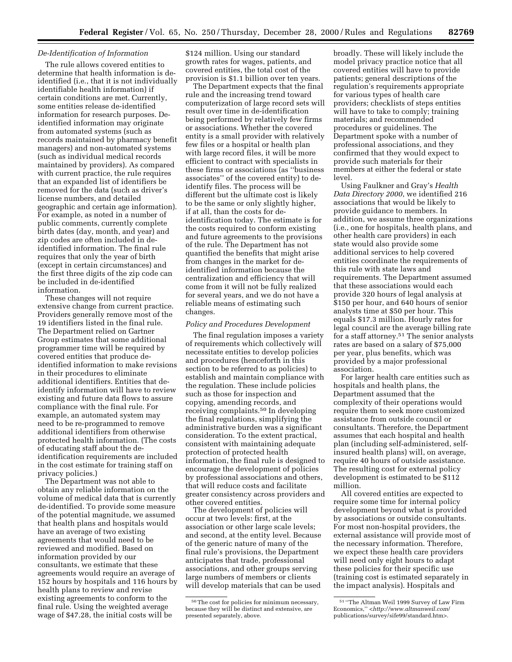# *De-Identification of Information*

The rule allows covered entities to determine that health information is deidentified (i.e., that it is not individually identifiable health information) if certain conditions are met. Currently, some entities release de-identified information for research purposes. Deidentified information may originate from automated systems (such as records maintained by pharmacy benefit managers) and non-automated systems (such as individual medical records maintained by providers). As compared with current practice, the rule requires that an expanded list of identifiers be removed for the data (such as driver's license numbers, and detailed geographic and certain age information). For example, as noted in a number of public comments, currently complete birth dates (day, month, and year) and zip codes are often included in deidentified information. The final rule requires that only the year of birth (except in certain circumstances) and the first three digits of the zip code can be included in de-identified information.

These changes will not require extensive change from current practice. Providers generally remove most of the 19 identifiers listed in the final rule. The Department relied on Gartner Group estimates that some additional programmer time will be required by covered entities that produce deidentified information to make revisions in their procedures to eliminate additional identifiers. Entities that deidentify information will have to review existing and future data flows to assure compliance with the final rule. For example, an automated system may need to be re-programmed to remove additional identifiers from otherwise protected health information. (The costs of educating staff about the deidentification requirements are included in the cost estimate for training staff on privacy policies.)

The Department was not able to obtain any reliable information on the volume of medical data that is currently de-identified. To provide some measure of the potential magnitude, we assumed that health plans and hospitals would have an average of two existing agreements that would need to be reviewed and modified. Based on information provided by our consultants, we estimate that these agreements would require an average of 152 hours by hospitals and 116 hours by health plans to review and revise existing agreements to conform to the final rule. Using the weighted average wage of \$47.28, the initial costs will be

\$124 million. Using our standard growth rates for wages, patients, and covered entities, the total cost of the provision is \$1.1 billion over ten years.

The Department expects that the final rule and the increasing trend toward computerization of large record sets will result over time in de-identification being performed by relatively few firms or associations. Whether the covered entity is a small provider with relatively few files or a hospital or health plan with large record files, it will be more efficient to contract with specialists in these firms or associations (as ''business associates'' of the covered entity) to deidentify files. The process will be different but the ultimate cost is likely to be the same or only slightly higher, if at all, than the costs for deidentification today. The estimate is for the costs required to conform existing and future agreements to the provisions of the rule. The Department has not quantified the benefits that might arise from changes in the market for deidentified information because the centralization and efficiency that will come from it will not be fully realized for several years, and we do not have a reliable means of estimating such changes.

# *Policy and Procedures Development*

The final regulation imposes a variety of requirements which collectively will necessitate entities to develop policies and procedures (henceforth in this section to be referred to as policies) to establish and maintain compliance with the regulation. These include policies such as those for inspection and copying, amending records, and receiving complaints.50 In developing the final regulations, simplifying the administrative burden was a significant consideration. To the extent practical, consistent with maintaining adequate protection of protected health information, the final rule is designed to encourage the development of policies by professional associations and others, that will reduce costs and facilitate greater consistency across providers and other covered entities.

The development of policies will occur at two levels: first, at the association or other large scale levels; and second, at the entity level. Because of the generic nature of many of the final rule's provisions, the Department anticipates that trade, professional associations, and other groups serving large numbers of members or clients will develop materials that can be used broadly. These will likely include the model privacy practice notice that all covered entities will have to provide patients; general descriptions of the regulation's requirements appropriate for various types of health care providers; checklists of steps entities will have to take to comply; training materials; and recommended procedures or guidelines. The Department spoke with a number of professional associations, and they confirmed that they would expect to provide such materials for their members at either the federal or state level.

Using Faulkner and Gray's *Health Data Directory 2000*, we identified 216 associations that would be likely to provide guidance to members. In addition, we assume three organizations (i.e., one for hospitals, health plans, and other health care providers) in each state would also provide some additional services to help covered entities coordinate the requirements of this rule with state laws and requirements. The Department assumed that these associations would each provide 320 hours of legal analysis at \$150 per hour, and 640 hours of senior analysts time at \$50 per hour. This equals \$17.3 million. Hourly rates for legal council are the average billing rate for a staff attorney.51 The senior analysts rates are based on a salary of \$75,000 per year, plus benefits, which was provided by a major professional association.

For larger health care entities such as hospitals and health plans, the Department assumed that the complexity of their operations would require them to seek more customized assistance from outside council or consultants. Therefore, the Department assumes that each hospital and health plan (including self-administered, selfinsured health plans) will, on average, require 40 hours of outside assistance. The resulting cost for external policy development is estimated to be \$112 million.

All covered entities are expected to require some time for internal policy development beyond what is provided by associations or outside consultants. For most non-hospital providers, the external assistance will provide most of the necessary information. Therefore, we expect these health care providers will need only eight hours to adapt these policies for their specific use (training cost is estimated separately in the impact analysis). Hospitals and

<sup>50</sup>The cost for policies for minimum necessary, because they will be distinct and extensive, are presented separately, above.

<sup>51</sup> ''The Altman Weil 1999 Survey of Law Firm Economics,'' <*http://www.altmanweil.com*/ publications/survey/sife99/standard.htm>.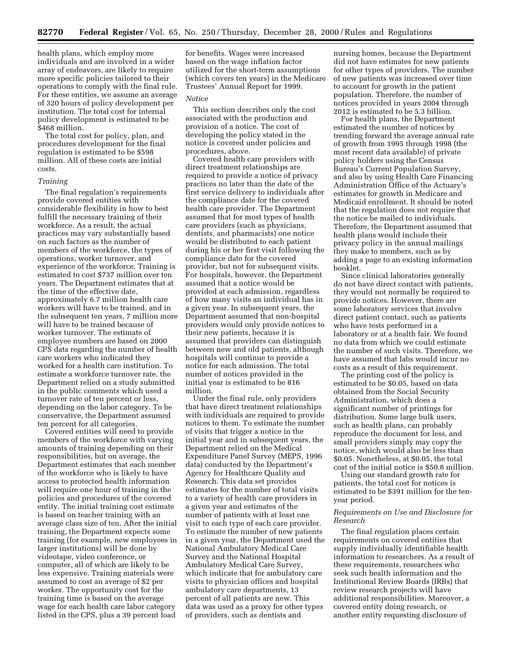health plans, which employ more individuals and are involved in a wider array of endeavors, are likely to require more specific policies tailored to their operations to comply with the final rule. For these entities, we assume an average of 320 hours of policy development per institution. The total cost for internal policy development is estimated to be \$468 million.

The total cost for policy, plan, and procedures development for the final regulation is estimated to be \$598 million. All of these costs are initial costs.

# *Training*

The final regulation's requirements provide covered entities with considerable flexibility in how to best fulfill the necessary training of their workforce. As a result, the actual practices may vary substantially based on such factors as the number of members of the workforce, the types of operations, worker turnover, and experience of the workforce. Training is estimated to cost \$737 million over ten years. The Department estimates that at the time of the effective date, approximately 6.7 million health care workers will have to be trained, and in the subsequent ten years, 7 million more will have to be trained because of worker turnover. The estimate of employee numbers are based on 2000 CPS data regarding the number of health care workers who indicated they worked for a health care institution. To estimate a workforce turnover rate, the Department relied on a study submitted in the public comments which used a turnover rate of ten percent or less, depending on the labor category. To be conservative, the Department assumed ten percent for all categories.

Covered entities will need to provide members of the workforce with varying amounts of training depending on their responsibilities, but on average, the Department estimates that each member of the workforce who is likely to have access to protected health information will require one hour of training in the policies and procedures of the covered entity. The initial training cost estimate is based on teacher training with an average class size of ten. After the initial training, the Department expects some training (for example, new employees in larger institutions) will be done by videotape, video conference, or computer, all of which are likely to be less expensive. Training materials were assumed to cost an average of \$2 per worker. The opportunity cost for the training time is based on the average wage for each health care labor category listed in the CPS, plus a 39 percent load

for benefits. Wages were increased based on the wage inflation factor utilized for the short-term assumptions (which covers ten years) in the Medicare Trustees' Annual Report for 1999.

#### *Notice*

This section describes only the cost associated with the production and provision of a notice. The cost of developing the policy stated in the notice is covered under policies and procedures, above.

Covered health care providers with direct treatment relationships are required to provide a notice of privacy practices no later than the date of the first service delivery to individuals after the compliance date for the covered health care provider. The Department assumed that for most types of health care providers (such as physicians, dentists, and pharmacists) one notice would be distributed to each patient during his or her first visit following the compliance date for the covered provider, but not for subsequent visits. For hospitals, however, the Department assumed that a notice would be provided at each admission, regardless of how many visits an individual has in a given year. In subsequent years, the Department assumed that non-hospital providers would only provide notices to their new patients, because it is assumed that providers can distinguish between new and old patients, although hospitals will continue to provide a notice for each admission. The total number of notices provided in the initial year is estimated to be 816 million.

Under the final rule, only providers that have direct treatment relationships with individuals are required to provide notices to them. To estimate the number of visits that trigger a notice in the initial year and in subsequent years, the Department relied on the Medical Expenditure Panel Survey (MEPS, 1996 data) conducted by the Department's Agency for Healthcare Quality and Research. This data set provides estimates for the number of total visits to a variety of health care providers in a given year and estimates of the number of patients with at least one visit to each type of each care provider. To estimate the number of new patients in a given year, the Department used the National Ambulatory Medical Care Survey and the National Hospital Ambulatory Medical Care Survey, which indicate that for ambulatory care visits to physician offices and hospital ambulatory care departments, 13 percent of all patients are new. This data was used as a proxy for other types of providers, such as dentists and

nursing homes, because the Department did not have estimates for new patients for other types of providers. The number of new patients was increased over time to account for growth in the patient population. Therefore, the number of notices provided in years 2004 through 2012 is estimated to be 5.3 billion.

For health plans, the Department estimated the number of notices by trending forward the average annual rate of growth from 1995 through 1998 (the most recent data available) of private policy holders using the Census Bureau's Current Population Survey, and also by using Health Care Financing Administration Office of the Actuary's estimates for growth in Medicare and Medicaid enrollment. It should be noted that the regulation does not require that the notice be mailed to individuals. Therefore, the Department assumed that health plans would include their privacy policy in the annual mailings they make to members, such as by adding a page to an existing information booklet.

Since clinical laboratories generally do not have direct contact with patients, they would not normally be required to provide notices. However, there are some laboratory services that involve direct patient contact, such as patients who have tests performed in a laboratory or at a health fair. We found no data from which we could estimate the number of such visits. Therefore, we have assumed that labs would incur no costs as a result of this requirement.

The printing cost of the policy is estimated to be \$0.05, based on data obtained from the Social Security Administration, which does a significant number of printings for distribution. Some large bulk users, such as health plans, can probably reproduce the document for less, and small providers simply may copy the notice, which would also be less than \$0.05. Nonetheless, at \$0.05, the total cost of the initial notice is \$50.8 million.

Using our standard growth rate for patients, the total cost for notices is estimated to be \$391 million for the tenyear period.

# *Requirements on Use and Disclosure for Research*

The final regulation places certain requirements on covered entities that supply individually identifiable health information to researchers. As a result of these requirements, researchers who seek such health information and the Institutional Review Boards (IRBs) that review research projects will have additional responsibilities. Moreover, a covered entity doing research, or another entity requesting disclosure of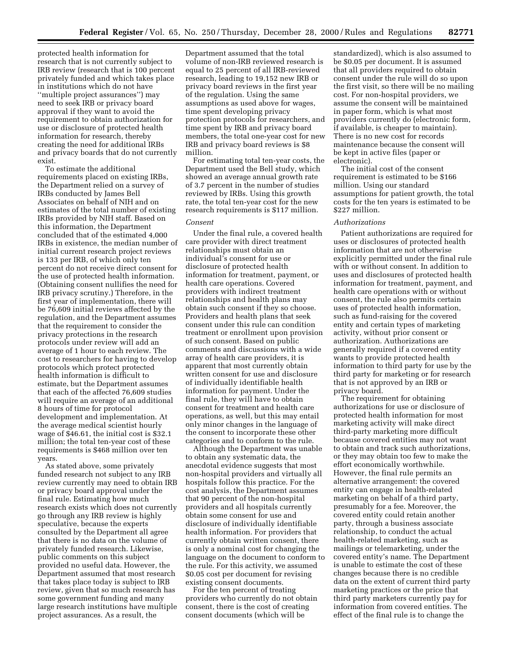protected health information for research that is not currently subject to IRB review (research that is 100 percent privately funded and which takes place in institutions which do not have ''multiple project assurances'') may need to seek IRB or privacy board approval if they want to avoid the requirement to obtain authorization for use or disclosure of protected health information for research, thereby creating the need for additional IRBs and privacy boards that do not currently exist.

To estimate the additional requirements placed on existing IRBs, the Department relied on a survey of IRBs conducted by James Bell Associates on behalf of NIH and on estimates of the total number of existing IRBs provided by NIH staff. Based on this information, the Department concluded that of the estimated 4,000 IRBs in existence, the median number of initial current research project reviews is 133 per IRB, of which only ten percent do not receive direct consent for the use of protected health information. (Obtaining consent nullifies the need for IRB privacy scrutiny.) Therefore, in the first year of implementation, there will be 76,609 initial reviews affected by the regulation, and the Department assumes that the requirement to consider the privacy protections in the research protocols under review will add an average of 1 hour to each review. The cost to researchers for having to develop protocols which protect protected health information is difficult to estimate, but the Department assumes that each of the affected 76,609 studies will require an average of an additional 8 hours of time for protocol development and implementation. At the average medical scientist hourly wage of \$46.61, the initial cost is \$32.1 million; the total ten-year cost of these requirements is \$468 million over ten years.

As stated above, some privately funded research not subject to any IRB review currently may need to obtain IRB or privacy board approval under the final rule. Estimating how much research exists which does not currently go through any IRB review is highly speculative, because the experts consulted by the Department all agree that there is no data on the volume of privately funded research. Likewise, public comments on this subject provided no useful data. However, the Department assumed that most research that takes place today is subject to IRB review, given that so much research has some government funding and many large research institutions have multiple project assurances. As a result, the

Department assumed that the total volume of non-IRB reviewed research is equal to 25 percent of all IRB-reviewed research, leading to 19,152 new IRB or privacy board reviews in the first year of the regulation. Using the same assumptions as used above for wages, time spent developing privacy protection protocols for researchers, and time spent by IRB and privacy board members, the total one-year cost for new IRB and privacy board reviews is \$8 million.

For estimating total ten-year costs, the Department used the Bell study, which showed an average annual growth rate of 3.7 percent in the number of studies reviewed by IRBs. Using this growth rate, the total ten-year cost for the new research requirements is \$117 million.

#### *Consent*

Under the final rule, a covered health care provider with direct treatment relationships must obtain an individual's consent for use or disclosure of protected health information for treatment, payment, or health care operations. Covered providers with indirect treatment relationships and health plans may obtain such consent if they so choose. Providers and health plans that seek consent under this rule can condition treatment or enrollment upon provision of such consent. Based on public comments and discussions with a wide array of health care providers, it is apparent that most currently obtain written consent for use and disclosure of individually identifiable health information for payment. Under the final rule, they will have to obtain consent for treatment and health care operations, as well, but this may entail only minor changes in the language of the consent to incorporate these other categories and to conform to the rule.

Although the Department was unable to obtain any systematic data, the anecdotal evidence suggests that most non-hospital providers and virtually all hospitals follow this practice. For the cost analysis, the Department assumes that 90 percent of the non-hospital providers and all hospitals currently obtain some consent for use and disclosure of individually identifiable health information. For providers that currently obtain written consent, there is only a nominal cost for changing the language on the document to conform to the rule. For this activity, we assumed \$0.05 cost per document for revising existing consent documents.

For the ten percent of treating providers who currently do not obtain consent, there is the cost of creating consent documents (which will be

standardized), which is also assumed to be \$0.05 per document. It is assumed that all providers required to obtain consent under the rule will do so upon the first visit, so there will be no mailing cost. For non-hospital providers, we assume the consent will be maintained in paper form, which is what most providers currently do (electronic form, if available, is cheaper to maintain). There is no new cost for records maintenance because the consent will be kept in active files (paper or electronic).

The initial cost of the consent requirement is estimated to be \$166 million. Using our standard assumptions for patient growth, the total costs for the ten years is estimated to be \$227 million.

# *Authorizations*

Patient authorizations are required for uses or disclosures of protected health information that are not otherwise explicitly permitted under the final rule with or without consent. In addition to uses and disclosures of protected health information for treatment, payment, and health care operations with or without consent, the rule also permits certain uses of protected health information, such as fund-raising for the covered entity and certain types of marketing activity, without prior consent or authorization. Authorizations are generally required if a covered entity wants to provide protected health information to third party for use by the third party for marketing or for research that is not approved by an IRB or privacy board.

The requirement for obtaining authorizations for use or disclosure of protected health information for most marketing activity will make direct third-party marketing more difficult because covered entities may not want to obtain and track such authorizations, or they may obtain too few to make the effort economically worthwhile. However, the final rule permits an alternative arrangement: the covered entity can engage in health-related marketing on behalf of a third party, presumably for a fee. Moreover, the covered entity could retain another party, through a business associate relationship, to conduct the actual health-related marketing, such as mailings or telemarketing, under the covered entity's name. The Department is unable to estimate the cost of these changes because there is no credible data on the extent of current third party marketing practices or the price that third party marketers currently pay for information from covered entities. The effect of the final rule is to change the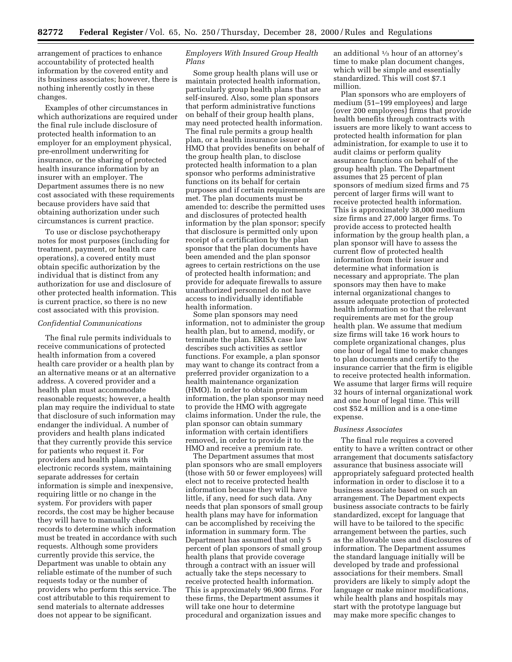arrangement of practices to enhance accountability of protected health information by the covered entity and its business associates; however, there is nothing inherently costly in these changes.

Examples of other circumstances in which authorizations are required under the final rule include disclosure of protected health information to an employer for an employment physical, pre-enrollment underwriting for insurance, or the sharing of protected health insurance information by an insurer with an employer. The Department assumes there is no new cost associated with these requirements because providers have said that obtaining authorization under such circumstances is current practice.

To use or disclose psychotherapy notes for most purposes (including for treatment, payment, or health care operations), a covered entity must obtain specific authorization by the individual that is distinct from any authorization for use and disclosure of other protected health information. This is current practice, so there is no new cost associated with this provision.

#### *Confidential Communications*

The final rule permits individuals to receive communications of protected health information from a covered health care provider or a health plan by an alternative means or at an alternative address. A covered provider and a health plan must accommodate reasonable requests; however, a health plan may require the individual to state that disclosure of such information may endanger the individual. A number of providers and health plans indicated that they currently provide this service for patients who request it. For providers and health plans with electronic records system, maintaining separate addresses for certain information is simple and inexpensive, requiring little or no change in the system. For providers with paper records, the cost may be higher because they will have to manually check records to determine which information must be treated in accordance with such requests. Although some providers currently provide this service, the Department was unable to obtain any reliable estimate of the number of such requests today or the number of providers who perform this service. The cost attributable to this requirement to send materials to alternate addresses does not appear to be significant.

# *Employers With Insured Group Health Plans*

Some group health plans will use or maintain protected health information, particularly group health plans that are self-insured. Also, some plan sponsors that perform administrative functions on behalf of their group health plans, may need protected health information. The final rule permits a group health plan, or a health insurance issuer or HMO that provides benefits on behalf of the group health plan, to disclose protected health information to a plan sponsor who performs administrative functions on its behalf for certain purposes and if certain requirements are met. The plan documents must be amended to: describe the permitted uses and disclosures of protected health information by the plan sponsor; specify that disclosure is permitted only upon receipt of a certification by the plan sponsor that the plan documents have been amended and the plan sponsor agrees to certain restrictions on the use of protected health information; and provide for adequate firewalls to assure unauthorized personnel do not have access to individually identifiable health information.

Some plan sponsors may need information, not to administer the group health plan, but to amend, modify, or terminate the plan. ERISA case law describes such activities as settlor functions. For example, a plan sponsor may want to change its contract from a preferred provider organization to a health maintenance organization (HMO). In order to obtain premium information, the plan sponsor may need to provide the HMO with aggregate claims information. Under the rule, the plan sponsor can obtain summary information with certain identifiers removed, in order to provide it to the HMO and receive a premium rate.

The Department assumes that most plan sponsors who are small employers (those with 50 or fewer employees) will elect not to receive protected health information because they will have little, if any, need for such data. Any needs that plan sponsors of small group health plans may have for information can be accomplished by receiving the information in summary form. The Department has assumed that only 5 percent of plan sponsors of small group health plans that provide coverage through a contract with an issuer will actually take the steps necessary to receive protected health information. This is approximately 96,900 firms. For these firms, the Department assumes it will take one hour to determine procedural and organization issues and

an additional 1⁄3 hour of an attorney's time to make plan document changes, which will be simple and essentially standardized. This will cost \$7.1 million.

Plan sponsors who are employers of medium (51–199 employees) and large (over 200 employees) firms that provide health benefits through contracts with issuers are more likely to want access to protected health information for plan administration, for example to use it to audit claims or perform quality assurance functions on behalf of the group health plan. The Department assumes that 25 percent of plan sponsors of medium sized firms and 75 percent of larger firms will want to receive protected health information. This is approximately 38,000 medium size firms and 27,000 larger firms. To provide access to protected health information by the group health plan, a plan sponsor will have to assess the current flow of protected health information from their issuer and determine what information is necessary and appropriate. The plan sponsors may then have to make internal organizational changes to assure adequate protection of protected health information so that the relevant requirements are met for the group health plan. We assume that medium size firms will take 16 work hours to complete organizational changes, plus one hour of legal time to make changes to plan documents and certify to the insurance carrier that the firm is eligible to receive protected health information. We assume that larger firms will require 32 hours of internal organizational work and one hour of legal time. This will cost \$52.4 million and is a one-time expense.

#### *Business Associates*

The final rule requires a covered entity to have a written contract or other arrangement that documents satisfactory assurance that business associate will appropriately safeguard protected health information in order to disclose it to a business associate based on such an arrangement. The Department expects business associate contracts to be fairly standardized, except for language that will have to be tailored to the specific arrangement between the parties, such as the allowable uses and disclosures of information. The Department assumes the standard language initially will be developed by trade and professional associations for their members. Small providers are likely to simply adopt the language or make minor modifications, while health plans and hospitals may start with the prototype language but may make more specific changes to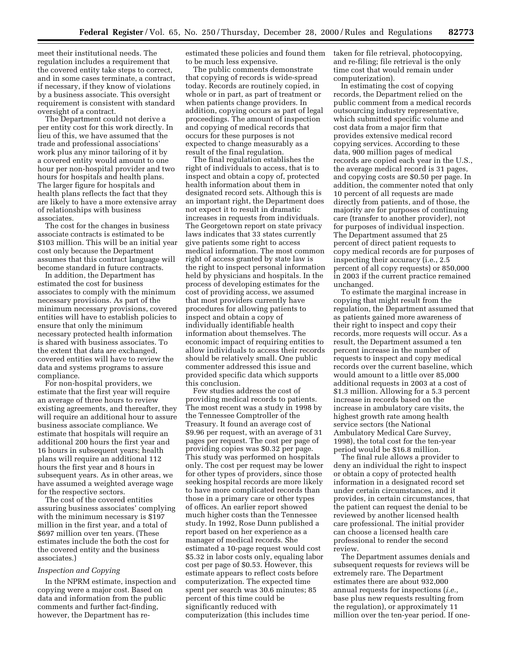meet their institutional needs. The regulation includes a requirement that the covered entity take steps to correct, and in some cases terminate, a contract, if necessary, if they know of violations by a business associate. This oversight requirement is consistent with standard oversight of a contract.

The Department could not derive a per entity cost for this work directly. In lieu of this, we have assumed that the trade and professional associations' work plus any minor tailoring of it by a covered entity would amount to one hour per non-hospital provider and two hours for hospitals and health plans. The larger figure for hospitals and health plans reflects the fact that they are likely to have a more extensive array of relationships with business associates.

The cost for the changes in business associate contracts is estimated to be \$103 million. This will be an initial year cost only because the Department assumes that this contract language will become standard in future contracts.

In addition, the Department has estimated the cost for business associates to comply with the minimum necessary provisions. As part of the minimum necessary provisions, covered entities will have to establish policies to ensure that only the minimum necessary protected health information is shared with business associates. To the extent that data are exchanged, covered entities will have to review the data and systems programs to assure compliance.

For non-hospital providers, we estimate that the first year will require an average of three hours to review existing agreements, and thereafter, they will require an additional hour to assure business associate compliance. We estimate that hospitals will require an additional 200 hours the first year and 16 hours in subsequent years; health plans will require an additional 112 hours the first year and 8 hours in subsequent years. As in other areas, we have assumed a weighted average wage for the respective sectors.

The cost of the covered entities assuring business associates' complying with the minimum necessary is \$197 million in the first year, and a total of \$697 million over ten years. (These estimates include the both the cost for the covered entity and the business associates.)

#### *Inspection and Copying*

In the NPRM estimate, inspection and copying were a major cost. Based on data and information from the public comments and further fact-finding, however, the Department has reestimated these policies and found them to be much less expensive.

The public comments demonstrate that copying of records is wide-spread today. Records are routinely copied, in whole or in part, as part of treatment or when patients change providers. In addition, copying occurs as part of legal proceedings. The amount of inspection and copying of medical records that occurs for these purposes is not expected to change measurably as a result of the final regulation.

The final regulation establishes the right of individuals to access, that is to inspect and obtain a copy of, protected health information about them in designated record sets. Although this is an important right, the Department does not expect it to result in dramatic increases in requests from individuals. The Georgetown report on state privacy laws indicates that 33 states currently give patients some right to access medical information. The most common right of access granted by state law is the right to inspect personal information held by physicians and hospitals. In the process of developing estimates for the cost of providing access, we assumed that most providers currently have procedures for allowing patients to inspect and obtain a copy of individually identifiable health information about themselves. The economic impact of requiring entities to allow individuals to access their records should be relatively small. One public commenter addressed this issue and provided specific data which supports this conclusion.

Few studies address the cost of providing medical records to patients. The most recent was a study in 1998 by the Tennessee Comptroller of the Treasury. It found an average cost of \$9.96 per request, with an average of 31 pages per request. The cost per page of providing copies was \$0.32 per page. This study was performed on hospitals only. The cost per request may be lower for other types of providers, since those seeking hospital records are more likely to have more complicated records than those in a primary care or other types of offices. An earlier report showed much higher costs than the Tennessee study. In 1992, Rose Dunn published a report based on her experience as a manager of medical records. She estimated a 10-page request would cost \$5.32 in labor costs only, equaling labor cost per page of \$0.53. However, this estimate appears to reflect costs before computerization. The expected time spent per search was 30.6 minutes; 85 percent of this time could be significantly reduced with computerization (this includes time

taken for file retrieval, photocopying, and re-filing; file retrieval is the only time cost that would remain under computerization).

In estimating the cost of copying records, the Department relied on the public comment from a medical records outsourcing industry representative, which submitted specific volume and cost data from a major firm that provides extensive medical record copying services. According to these data, 900 million pages of medical records are copied each year in the U.S., the average medical record is 31 pages, and copying costs are \$0.50 per page. In addition, the commenter noted that only 10 percent of all requests are made directly from patients, and of those, the majority are for purposes of continuing care (transfer to another provider), not for purposes of individual inspection. The Department assumed that 25 percent of direct patient requests to copy medical records are for purposes of inspecting their accuracy (i.e., 2.5 percent of all copy requests) or 850,000 in 2003 if the current practice remained unchanged.

To estimate the marginal increase in copying that might result from the regulation, the Department assumed that as patients gained more awareness of their right to inspect and copy their records, more requests will occur. As a result, the Department assumed a ten percent increase in the number of requests to inspect and copy medical records over the current baseline, which would amount to a little over 85,000 additional requests in 2003 at a cost of \$1.3 million. Allowing for a 5.3 percent increase in records based on the increase in ambulatory care visits, the highest growth rate among health service sectors (the National Ambulatory Medical Care Survey, 1998), the total cost for the ten-year period would be \$16.8 million.

The final rule allows a provider to deny an individual the right to inspect or obtain a copy of protected health information in a designated record set under certain circumstances, and it provides, in certain circumstances, that the patient can request the denial to be reviewed by another licensed health care professional. The initial provider can choose a licensed health care professional to render the second review.

The Department assumes denials and subsequent requests for reviews will be extremely rare. The Department estimates there are about 932,000 annual requests for inspections (*i.e.,* base plus new requests resulting from the regulation), or approximately 11 million over the ten-year period. If one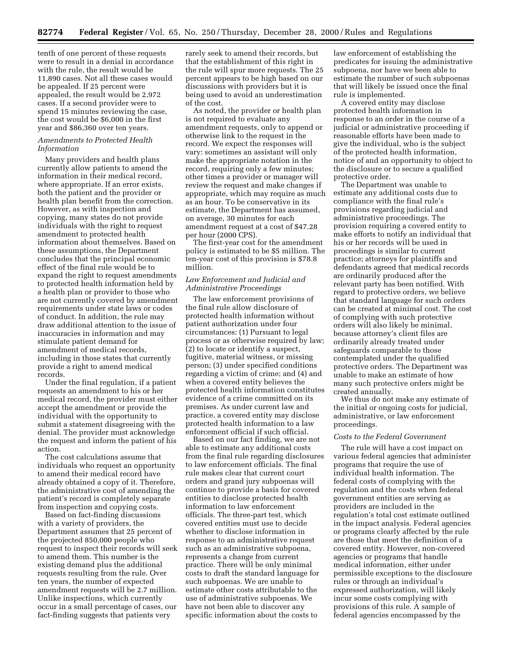tenth of one percent of these requests were to result in a denial in accordance with the rule, the result would be 11,890 cases. Not all these cases would be appealed. If 25 percent were appealed, the result would be 2,972 cases. If a second provider were to spend 15 minutes reviewing the case, the cost would be \$6,000 in the first year and \$86,360 over ten years.

# *Amendments to Protected Health Information*

Many providers and health plans currently allow patients to amend the information in their medical record, where appropriate. If an error exists, both the patient and the provider or health plan benefit from the correction. However, as with inspection and copying, many states do not provide individuals with the right to request amendment to protected health information about themselves. Based on these assumptions, the Department concludes that the principal economic effect of the final rule would be to expand the right to request amendments to protected health information held by a health plan or provider to those who are not currently covered by amendment requirements under state laws or codes of conduct. In addition, the rule may draw additional attention to the issue of inaccuracies in information and may stimulate patient demand for amendment of medical records, including in those states that currently provide a right to amend medical records.

Under the final regulation, if a patient requests an amendment to his or her medical record, the provider must either accept the amendment or provide the individual with the opportunity to submit a statement disagreeing with the denial. The provider must acknowledge the request and inform the patient of his action.

The cost calculations assume that individuals who request an opportunity to amend their medical record have already obtained a copy of it. Therefore, the administrative cost of amending the patient's record is completely separate from inspection and copying costs.

Based on fact-finding discussions with a variety of providers, the Department assumes that 25 percent of the projected 850,000 people who request to inspect their records will seek to amend them. This number is the existing demand plus the additional requests resulting from the rule. Over ten years, the number of expected amendment requests will be 2.7 million. Unlike inspections, which currently occur in a small percentage of cases, our fact-finding suggests that patients very

rarely seek to amend their records, but that the establishment of this right in the rule will spur more requests. The 25 percent appears to be high based on our discussions with providers but it is being used to avoid an underestimation of the cost.

As noted, the provider or health plan is not required to evaluate any amendment requests, only to append or otherwise link to the request in the record. We expect the responses will vary: sometimes an assistant will only make the appropriate notation in the record, requiring only a few minutes; other times a provider or manager will review the request and make changes if appropriate, which may require as much as an hour. To be conservative in its estimate, the Department has assumed, on average, 30 minutes for each amendment request at a cost of \$47.28 per hour (2000 CPS).

The first-year cost for the amendment policy is estimated to be \$5 million. The ten-year cost of this provision is \$78.8 million.

# *Law Enforcement and Judicial and Administrative Proceedings*

The law enforcement provisions of the final rule allow disclosure of protected health information without patient authorization under four circumstances: (1) Pursuant to legal process or as otherwise required by law; (2) to locate or identify a suspect, fugitive, material witness, or missing person; (3) under specified conditions regarding a victim of crime; and (4) and when a covered entity believes the protected health information constitutes evidence of a crime committed on its premises. As under current law and practice, a covered entity may disclose protected health information to a law enforcement official if such official.

Based on our fact finding, we are not able to estimate any additional costs from the final rule regarding disclosures to law enforcement officials. The final rule makes clear that current court orders and grand jury subpoenas will continue to provide a basis for covered entities to disclose protected health information to law enforcement officials. The three-part test, which covered entities must use to decide whether to disclose information in response to an administrative request such as an administrative subpoena, represents a change from current practice. There will be only minimal costs to draft the standard language for such subpoenas. We are unable to estimate other costs attributable to the use of administrative subpoenas. We have not been able to discover any specific information about the costs to

law enforcement of establishing the predicates for issuing the administrative subpoena, nor have we been able to estimate the number of such subpoenas that will likely be issued once the final rule is implemented.

A covered entity may disclose protected health information in response to an order in the course of a judicial or administrative proceeding if reasonable efforts have been made to give the individual, who is the subject of the protected health information, notice of and an opportunity to object to the disclosure or to secure a qualified protective order.

The Department was unable to estimate any additional costs due to compliance with the final rule's provisions regarding judicial and administrative proceedings. The provision requiring a covered entity to make efforts to notify an individual that his or her records will be used in proceedings is similar to current practice; attorneys for plaintiffs and defendants agreed that medical records are ordinarily produced after the relevant party has been notified. With regard to protective orders, we believe that standard language for such orders can be created at minimal cost. The cost of complying with such protective orders will also likely be minimal, because attorney's client files are ordinarily already treated under safeguards comparable to those contemplated under the qualified protective orders. The Department was unable to make an estimate of how many such protective orders might be created annually.

We thus do not make any estimate of the initial or ongoing costs for judicial, administrative, or law enforcement proceedings.

# *Costs to the Federal Government*

The rule will have a cost impact on various federal agencies that administer programs that require the use of individual health information. The federal costs of complying with the regulation and the costs when federal government entities are serving as providers are included in the regulation's total cost estimate outlined in the impact analysis. Federal agencies or programs clearly affected by the rule are those that meet the definition of a covered entity. However, non-covered agencies or programs that handle medical information, either under permissible exceptions to the disclosure rules or through an individual's expressed authorization, will likely incur some costs complying with provisions of this rule. A sample of federal agencies encompassed by the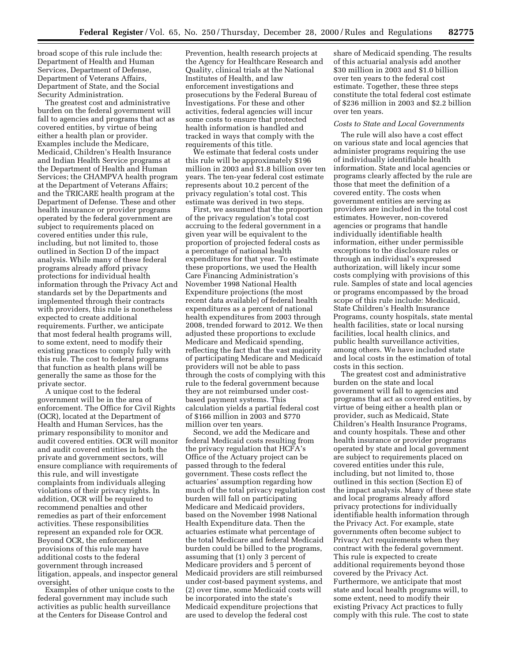broad scope of this rule include the: Department of Health and Human Services, Department of Defense, Department of Veterans Affairs, Department of State, and the Social Security Administration.

The greatest cost and administrative burden on the federal government will fall to agencies and programs that act as covered entities, by virtue of being either a health plan or provider. Examples include the Medicare, Medicaid, Children's Health Insurance and Indian Health Service programs at the Department of Health and Human Services; the CHAMPVA health program at the Department of Veterans Affairs; and the TRICARE health program at the Department of Defense. These and other health insurance or provider programs operated by the federal government are subject to requirements placed on covered entities under this rule, including, but not limited to, those outlined in Section D of the impact analysis. While many of these federal programs already afford privacy protections for individual health information through the Privacy Act and standards set by the Departments and implemented through their contracts with providers, this rule is nonetheless expected to create additional requirements. Further, we anticipate that most federal health programs will, to some extent, need to modify their existing practices to comply fully with this rule. The cost to federal programs that function as health plans will be generally the same as those for the private sector.

A unique cost to the federal government will be in the area of enforcement. The Office for Civil Rights (OCR), located at the Department of Health and Human Services, has the primary responsibility to monitor and audit covered entities. OCR will monitor and audit covered entities in both the private and government sectors, will ensure compliance with requirements of this rule, and will investigate complaints from individuals alleging violations of their privacy rights. In addition, OCR will be required to recommend penalties and other remedies as part of their enforcement activities. These responsibilities represent an expanded role for OCR. Beyond OCR, the enforcement provisions of this rule may have additional costs to the federal government through increased litigation, appeals, and inspector general oversight.

Examples of other unique costs to the federal government may include such activities as public health surveillance at the Centers for Disease Control and

Prevention, health research projects at the Agency for Healthcare Research and Quality, clinical trials at the National Institutes of Health, and law enforcement investigations and prosecutions by the Federal Bureau of Investigations. For these and other activities, federal agencies will incur some costs to ensure that protected health information is handled and tracked in ways that comply with the requirements of this title.

We estimate that federal costs under this rule will be approximately \$196 million in 2003 and \$1.8 billion over ten years. The ten-year federal cost estimate represents about 10.2 percent of the privacy regulation's total cost. This estimate was derived in two steps.

First, we assumed that the proportion of the privacy regulation's total cost accruing to the federal government in a given year will be equivalent to the proportion of projected federal costs as a percentage of national health expenditures for that year. To estimate these proportions, we used the Health Care Financing Administration's November 1998 National Health Expenditure projections (the most recent data available) of federal health expenditures as a percent of national health expenditures from 2003 through 2008, trended forward to 2012. We then adjusted these proportions to exclude Medicare and Medicaid spending, reflecting the fact that the vast majority of participating Medicare and Medicaid providers will not be able to pass through the costs of complying with this rule to the federal government because they are not reimbursed under costbased payment systems. This calculation yields a partial federal cost of \$166 million in 2003 and \$770 million over ten years.

Second, we add the Medicare and federal Medicaid costs resulting from the privacy regulation that HCFA's Office of the Actuary project can be passed through to the federal government. These costs reflect the actuaries' assumption regarding how much of the total privacy regulation cost burden will fall on participating Medicare and Medicaid providers, based on the November 1998 National Health Expenditure data. Then the actuaries estimate what percentage of the total Medicare and federal Medicaid burden could be billed to the programs, assuming that (1) only 3 percent of Medicare providers and 5 percent of Medicaid providers are still reimbursed under cost-based payment systems, and (2) over time, some Medicaid costs will be incorporated into the state's Medicaid expenditure projections that are used to develop the federal cost

share of Medicaid spending. The results of this actuarial analysis add another \$30 million in 2003 and \$1.0 billion over ten years to the federal cost estimate. Together, these three steps constitute the total federal cost estimate of \$236 million in 2003 and \$2.2 billion over ten years.

# *Costs to State and Local Governments*

The rule will also have a cost effect on various state and local agencies that administer programs requiring the use of individually identifiable health information. State and local agencies or programs clearly affected by the rule are those that meet the definition of a covered entity. The costs when government entities are serving as providers are included in the total cost estimates. However, non-covered agencies or programs that handle individually identifiable health information, either under permissible exceptions to the disclosure rules or through an individual's expressed authorization, will likely incur some costs complying with provisions of this rule. Samples of state and local agencies or programs encompassed by the broad scope of this rule include: Medicaid, State Children's Health Insurance Programs, county hospitals, state mental health facilities, state or local nursing facilities, local health clinics, and public health surveillance activities, among others. We have included state and local costs in the estimation of total costs in this section.

The greatest cost and administrative burden on the state and local government will fall to agencies and programs that act as covered entities, by virtue of being either a health plan or provider, such as Medicaid, State Children's Health Insurance Programs, and county hospitals. These and other health insurance or provider programs operated by state and local government are subject to requirements placed on covered entities under this rule, including, but not limited to, those outlined in this section (Section E) of the impact analysis. Many of these state and local programs already afford privacy protections for individually identifiable health information through the Privacy Act. For example, state governments often become subject to Privacy Act requirements when they contract with the federal government. This rule is expected to create additional requirements beyond those covered by the Privacy Act. Furthermore, we anticipate that most state and local health programs will, to some extent, need to modify their existing Privacy Act practices to fully comply with this rule. The cost to state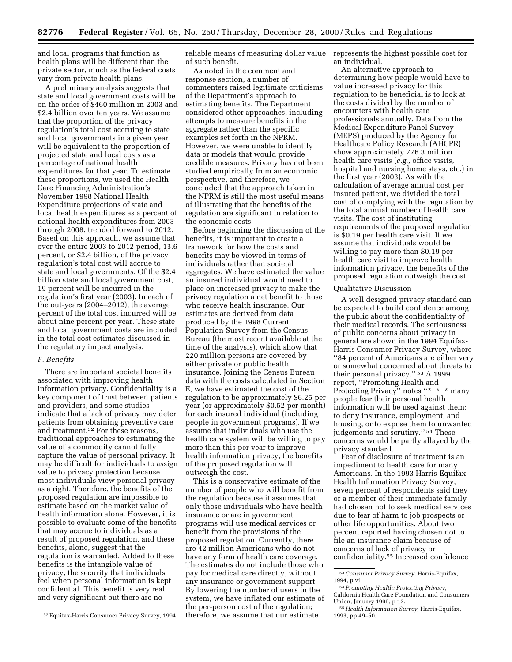and local programs that function as health plans will be different than the private sector, much as the federal costs vary from private health plans.

A preliminary analysis suggests that state and local government costs will be on the order of \$460 million in 2003 and \$2.4 billion over ten years. We assume that the proportion of the privacy regulation's total cost accruing to state and local governments in a given year will be equivalent to the proportion of projected state and local costs as a percentage of national health expenditures for that year. To estimate these proportions, we used the Health Care Financing Administration's November 1998 National Health Expenditure projections of state and local health expenditures as a percent of national health expenditures from 2003 through 2008, trended forward to 2012. Based on this approach, we assume that over the entire 2003 to 2012 period, 13.6 percent, or \$2.4 billion, of the privacy regulation's total cost will accrue to state and local governments. Of the \$2.4 billion state and local government cost, 19 percent will be incurred in the regulation's first year (2003). In each of the out-years (2004–2012), the average percent of the total cost incurred will be about nine percent per year. These state and local government costs are included in the total cost estimates discussed in the regulatory impact analysis.

# *F. Benefits*

There are important societal benefits associated with improving health information privacy. Confidentiality is a key component of trust between patients and providers, and some studies indicate that a lack of privacy may deter patients from obtaining preventive care and treatment.52 For these reasons, traditional approaches to estimating the value of a commodity cannot fully capture the value of personal privacy. It may be difficult for individuals to assign value to privacy protection because most individuals view personal privacy as a right. Therefore, the benefits of the proposed regulation are impossible to estimate based on the market value of health information alone. However, it is possible to evaluate some of the benefits that may accrue to individuals as a result of proposed regulation, and these benefits, alone, suggest that the regulation is warranted. Added to these benefits is the intangible value of privacy, the security that individuals feel when personal information is kept confidential. This benefit is very real and very significant but there are no

reliable means of measuring dollar value of such benefit.

As noted in the comment and response section, a number of commenters raised legitimate criticisms of the Department's approach to estimating benefits. The Department considered other approaches, including attempts to measure benefits in the aggregate rather than the specific examples set forth in the NPRM. However, we were unable to identify data or models that would provide credible measures. Privacy has not been studied empirically from an economic perspective, and therefore, we concluded that the approach taken in the NPRM is still the most useful means of illustrating that the benefits of the regulation are significant in relation to the economic costs.

Before beginning the discussion of the benefits, it is important to create a framework for how the costs and benefits may be viewed in terms of individuals rather than societal aggregates. We have estimated the value an insured individual would need to place on increased privacy to make the privacy regulation a net benefit to those who receive health insurance. Our estimates are derived from data produced by the 1998 Current Population Survey from the Census Bureau (the most recent available at the time of the analysis), which show that 220 million persons are covered by either private or public health insurance. Joining the Census Bureau data with the costs calculated in Section E, we have estimated the cost of the regulation to be approximately \$6.25 per year (or approximately \$0.52 per month) for each insured individual (including people in government programs). If we assume that individuals who use the health care system will be willing to pay more than this per year to improve health information privacy, the benefits of the proposed regulation will outweigh the cost.

This is a conservative estimate of the number of people who will benefit from the regulation because it assumes that only those individuals who have health insurance or are in government programs will use medical services or benefit from the provisions of the proposed regulation. Currently, there are 42 million Americans who do not have any form of health care coverage. The estimates do not include those who pay for medical care directly, without any insurance or government support. By lowering the number of users in the system, we have inflated our estimate of the per-person cost of the regulation; therefore, we assume that our estimate

represents the highest possible cost for an individual.

An alternative approach to determining how people would have to value increased privacy for this regulation to be beneficial is to look at the costs divided by the number of encounters with health care professionals annually. Data from the Medical Expenditure Panel Survey (MEPS) produced by the Agency for Healthcare Policy Research (AHCPR) show approximately 776.3 million health care visits (*e.g.,* office visits, hospital and nursing home stays, etc.) in the first year (2003). As with the calculation of average annual cost per insured patient, we divided the total cost of complying with the regulation by the total annual number of health care visits. The cost of instituting requirements of the proposed regulation is \$0.19 per health care visit. If we assume that individuals would be willing to pay more than \$0.19 per health care visit to improve health information privacy, the benefits of the proposed regulation outweigh the cost.

# Qualitative Discussion

A well designed privacy standard can be expected to build confidence among the public about the confidentiality of their medical records. The seriousness of public concerns about privacy in general are shown in the 1994 Equifax-Harris Consumer Privacy Survey, where ''84 percent of Americans are either very or somewhat concerned about threats to their personal privacy.'' 53 A 1999 report, ''Promoting Health and Protecting Privacy" notes "\* \* \* many people fear their personal health information will be used against them: to deny insurance, employment, and housing, or to expose them to unwanted judgements and scrutiny.'' 54 These concerns would be partly allayed by the privacy standard.

Fear of disclosure of treatment is an impediment to health care for many Americans. In the 1993 Harris-Equifax Health Information Privacy Survey, seven percent of respondents said they or a member of their immediate family had chosen not to seek medical services due to fear of harm to job prospects or other life opportunities. About two percent reported having chosen not to file an insurance claim because of concerns of lack of privacy or confidentiality.55 Increased confidence

<sup>52</sup>Equifax-Harris Consumer Privacy Survey, 1994.

<sup>53</sup>*Consumer Privacy Survey,* Harris-Equifax, 1994, p vi.

<sup>54</sup>*Promoting Health: Protecting Privacy,* California Health Care Foundation and Consumers Union, January 1999, p 12.

<sup>55</sup>*Health Information Survey,* Harris-Equifax, 1993, pp 49–50.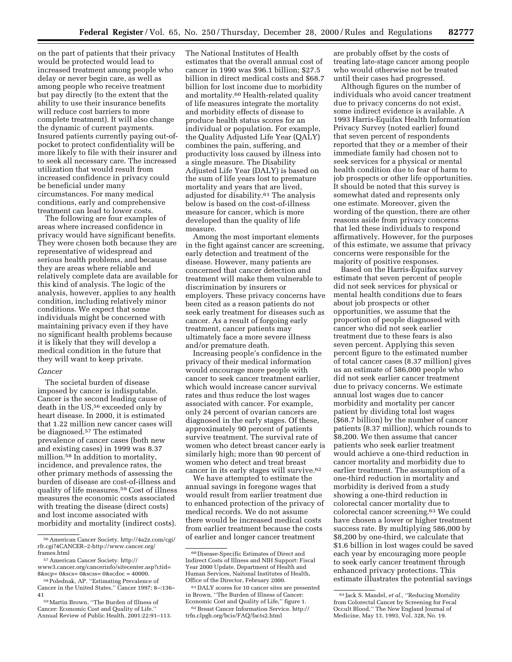on the part of patients that their privacy would be protected would lead to increased treatment among people who delay or never begin care, as well as among people who receive treatment but pay directly (to the extent that the ability to use their insurance benefits will reduce cost barriers to more complete treatment). It will also change the dynamic of current payments. Insured patients currently paying out-ofpocket to protect confidentiality will be more likely to file with their insurer and to seek all necessary care. The increased utilization that would result from increased confidence in privacy could be beneficial under many circumstances. For many medical conditions, early and comprehensive treatment can lead to lower costs.

The following are four examples of areas where increased confidence in privacy would have significant benefits. They were chosen both because they are representative of widespread and serious health problems, and because they are areas where reliable and relatively complete data are available for this kind of analysis. The logic of the analysis, however, applies to any health condition, including relatively minor conditions. We expect that some individuals might be concerned with maintaining privacy even if they have no significant health problems because it is likely that they will develop a medical condition in the future that they will want to keep private.

#### *Cancer*

The societal burden of disease imposed by cancer is indisputable. Cancer is the second leading cause of death in the US,56 exceeded only by heart disease. In 2000, it is estimated that 1.22 million new cancer cases will be diagnosed.57 The estimated prevalence of cancer cases (both new and existing cases) in 1999 was 8.37 million.58 In addition to mortality, incidence, and prevalence rates, the other primary methods of assessing the burden of disease are cost-of-illness and quality of life measures.59 Cost of illness measures the economic costs associated with treating the disease (direct costs) and lost income associated with morbidity and mortality (indirect costs).

The National Institutes of Health estimates that the overall annual cost of cancer in 1990 was \$96.1 billion; \$27.5 billion in direct medical costs and \$68.7 billion for lost income due to morbidity and mortality.60 Health-related quality of life measures integrate the mortality and morbidity effects of disease to produce health status scores for an individual or population. For example, the Quality Adjusted Life Year (QALY) combines the pain, suffering, and productivity loss caused by illness into a single measure. The Disability Adjusted Life Year (DALY) is based on the sum of life years lost to premature mortality and years that are lived, adjusted for disability.61 The analysis below is based on the cost-of-illness measure for cancer, which is more developed than the quality of life measure.

Among the most important elements in the fight against cancer are screening, early detection and treatment of the disease. However, many patients are concerned that cancer detection and treatment will make them vulnerable to discrimination by insurers or employers. These privacy concerns have been cited as a reason patients do not seek early treatment for diseases such as cancer. As a result of forgoing early treatment, cancer patients may ultimately face a more severe illness and/or premature death.

Increasing people's confidence in the privacy of their medical information would encourage more people with cancer to seek cancer treatment earlier, which would increase cancer survival rates and thus reduce the lost wages associated with cancer. For example, only 24 percent of ovarian cancers are diagnosed in the early stages. Of these, approximately 90 percent of patients survive treatment. The survival rate of women who detect breast cancer early is similarly high; more than 90 percent of women who detect and treat breast cancer in its early stages will survive.62

We have attempted to estimate the annual savings in foregone wages that would result from earlier treatment due to enhanced protection of the privacy of medical records. We do not assume there would be increased medical costs from earlier treatment because the costs of earlier and longer cancer treatment

are probably offset by the costs of treating late-stage cancer among people who would otherwise not be treated until their cases had progressed.

Although figures on the number of individuals who avoid cancer treatment due to privacy concerns do not exist, some indirect evidence is available. A 1993 Harris-Equifax Health Information Privacy Survey (noted earlier) found that seven percent of respondents reported that they or a member of their immediate family had chosen not to seek services for a physical or mental health condition due to fear of harm to job prospects or other life opportunities. It should be noted that this survey is somewhat dated and represents only one estimate. Moreover, given the wording of the question, there are other reasons aside from privacy concerns that led these individuals to respond affirmatively. However, for the purposes of this estimate, we assume that privacy concerns were responsible for the majority of positive responses.

Based on the Harris-Equifax survey estimate that seven percent of people did not seek services for physical or mental health conditions due to fears about job prospects or other opportunities, we assume that the proportion of people diagnosed with cancer who did not seek earlier treatment due to these fears is also seven percent. Applying this seven percent figure to the estimated number of total cancer cases (8.37 million) gives us an estimate of 586,000 people who did not seek earlier cancer treatment due to privacy concerns. We estimate annual lost wages due to cancer morbidity and mortality per cancer patient by dividing total lost wages (\$68.7 billion) by the number of cancer patients (8.37 million), which rounds to \$8,200. We then assume that cancer patients who seek earlier treatment would achieve a one-third reduction in cancer mortality and morbidity due to earlier treatment. The assumption of a one-third reduction in mortality and morbidity is derived from a study showing a one-third reduction in colorectal cancer mortality due to colorectal cancer screening.63 We could have chosen a lower or higher treatment success rate. By multiplying 586,000 by \$8,200 by one-third, we calculate that \$1.6 billion in lost wages could be saved each year by encouraging more people to seek early cancer treatment through enhanced privacy protections. This estimate illustrates the potential savings

<sup>56</sup>American Cancer Society. http://4a2z.com/cgi/ rfr.cgi?4CANCER–2-http://www.cancer.org/ frames.html

<sup>57</sup>American Cancer Society. http:// www3.cancer.org/cancerinfo/sitecenter.asp?ctid= 8&scp= 0&scs= 0&scss= 0&scdoc = 40000.

 $\overrightarrow{58}$  Polednak, AP. "Estimating Prevalence of Cancer in the United States,'' Cancer 1997; 8–:136– 41

<sup>59</sup>Martin Brown, ''The Burden of Illness of Cancer: Economic Cost and Quality of Life.'' Annual Review of Public Health, 2001:22:91–113.

<sup>60</sup> Disease-Specific Estimates of Direct and Indirect Costs of Illness and NIH Support: Fiscal Year 2000 Update. Department of Health and Human Services, Naitonal Institutes of Health, Office of the Director, February 2000.

<sup>61</sup> DALY scores for 10 cancer sites are presented in Brown, ''The Burden of Illness of Cancer: Economic Cost and Quality of Life,'' figure 1. 62Breast Cancer Information Service. http:// trfn.clpgh.org/bcis/FAQ/facts2.html

<sup>63</sup> Jack S. Mandel, *et al.,* ''Reducing Mortality from Colorectal Cancer by Screening for Fecal Occult Blood,'' The New England Journal of Medicine, May 13, 1993, Vol, 328, No. 19.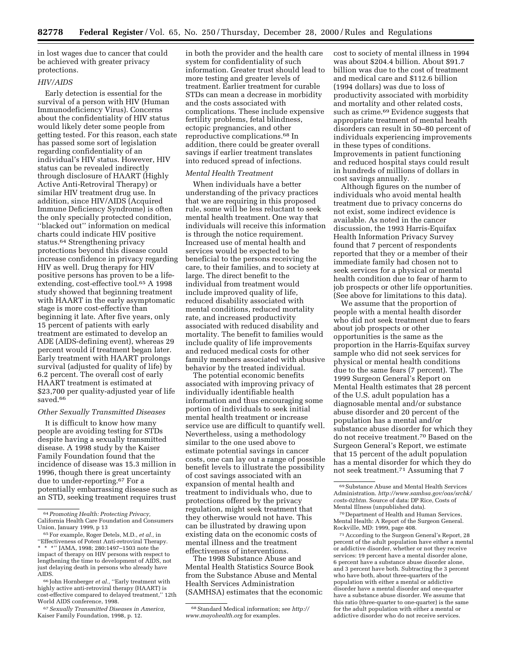in lost wages due to cancer that could be achieved with greater privacy protections.

# *HIV/AIDS*

Early detection is essential for the survival of a person with HIV (Human Immunodeficiency Virus). Concerns about the confidentiality of HIV status would likely deter some people from getting tested. For this reason, each state has passed some sort of legislation regarding confidentiality of an individual's HIV status. However, HIV status can be revealed indirectly through disclosure of HAART (Highly Active Anti-Retroviral Therapy) or similar HIV treatment drug use. In addition, since HIV/AIDS (Acquired Immune Deficiency Syndrome) is often the only specially protected condition, ''blacked out'' information on medical charts could indicate HIV positive status.64 Strengthening privacy protections beyond this disease could increase confidence in privacy regarding HIV as well. Drug therapy for HIV positive persons has proven to be a lifeextending, cost-effective tool.65 A 1998 study showed that beginning treatment with HAART in the early asymptomatic stage is more cost-effective than beginning it late. After five years, only 15 percent of patients with early treatment are estimated to develop an ADE (AIDS-defining event), whereas 29 percent would if treatment began later. Early treatment with HAART prolongs survival (adjusted for quality of life) by 6.2 percent. The overall cost of early HAART treatment is estimated at \$23,700 per quality-adjusted year of life saved.66

#### *Other Sexually Transmitted Diseases*

It is difficult to know how many people are avoiding testing for STDs despite having a sexually transmitted disease. A 1998 study by the Kaiser Family Foundation found that the incidence of disease was 15.3 million in 1996, though there is great uncertainty due to under-reporting.67 For a potentially embarrassing disease such as an STD, seeking treatment requires trust

67*Sexually Transmitted Diseases in America,* Kaiser Family Foundation, 1998, p. 12.

in both the provider and the health care system for confidentiality of such information. Greater trust should lead to more testing and greater levels of treatment. Earlier treatment for curable STDs can mean a decrease in morbidity and the costs associated with complications. These include expensive fertility problems, fetal blindness, ectopic pregnancies, and other reproductive complications.68 In addition, there could be greater overall savings if earlier treatment translates into reduced spread of infections.

# *Mental Health Treatment*

When individuals have a better understanding of the privacy practices that we are requiring in this proposed rule, some will be less reluctant to seek mental health treatment. One way that individuals will receive this information is through the notice requirement. Increased use of mental health and services would be expected to be beneficial to the persons receiving the care, to their families, and to society at large. The direct benefit to the individual from treatment would include improved quality of life, reduced disability associated with mental conditions, reduced mortality rate, and increased productivity associated with reduced disability and mortality. The benefit to families would include quality of life improvements and reduced medical costs for other family members associated with abusive behavior by the treated individual.

The potential economic benefits associated with improving privacy of individually identifiable health information and thus encouraging some portion of individuals to seek initial mental health treatment or increase service use are difficult to quantify well. Nevertheless, using a methodology similar to the one used above to estimate potential savings in cancer costs, one can lay out a range of possible benefit levels to illustrate the possibility of cost savings associated with an expansion of mental health and treatment to individuals who, due to protections offered by the privacy regulation, might seek treatment that they otherwise would not have. This can be illustrated by drawing upon existing data on the economic costs of mental illness and the treatment effectiveness of interventions.

The 1998 Substance Abuse and Mental Health Statistics Source Book from the Substance Abuse and Mental Health Services Administration (SAMHSA) estimates that the economic cost to society of mental illness in 1994 was about \$204.4 billion. About \$91.7 billion was due to the cost of treatment and medical care and \$112.6 billion (1994 dollars) was due to loss of productivity associated with morbidity and mortality and other related costs, such as crime.<sup>69</sup> Evidence suggests that appropriate treatment of mental health disorders can result in 50–80 percent of individuals experiencing improvements in these types of conditions. Improvements in patient functioning and reduced hospital stays could result in hundreds of millions of dollars in cost savings annually.

Although figures on the number of individuals who avoid mental health treatment due to privacy concerns do not exist, some indirect evidence is available. As noted in the cancer discussion, the 1993 Harris-Equifax Health Information Privacy Survey found that 7 percent of respondents reported that they or a member of their immediate family had chosen not to seek services for a physical or mental health condition due to fear of harm to job prospects or other life opportunities. (See above for limitations to this data).

We assume that the proportion of people with a mental health disorder who did not seek treatment due to fears about job prospects or other opportunities is the same as the proportion in the Harris-Equifax survey sample who did not seek services for physical or mental health conditions due to the same fears (7 percent). The 1999 Surgeon General's Report on Mental Health estimates that 28 percent of the U.S. adult population has a diagnosable mental and/or substance abuse disorder and 20 percent of the population has a mental and/or substance abuse disorder for which they do not receive treatment.70 Based on the Surgeon General's Report, we estimate that 15 percent of the adult population has a mental disorder for which they do not seek treatment.71 Assuming that 7

71According to the Surgeon General's Report, 28 percent of the adult population have either a mental or addictive disorder, whether or not they receive services: 19 percent have a mental disorder alone, 6 percent have a substance abuse disorder alone, and 3 percent have both. Subtracting the 3 percent who have both, about three-quarters of the population with either a mental or addictive disorder have a mental disorder and one-quarter have a substance abuse disorder. We assume that this ratio (three-quarter to one-quarter) is the same for the adult population with either a mental or addictive disorder who do not receive services.

<sup>64</sup>*Promoting Health: Protecting Privacy,* California Health Care Foundation and Consumers Union, January 1999, p 13

<sup>65</sup>For example, Roger Detels, M.D., *et al.,* in ''Effectiveness of Potent Anti-retroviral Therapy. \* \* \*'' JAMA, 1998; 280:1497–1503 note the impact of therapy on HIV persons with respect to lengthening the time to development of AIDS, not just delaying death in persons who already have AIDS.

<sup>&</sup>lt;sup>66</sup> John Hornberger *et al.*, "Early treatment with highly active anti-retroviral therapy (HAART) is cost-effective compared to delayed treatment,'' 12th World AIDS conference, 1998.

<sup>68</sup>Standard Medical information; see *http:// www.mayohealth.org* for examples.

 $^{69}\rm$  Substance Abuse and Mental Health Services Administration. *http://www.samhsa.gov/oas/srcbk/ costs-02htm.* Source of data: DP Rice, Costs of Mental Illness (unpublished data).

<sup>70</sup> Department of Health and Human Services, Mental Health: A Report of the Surgeon General. Rockville, MD: 1999, page 408.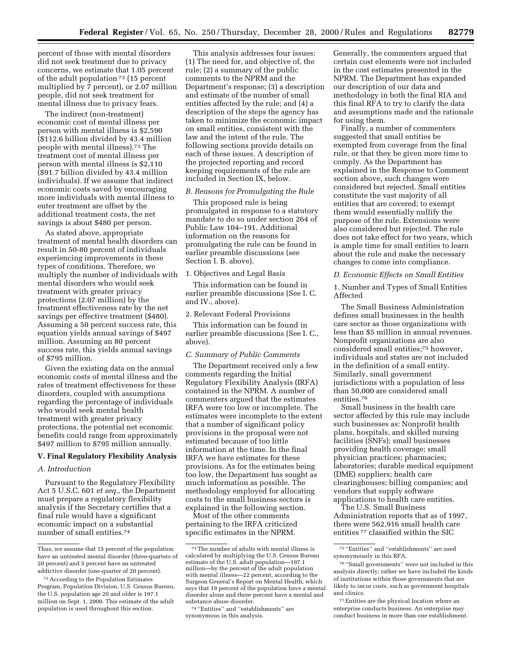percent of those with mental disorders did not seek treatment due to privacy concerns, we estimate that 1.05 percent of the adult population 72 (15 percent multiplied by 7 percent), or 2.07 million people, did not seek treatment for mental illness due to privacy fears.

The indirect (non-treatment) economic cost of mental illness per person with mental illness is \$2,590 (\$112.6 billion divided by 43.4 million people with mental illness).73 The treatment cost of mental illness per person with mental illness is \$2,110 (\$91.7 billion divided by 43.4 million individuals). If we assume that indirect economic costs saved by encouraging more individuals with mental illness to enter treatment are offset by the additional treatment costs, the net savings is about \$480 per person.

As stated above, appropriate treatment of mental health disorders can result in 50-80 percent of individuals experiencing improvements in these types of conditions. Therefore, we multiply the number of individuals with mental disorders who would seek treatment with greater privacy protections (2.07 million) by the treatment effectiveness rate by the net savings per effective treatment (\$480). Assuming a 50 percent success rate, this equation yields annual savings of \$497 million. Assuming an 80 percent success rate, this yields annual savings of \$795 million.

Given the existing data on the annual economic costs of mental illness and the rates of treatment effectiveness for these disorders, coupled with assumptions regarding the percentage of individuals who would seek mental health treatment with greater privacy protections, the potential net economic benefits could range from approximately \$497 million to \$795 million annually.

# **V. Final Regulatory Flexibility Analysis**

# *A. Introduction*

Pursuant to the Regulatory Flexibility Act 5 U.S.C. 601 *et seq.,* the Department must prepare a regulatory flexibility analysis if the Secretary certifies that a final rule would have a significant economic impact on a substantial number of small entities.74

This analysis addresses four issues: (1) The need for, and objective of, the rule; (2) a summary of the public comments to the NPRM and the Department's response; (3) a description and estimate of the number of small entities affected by the rule; and (4) a description of the steps the agency has taken to minimize the economic impact on small entities, consistent with the law and the intent of the rule. The following sections provide details on each of these issues. A description of the projected reporting and record keeping requirements of the rule are included in Section IX, below.

# *B. Reasons for Promulgating the Rule*

This proposed rule is being promulgated in response to a statutory mandate to do so under section 264 of Public Law 104–191. Additional information on the reasons for promulgating the rule can be found in earlier preamble discussions (see Section I. B. above).

# 1. Objectives and Legal Basis

This information can be found in earlier preamble discussions (See I. C. and IV., above).

2. Relevant Federal Provisions

This information can be found in earlier preamble discussions (See I. C., above).

# *C. Summary of Public Comments*

The Department received only a few comments regarding the Initial Regulatory Flexibility Analysis (IRFA) contained in the NPRM. A number of commenters argued that the estimates IRFA were too low or incomplete. The estimates were incomplete to the extent that a number of significant policy provisions in the proposal were not estimated because of too little information at the time. In the final IRFA we have estimates for these provisions. As for the estimates being too low, the Department has sought as much information as possible. The methodology employed for allocating costs to the small business sectors is explained in the following section.

Most of the other comments pertaining to the IRFA criticized specific estimates in the NPRM.

Generally, the commenters argued that certain cost elements were not included in the cost estimates presented in the NPRM. The Department has expanded our description of our data and methodology in both the final RIA and this final RFA to try to clarify the data and assumptions made and the rationale for using them.

Finally, a number of commenters suggested that small entities be exempted from coverage from the final rule, or that they be given more time to comply. As the Department has explained in the Response to Comment section above, such changes were considered but rejected. Small entities constitute the vast majority of all entities that are covered; to exempt them would essentially nullify the purpose of the rule. Extensions were also considered but rejected. The rule does not take effect for two years, which is ample time for small entities to learn about the rule and make the necessary changes to come into compliance.

# *D. Economic Effects on Small Entities*

1. Number and Types of Small Entities Affected

The Small Business Administration defines small businesses in the health care sector as those organizations with less than \$5 million in annual revenues. Nonprofit organizations are also considered small entities;75 however, individuals and states are not included in the definition of a small entity. Similarly, small government jurisdictions with a population of less than 50,000 are considered small entities.76

Small business in the health care sector affected by this rule may include such businesses as: Nonprofit health plans, hospitals, and skilled nursing facilities (SNFs); small businesses providing health coverage; small physician practices; pharmacies; laboratories; durable medical equipment (DME) suppliers; health care clearinghouses; billing companies; and vendors that supply software applications to health care entities.

The U.S. Small Business

Administration reports that as of 1997, there were 562,916 small health care entities 77 classified within the SIC

77Entities are the physical location where an enterprise conducts business. An enterprise may conduct business in more than one establishment.

Thus, we assume that 15 percent of the population have an untreated mental disorder (three-quarters of 20 percent) and 5 percent have an untreated addictive disorder (one-quarter of 20 percent).

<sup>72</sup>According to the Population Estimates Program, Population Division, U.S. Census Bureau, the U.S. population age 20 and older is 197.1 million on Sept. 1, 2000. This estimate of the adult population is used throughout this section.

<sup>73</sup>The number of adults with mental illness is calculated by multiplying the U.S. Census Bureau estimate of the U.S. adult population—197.1 million—by the percent of the adult population with mental illness—22 percent, according to the Surgeon General's Report on Mental Health, which says that 19 percent of the population have a mental disorder alone and three percent have a mental and substance abuse disorder.

<sup>74</sup> ''Entities'' and ''establishments'' are synonymous in this analysis.

<sup>75</sup> ''Entities'' and ''establishments'' are used synonymously in this RFA.

<sup>76</sup> ''Small governments'' were not included in this analysis directly; rather we have included the kinds of institutions within those governments that are likely to incur costs, such as government hospitals and clinics.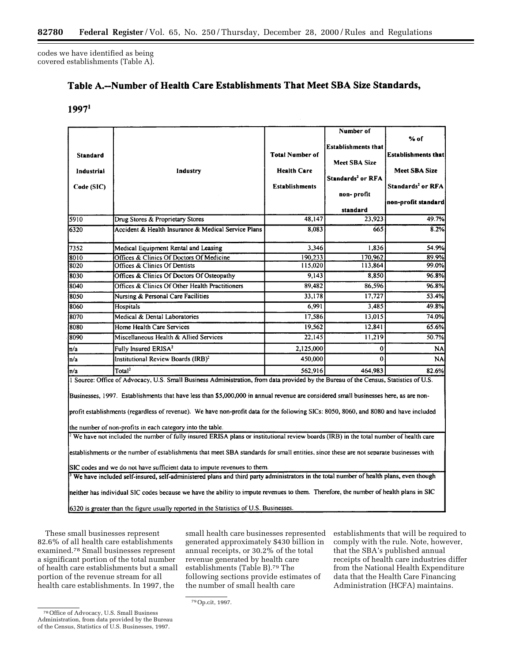codes we have identified as being covered establishments (Table A).

# Table A.--Number of Health Care Establishments That Meet SBA Size Standards,

# $1997<sup>1</sup>$

|                 |                                                                                                                                                                                                                                                                               |                        | Number of                     |                               |
|-----------------|-------------------------------------------------------------------------------------------------------------------------------------------------------------------------------------------------------------------------------------------------------------------------------|------------------------|-------------------------------|-------------------------------|
|                 |                                                                                                                                                                                                                                                                               |                        |                               | $%$ of                        |
|                 |                                                                                                                                                                                                                                                                               | <b>Total Number of</b> | <b>Establishments that</b>    | Establishments that           |
| <b>Standard</b> |                                                                                                                                                                                                                                                                               |                        | <b>Meet SBA Size</b>          |                               |
| Industrial      | Industry                                                                                                                                                                                                                                                                      | <b>Health Care</b>     |                               | <b>Meet SBA Size</b>          |
|                 |                                                                                                                                                                                                                                                                               |                        | Standards <sup>2</sup> or RFA |                               |
| Code (SIC)      |                                                                                                                                                                                                                                                                               | <b>Establishments</b>  |                               | Standards <sup>2</sup> or RFA |
|                 |                                                                                                                                                                                                                                                                               |                        | non-profit                    | non-profit standard           |
|                 |                                                                                                                                                                                                                                                                               |                        | standard                      |                               |
| 5910            | Drug Stores & Proprietary Stores                                                                                                                                                                                                                                              | 48,147                 | 23,923                        | 49.7%                         |
| 6320            | Accident & Health Insurance & Medical Service Plans                                                                                                                                                                                                                           | 8.083                  | 665                           | 8.2%                          |
|                 |                                                                                                                                                                                                                                                                               |                        |                               |                               |
| 7352            | Medical Equipment Rental and Leasing                                                                                                                                                                                                                                          | 3,346                  | 1,836                         | 54.9%                         |
| 8010            | Offices & Clinics Of Doctors Of Medicine                                                                                                                                                                                                                                      | 190,233                | 170.962                       | 89.9%                         |
| 18020           | Offices & Clinics Of Dentists                                                                                                                                                                                                                                                 | 115,020                | 113,864                       | 99.0%                         |
| 8030            | Offices & Clinics Of Doctors Of Osteopathy                                                                                                                                                                                                                                    | 9.143                  | 8,850                         | 96.8%                         |
| 8040            | Offices & Clinics Of Other Health Practitioners                                                                                                                                                                                                                               | 89,482                 | 86,596                        | 96.8%                         |
| 8050            | Nursing & Personal Care Facilities                                                                                                                                                                                                                                            | 33,178                 | 17,727                        | 53.4%                         |
| 8060            | Hospitals                                                                                                                                                                                                                                                                     | 6,991                  | 3,485                         | 49.8%                         |
| 8070            | Medical & Dental Laboratories                                                                                                                                                                                                                                                 | 17,586                 | 13.015                        | 74.0%                         |
| 8080            | Home Health Care Services                                                                                                                                                                                                                                                     | 19,562                 | 12,841                        | 65.6%                         |
| 8090            | Miscellaneous Health & Allied Services                                                                                                                                                                                                                                        | 22,145                 | 11,219                        | 50.7%                         |
| n/a             | Fully Insured ERISA <sup>2</sup>                                                                                                                                                                                                                                              | 2,125,000              | 0                             | NA                            |
| n/a             | Institutional Review Boards (IRB) <sup>2</sup>                                                                                                                                                                                                                                | 450,000                | 0                             | NA                            |
| n/a             | Total <sup>2</sup>                                                                                                                                                                                                                                                            | 562,916                | 464,983                       | 82.6%                         |
|                 | 1 Source: Office of Advocacy, U.S. Small Business Administration, from data provided by the Bureau of the Census, Statistics of U.S.                                                                                                                                          |                        |                               |                               |
|                 | Businesses, 1997. Establishments that have less than \$5,000,000 in annual revenue are considered small businesses here, as are non-<br>profit establishments (regardless of revenue). We have non-profit data for the following SICs: 8050, 8060, and 8080 and have included |                        |                               |                               |
|                 | the number of non-profits in each category into the table.                                                                                                                                                                                                                    |                        |                               |                               |
|                 | <sup>2</sup> We have not included the number of fully insured ERISA plans or institutional review boards (IRB) in the total number of health care                                                                                                                             |                        |                               |                               |
|                 | establishments or the number of establishments that meet SBA standards for small entities, since these are not separate businesses with                                                                                                                                       |                        |                               |                               |
|                 | SIC codes and we do not have sufficient data to impute revenues to them.                                                                                                                                                                                                      |                        |                               |                               |
|                 | <sup>3</sup> We have included self-insured, self-administered plans and third party administrators in the total number of health plans, even though                                                                                                                           |                        |                               |                               |
|                 | neither has individual SIC codes because we have the ability to impute revenues to them. Therefore, the number of health plans in SIC                                                                                                                                         |                        |                               |                               |
|                 | 6320 is greater than the figure usually reported in the Statistics of U.S. Businesses.                                                                                                                                                                                        |                        |                               |                               |

These small businesses represent 82.6% of all health care establishments examined.78 Small businesses represent a significant portion of the total number of health care establishments but a small portion of the revenue stream for all health care establishments. In 1997, the

small health care businesses represented generated approximately \$430 billion in annual receipts, or 30.2% of the total revenue generated by health care establishments (Table B).79 The following sections provide estimates of the number of small health care

establishments that will be required to comply with the rule. Note, however, that the SBA's published annual receipts of health care industries differ from the National Health Expenditure data that the Health Care Financing Administration (HCFA) maintains.

<sup>79</sup>Op.cit, 1997.

<sup>78</sup>Office of Advocacy, U.S. Small Business Administration, from data provided by the Bureau of the Census, Statistics of U.S. Businesses, 1997.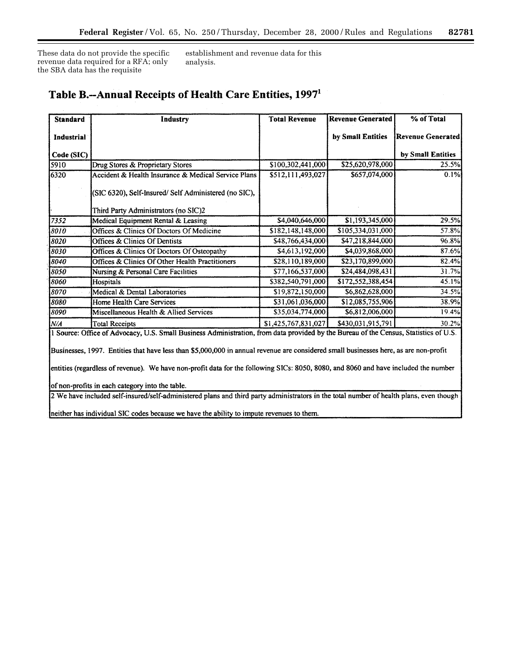۲

These data do not provide the specific revenue data required for a RFA; only the SBA data has the requisite

establishment and revenue data for this analysis.

# Table B.--Annual Receipts of Health Care Entities, 1997<sup>1</sup>

| <b>Standard</b> | Industry                                                                                                                                                                                                                            | <b>Total Revenue</b> | <b>Revenue Generated</b> | % of Total               |
|-----------------|-------------------------------------------------------------------------------------------------------------------------------------------------------------------------------------------------------------------------------------|----------------------|--------------------------|--------------------------|
| Industrial      |                                                                                                                                                                                                                                     |                      | by Small Entities        | <b>Revenue Generated</b> |
| Code (SIC)      |                                                                                                                                                                                                                                     |                      |                          | by Small Entities        |
| 5910            | Drug Stores & Proprietary Stores                                                                                                                                                                                                    | \$100,302,441,000    | \$25,620,978,000         | 25.5%                    |
| 6320            | Accident & Health Insurance & Medical Service Plans                                                                                                                                                                                 | \$512,111,493,027    | \$657,074,000            | 0.1%                     |
|                 | (SIC 6320), Self-Insured/Self Administered (no SIC),                                                                                                                                                                                |                      |                          |                          |
|                 | Third Party Administrators (no SIC)2                                                                                                                                                                                                |                      |                          |                          |
| 7352            | Medical Equipment Rental & Leasing                                                                                                                                                                                                  | \$4,040,646,000      | \$1,193,345,000          | 29.5%                    |
| 8010            | Offices & Clinics Of Doctors Of Medicine                                                                                                                                                                                            | 5182, 148, 148, 000  | \$105,334,031,000        | 57.8%                    |
| 8020            | <b>Offices &amp; Clinics Of Dentists</b>                                                                                                                                                                                            | \$48,766,434,000     | \$47,218,844,000         | 96.8%                    |
| 8030            | Offices & Clinics Of Doctors Of Osteopathy                                                                                                                                                                                          | \$4,613,192,000      | \$4,039,868,000          | 87.6%                    |
| 8040            | Offices & Clinics Of Other Health Practitioners                                                                                                                                                                                     | \$28,110,189,000     | \$23,170,899,000         | 82.4%                    |
| 8050            | Nursing & Personal Care Facilities                                                                                                                                                                                                  | \$77,166,537,000     | \$24,484,098,431         | 31.7%                    |
| 8060            | Hospitals                                                                                                                                                                                                                           | \$382,540,791,000    | \$172,552,388,454        | 45.1%                    |
| 8070            | Medical & Dental Laboratories                                                                                                                                                                                                       | \$19,872,150,000     | \$6,862,628,000          | 34.5%                    |
| 8080            | Home Health Care Services                                                                                                                                                                                                           | \$31,061,036,000     | \$12,085,755,906         | 38.9%                    |
| 8090            | Miscellaneous Health & Allied Services                                                                                                                                                                                              | \$35,034,774,000     | \$6,812,006,000          | 19.4%                    |
| N/A             | Total Receipts                                                                                                                                                                                                                      | \$1,425,767,831,027  | \$430,031,915,791        | 30.2%                    |
|                 | 1 Source: Office of Advocacy, U.S. Small Business Administration, from data provided by the Bureau of the Census, Statistics of U.S.                                                                                                |                      |                          |                          |
|                 | Businesses, 1997. Entities that have less than \$5,000,000 in annual revenue are considered small businesses here, as are non-profit                                                                                                |                      |                          |                          |
|                 | entities (regardless of revenue). We have non-profit data for the following SICs: 8050, 8080, and 8060 and have included the number<br>of non-profits in each category into the table.                                              |                      |                          |                          |
|                 | 2 We have included self-insured/self-administered plans and third party administrators in the total number of health plans, even though<br>neither has individual SIC codes because we have the ability to impute revenues to them. |                      |                          |                          |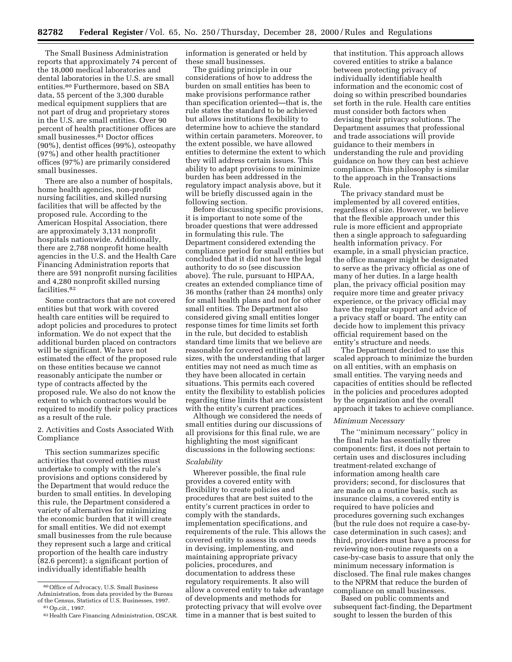The Small Business Administration reports that approximately 74 percent of the 18,000 medical laboratories and dental laboratories in the U.S. are small entities.80 Furthermore, based on SBA data, 55 percent of the 3,300 durable medical equipment suppliers that are not part of drug and proprietary stores in the U.S. are small entities. Over 90 percent of health practitioner offices are small businesses.<sup>81</sup> Doctor offices (90%), dentist offices (99%), osteopathy (97%) and other health practitioner offices (97%) are primarily considered small businesses.

There are also a number of hospitals, home health agencies, non-profit nursing facilities, and skilled nursing facilities that will be affected by the proposed rule. According to the American Hospital Association, there are approximately 3,131 nonprofit hospitals nationwide. Additionally, there are 2,788 nonprofit home health agencies in the U.S. and the Health Care Financing Administration reports that there are 591 nonprofit nursing facilities and 4,280 nonprofit skilled nursing facilities.82

Some contractors that are not covered entities but that work with covered health care entities will be required to adopt policies and procedures to protect information. We do not expect that the additional burden placed on contractors will be significant. We have not estimated the effect of the proposed rule on these entities because we cannot reasonably anticipate the number or type of contracts affected by the proposed rule. We also do not know the extent to which contractors would be required to modify their policy practices as a result of the rule.

2. Activities and Costs Associated With Compliance

This section summarizes specific activities that covered entities must undertake to comply with the rule's provisions and options considered by the Department that would reduce the burden to small entities. In developing this rule, the Department considered a variety of alternatives for minimizing the economic burden that it will create for small entities. We did not exempt small businesses from the rule because they represent such a large and critical proportion of the health care industry (82.6 percent); a significant portion of individually identifiable health

information is generated or held by these small businesses.

The guiding principle in our considerations of how to address the burden on small entities has been to make provisions performance rather than specification oriented—that is, the rule states the standard to be achieved but allows institutions flexibility to determine how to achieve the standard within certain parameters. Moreover, to the extent possible, we have allowed entities to determine the extent to which they will address certain issues. This ability to adapt provisions to minimize burden has been addressed in the regulatory impact analysis above, but it will be briefly discussed again in the following section.

Before discussing specific provisions, it is important to note some of the broader questions that were addressed in formulating this rule. The Department considered extending the compliance period for small entities but concluded that it did not have the legal authority to do so (see discussion above). The rule, pursuant to HIPAA, creates an extended compliance time of 36 months (rather than 24 months) only for small health plans and not for other small entities. The Department also considered giving small entities longer response times for time limits set forth in the rule, but decided to establish standard time limits that we believe are reasonable for covered entities of all sizes, with the understanding that larger entities may not need as much time as they have been allocated in certain situations. This permits each covered entity the flexibility to establish policies regarding time limits that are consistent with the entity's current practices.

Although we considered the needs of small entities during our discussions of all provisions for this final rule, we are highlighting the most significant discussions in the following sections:

#### *Scalability*

Wherever possible, the final rule provides a covered entity with flexibility to create policies and procedures that are best suited to the entity's current practices in order to comply with the standards, implementation specifications, and requirements of the rule. This allows the covered entity to assess its own needs in devising, implementing, and maintaining appropriate privacy policies, procedures, and documentation to address these regulatory requirements. It also will allow a covered entity to take advantage of developments and methods for protecting privacy that will evolve over time in a manner that is best suited to

that institution. This approach allows covered entities to strike a balance between protecting privacy of individually identifiable health information and the economic cost of doing so within prescribed boundaries set forth in the rule. Health care entities must consider both factors when devising their privacy solutions. The Department assumes that professional and trade associations will provide guidance to their members in understanding the rule and providing guidance on how they can best achieve compliance. This philosophy is similar to the approach in the Transactions Rule.

The privacy standard must be implemented by all covered entities, regardless of size. However, we believe that the flexible approach under this rule is more efficient and appropriate then a single approach to safeguarding health information privacy. For example, in a small physician practice, the office manager might be designated to serve as the privacy official as one of many of her duties. In a large health plan, the privacy official position may require more time and greater privacy experience, or the privacy official may have the regular support and advice of a privacy staff or board. The entity can decide how to implement this privacy official requirement based on the entity's structure and needs.

The Department decided to use this scaled approach to minimize the burden on all entities, with an emphasis on small entities. The varying needs and capacities of entities should be reflected in the policies and procedures adopted by the organization and the overall approach it takes to achieve compliance.

#### *Minimum Necessary*

The ''minimum necessary'' policy in the final rule has essentially three components: first, it does not pertain to certain uses and disclosures including treatment-related exchange of information among health care providers; second, for disclosures that are made on a routine basis, such as insurance claims, a covered entity is required to have policies and procedures governing such exchanges (but the rule does not require a case-bycase determination in such cases); and third, providers must have a process for reviewing non-routine requests on a case-by-case basis to assure that only the minimum necessary information is disclosed. The final rule makes changes to the NPRM that reduce the burden of compliance on small businesses.

Based on public comments and subsequent fact-finding, the Department sought to lessen the burden of this

<sup>80</sup>Office of Advocacy, U.S. Small Business Administration, from data provided by the Bureau of the Census, Statistics of U.S. Businesses, 1997.

<sup>81</sup>Op.cit., 1997.

<sup>82</sup>Health Care Financing Administration, OSCAR.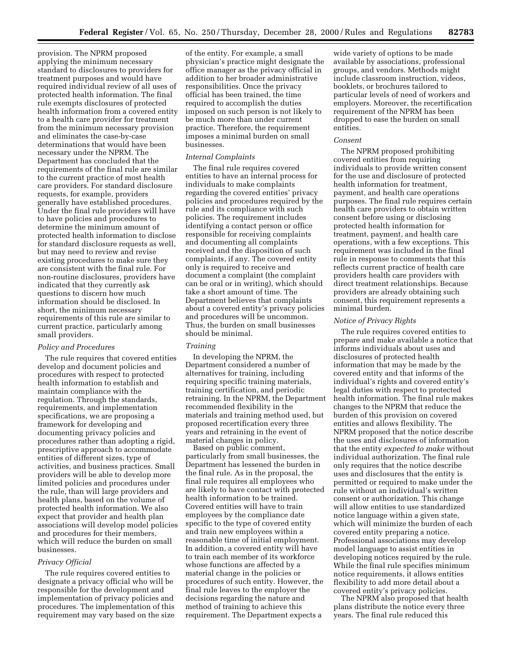provision. The NPRM proposed applying the minimum necessary standard to disclosures to providers for treatment purposes and would have required individual review of all uses of protected health information. The final rule exempts disclosures of protected health information from a covered entity to a health care provider for treatment from the minimum necessary provision and eliminates the case-by-case determinations that would have been necessary under the NPRM. The Department has concluded that the requirements of the final rule are similar to the current practice of most health care providers. For standard disclosure requests, for example, providers generally have established procedures. Under the final rule providers will have to have policies and procedures to determine the minimum amount of protected health information to disclose for standard disclosure requests as well, but may need to review and revise existing procedures to make sure they are consistent with the final rule. For non-routine disclosures, providers have indicated that they currently ask questions to discern how much information should be disclosed. In short, the minimum necessary requirements of this rule are similar to current practice, particularly among small providers.

# *Policy and Procedures*

The rule requires that covered entities develop and document policies and procedures with respect to protected health information to establish and maintain compliance with the regulation. Through the standards, requirements, and implementation specifications, we are proposing a framework for developing and documenting privacy policies and procedures rather than adopting a rigid, prescriptive approach to accommodate entities of different sizes, type of activities, and business practices. Small providers will be able to develop more limited policies and procedures under the rule, than will large providers and health plans, based on the volume of protected health information. We also expect that provider and health plan associations will develop model policies and procedures for their members, which will reduce the burden on small businesses.

#### *Privacy Official*

The rule requires covered entities to designate a privacy official who will be responsible for the development and implementation of privacy policies and procedures. The implementation of this requirement may vary based on the size

of the entity. For example, a small physician's practice might designate the office manager as the privacy official in addition to her broader administrative responsibilities. Once the privacy official has been trained, the time required to accomplish the duties imposed on such person is not likely to be much more than under current practice. Therefore, the requirement imposes a minimal burden on small businesses.

# *Internal Complaints*

The final rule requires covered entities to have an internal process for individuals to make complaints regarding the covered entities' privacy policies and procedures required by the rule and its compliance with such policies. The requirement includes identifying a contact person or office responsible for receiving complaints and documenting all complaints received and the disposition of such complaints, if any. The covered entity only is required to receive and document a complaint (the complaint can be oral or in writing), which should take a short amount of time. The Department believes that complaints about a covered entity's privacy policies and procedures will be uncommon. Thus, the burden on small businesses should be minimal.

# *Training*

In developing the NPRM, the Department considered a number of alternatives for training, including requiring specific training materials, training certification, and periodic retraining. In the NPRM, the Department recommended flexibility in the materials and training method used, but proposed recertification every three years and retraining in the event of material changes in policy.

Based on public comment, particularly from small businesses, the Department has lessened the burden in the final rule. As in the proposal, the final rule requires all employees who are likely to have contact with protected health information to be trained. Covered entities will have to train employees by the compliance date specific to the type of covered entity and train new employees within a reasonable time of initial employment. In addition, a covered entity will have to train each member of its workforce whose functions are affected by a material change in the policies or procedures of such entity. However, the final rule leaves to the employer the decisions regarding the nature and method of training to achieve this requirement. The Department expects a

wide variety of options to be made available by associations, professional groups, and vendors. Methods might include classroom instruction, videos, booklets, or brochures tailored to particular levels of need of workers and employers. Moreover, the recertification requirement of the NPRM has been dropped to ease the burden on small entities.

#### *Consent*

The NPRM proposed prohibiting covered entities from requiring individuals to provide written consent for the use and disclosure of protected health information for treatment, payment, and health care operations purposes. The final rule requires certain health care providers to obtain written consent before using or disclosing protected health information for treatment, payment, and health care operations, with a few exceptions. This requirement was included in the final rule in response to comments that this reflects current practice of health care providers health care providers with direct treatment relationships. Because providers are already obtaining such consent, this requirement represents a minimal burden.

# *Notice of Privacy Rights*

The rule requires covered entities to prepare and make available a notice that informs individuals about uses and disclosures of protected health information that may be made by the covered entity and that informs of the individual's rights and covered entity's legal duties with respect to protected health information. The final rule makes changes to the NPRM that reduce the burden of this provision on covered entities and allows flexibility. The NPRM proposed that the notice describe the uses and disclosures of information that the entity *expected to make* without individual authorization. The final rule only requires that the notice describe uses and disclosures that the entity is permitted or required to make under the rule without an individual's written consent or authorization. This change will allow entities to use standardized notice language within a given state, which will minimize the burden of each covered entity preparing a notice. Professional associations may develop model language to assist entities in developing notices required by the rule. While the final rule specifies minimum notice requirements, it allows entities flexibility to add more detail about a covered entity's privacy policies.

The NPRM also proposed that health plans distribute the notice every three years. The final rule reduced this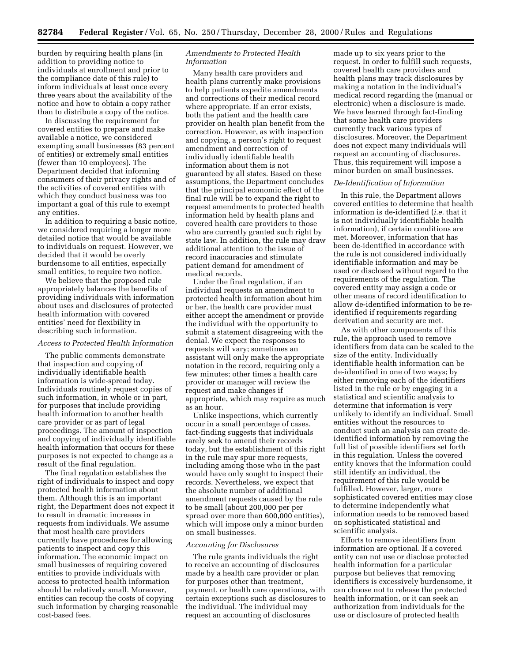burden by requiring health plans (in addition to providing notice to individuals at enrollment and prior to the compliance date of this rule) to inform individuals at least once every three years about the availability of the notice and how to obtain a copy rather than to distribute a copy of the notice.

In discussing the requirement for covered entities to prepare and make available a notice, we considered exempting small businesses (83 percent of entities) or extremely small entities (fewer than 10 employees). The Department decided that informing consumers of their privacy rights and of the activities of covered entities with which they conduct business was too important a goal of this rule to exempt any entities.

In addition to requiring a basic notice, we considered requiring a longer more detailed notice that would be available to individuals on request. However, we decided that it would be overly burdensome to all entities, especially small entities, to require two notice.

We believe that the proposed rule appropriately balances the benefits of providing individuals with information about uses and disclosures of protected health information with covered entities' need for flexibility in describing such information.

# *Access to Protected Health Information*

The public comments demonstrate that inspection and copying of individually identifiable health information is wide-spread today. Individuals routinely request copies of such information, in whole or in part, for purposes that include providing health information to another health care provider or as part of legal proceedings. The amount of inspection and copying of individually identifiable health information that occurs for these purposes is not expected to change as a result of the final regulation.

The final regulation establishes the right of individuals to inspect and copy protected health information about them. Although this is an important right, the Department does not expect it to result in dramatic increases in requests from individuals. We assume that most health care providers currently have procedures for allowing patients to inspect and copy this information. The economic impact on small businesses of requiring covered entities to provide individuals with access to protected health information should be relatively small. Moreover, entities can recoup the costs of copying such information by charging reasonable cost-based fees.

# *Amendments to Protected Health Information*

Many health care providers and health plans currently make provisions to help patients expedite amendments and corrections of their medical record where appropriate. If an error exists, both the patient and the health care provider on health plan benefit from the correction. However, as with inspection and copying, a person's right to request amendment and correction of individually identifiable health information about them is not guaranteed by all states. Based on these assumptions, the Department concludes that the principal economic effect of the final rule will be to expand the right to request amendments to protected health information held by health plans and covered health care providers to those who are currently granted such right by state law. In addition, the rule may draw additional attention to the issue of record inaccuracies and stimulate patient demand for amendment of medical records.

Under the final regulation, if an individual requests an amendment to protected health information about him or her, the health care provider must either accept the amendment or provide the individual with the opportunity to submit a statement disagreeing with the denial. We expect the responses to requests will vary; sometimes an assistant will only make the appropriate notation in the record, requiring only a few minutes; other times a health care provider or manager will review the request and make changes if appropriate, which may require as much as an hour.

Unlike inspections, which currently occur in a small percentage of cases, fact-finding suggests that individuals rarely seek to amend their records today, but the establishment of this right in the rule may spur more requests, including among those who in the past would have only sought to inspect their records. Nevertheless, we expect that the absolute number of additional amendment requests caused by the rule to be small (about 200,000 per per spread over more than 600,000 entities), which will impose only a minor burden on small businesses.

# *Accounting for Disclosures*

The rule grants individuals the right to receive an accounting of disclosures made by a health care provider or plan for purposes other than treatment, payment, or health care operations, with certain exceptions such as disclosures to the individual. The individual may request an accounting of disclosures

made up to six years prior to the request. In order to fulfill such requests, covered health care providers and health plans may track disclosures by making a notation in the individual's medical record regarding the (manual or electronic) when a disclosure is made. We have learned through fact-finding that some health care providers currently track various types of disclosures. Moreover, the Department does not expect many individuals will request an accounting of disclosures. Thus, this requirement will impose a minor burden on small businesses.

#### *De-Identification of Information*

In this rule, the Department allows covered entities to determine that health information is de-identified (*i.e.* that it is not individually identifiable health information), if certain conditions are met. Moreover, information that has been de-identified in accordance with the rule is not considered individually identifiable information and may be used or disclosed without regard to the requirements of the regulation. The covered entity may assign a code or other means of record identification to allow de-identified information to be reidentified if requirements regarding derivation and security are met.

As with other components of this rule, the approach used to remove identifiers from data can be scaled to the size of the entity. Individually identifiable health information can be de-identified in one of two ways; by either removing each of the identifiers listed in the rule or by engaging in a statistical and scientific analysis to determine that information is very unlikely to identify an individual. Small entities without the resources to conduct such an analysis can create deidentified information by removing the full list of possible identifiers set forth in this regulation. Unless the covered entity knows that the information could still identify an individual, the requirement of this rule would be fulfilled. However, larger, more sophisticated covered entities may close to determine independently what information needs to be removed based on sophisticated statistical and scientific analysis.

Efforts to remove identifiers from information are optional. If a covered entity can not use or disclose protected health information for a particular purpose but believes that removing identifiers is excessively burdensome, it can choose not to release the protected health information, or it can seek an authorization from individuals for the use or disclosure of protected health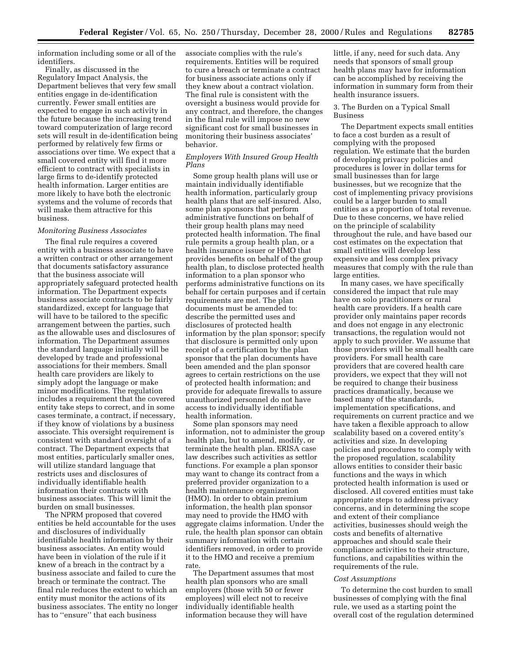information including some or all of the identifiers.

Finally, as discussed in the Regulatory Impact Analysis, the Department believes that very few small entities engage in de-identification currently. Fewer small entities are expected to engage in such activity in the future because the increasing trend toward computerization of large record sets will result in de-identification being performed by relatively few firms or associations over time. We expect that a small covered entity will find it more efficient to contract with specialists in large firms to de-identify protected health information. Larger entities are more likely to have both the electronic systems and the volume of records that will make them attractive for this business.

#### *Monitoring Business Associates*

The final rule requires a covered entity with a business associate to have a written contract or other arrangement that documents satisfactory assurance that the business associate will appropriately safeguard protected health information. The Department expects business associate contracts to be fairly standardized, except for language that will have to be tailored to the specific arrangement between the parties, such as the allowable uses and disclosures of information. The Department assumes the standard language initially will be developed by trade and professional associations for their members. Small health care providers are likely to simply adopt the language or make minor modifications. The regulation includes a requirement that the covered entity take steps to correct, and in some cases terminate, a contract, if necessary, if they know of violations by a business associate. This oversight requirement is consistent with standard oversight of a contract. The Department expects that most entities, particularly smaller ones, will utilize standard language that restricts uses and disclosures of individually identifiable health information their contracts with business associates. This will limit the burden on small businesses.

The NPRM proposed that covered entities be held accountable for the uses and disclosures of individually identifiable health information by their business associates. An entity would have been in violation of the rule if it knew of a breach in the contract by a business associate and failed to cure the breach or terminate the contract. The final rule reduces the extent to which an entity must monitor the actions of its business associates. The entity no longer has to ''ensure'' that each business

associate complies with the rule's requirements. Entities will be required to cure a breach or terminate a contract for business associate actions only if they knew about a contract violation. The final rule is consistent with the oversight a business would provide for any contract, and therefore, the changes in the final rule will impose no new significant cost for small businesses in monitoring their business associates' behavior.

# *Employers With Insured Group Health Plans*

Some group health plans will use or maintain individually identifiable health information, particularly group health plans that are self-insured. Also, some plan sponsors that perform administrative functions on behalf of their group health plans may need protected health information. The final rule permits a group health plan, or a health insurance issuer or HMO that provides benefits on behalf of the group health plan, to disclose protected health information to a plan sponsor who performs administrative functions on its behalf for certain purposes and if certain requirements are met. The plan documents must be amended to: describe the permitted uses and disclosures of protected health information by the plan sponsor; specify that disclosure is permitted only upon receipt of a certification by the plan sponsor that the plan documents have been amended and the plan sponsor agrees to certain restrictions on the use of protected health information; and provide for adequate firewalls to assure unauthorized personnel do not have access to individually identifiable health information.

Some plan sponsors may need information, not to administer the group health plan, but to amend, modify, or terminate the health plan. ERISA case law describes such activities as settlor functions. For example a plan sponsor may want to change its contract from a preferred provider organization to a health maintenance organization (HMO). In order to obtain premium information, the health plan sponsor may need to provide the HMO with aggregate claims information. Under the rule, the health plan sponsor can obtain summary information with certain identifiers removed, in order to provide it to the HMO and receive a premium rate.

The Department assumes that most health plan sponsors who are small employers (those with 50 or fewer employees) will elect not to receive individually identifiable health information because they will have

little, if any, need for such data. Any needs that sponsors of small group health plans may have for information can be accomplished by receiving the information in summary form from their health insurance issuers.

# 3. The Burden on a Typical Small Business

The Department expects small entities to face a cost burden as a result of complying with the proposed regulation. We estimate that the burden of developing privacy policies and procedures is lower in dollar terms for small businesses than for large businesses, but we recognize that the cost of implementing privacy provisions could be a larger burden to small entities as a proportion of total revenue. Due to these concerns, we have relied on the principle of scalability throughout the rule, and have based our cost estimates on the expectation that small entities will develop less expensive and less complex privacy measures that comply with the rule than large entities.

In many cases, we have specifically considered the impact that rule may have on solo practitioners or rural health care providers. If a health care provider only maintains paper records and does not engage in any electronic transactions, the regulation would not apply to such provider. We assume that those providers will be small health care providers. For small health care providers that are covered health care providers, we expect that they will not be required to change their business practices dramatically, because we based many of the standards, implementation specifications, and requirements on current practice and we have taken a flexible approach to allow scalability based on a covered entity's activities and size. In developing policies and procedures to comply with the proposed regulation, scalability allows entities to consider their basic functions and the ways in which protected health information is used or disclosed. All covered entities must take appropriate steps to address privacy concerns, and in determining the scope and extent of their compliance activities, businesses should weigh the costs and benefits of alternative approaches and should scale their compliance activities to their structure, functions, and capabilities within the requirements of the rule.

#### *Cost Assumptions*

To determine the cost burden to small businesses of complying with the final rule, we used as a starting point the overall cost of the regulation determined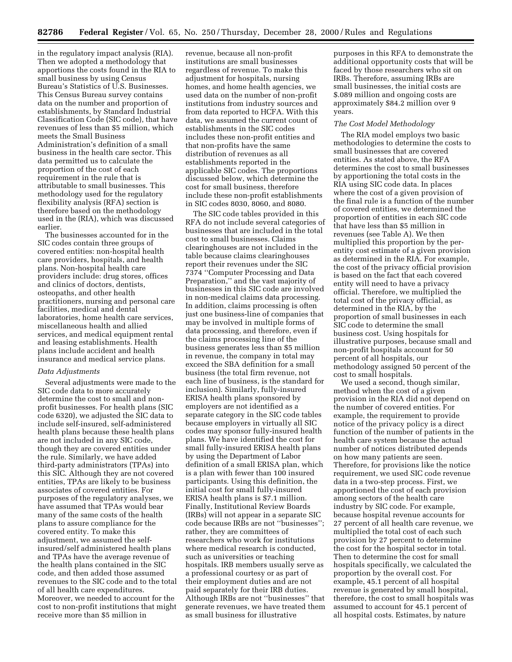in the regulatory impact analysis (RIA). Then we adopted a methodology that apportions the costs found in the RIA to small business by using Census Bureau's Statistics of U.S. Businesses. This Census Bureau survey contains data on the number and proportion of establishments, by Standard Industrial Classification Code (SIC code), that have revenues of less than \$5 million, which meets the Small Business Administration's definition of a small business in the health care sector. This data permitted us to calculate the proportion of the cost of each requirement in the rule that is attributable to small businesses. This methodology used for the regulatory flexibility analysis (RFA) section is therefore based on the methodology used in the (RIA), which was discussed earlier.

The businesses accounted for in the SIC codes contain three groups of covered entities: non-hospital health care providers, hospitals, and health plans. Non-hospital health care providers include: drug stores, offices and clinics of doctors, dentists, osteopaths, and other health practitioners, nursing and personal care facilities, medical and dental laboratories, home health care services, miscellaneous health and allied services, and medical equipment rental and leasing establishments. Health plans include accident and health insurance and medical service plans.

#### *Data Adjustments*

Several adjustments were made to the SIC code data to more accurately determine the cost to small and nonprofit businesses. For health plans (SIC code 6320), we adjusted the SIC data to include self-insured, self-administered health plans because these health plans are not included in any SIC code, though they are covered entities under the rule. Similarly, we have added third-party administrators (TPAs) into this SIC. Although they are not covered entities, TPAs are likely to be business associates of covered entities. For purposes of the regulatory analyses, we have assumed that TPAs would bear many of the same costs of the health plans to assure compliance for the covered entity. To make this adjustment, we assumed the selfinsured/self administered health plans and TPAs have the average revenue of the health plans contained in the SIC code, and then added those assumed revenues to the SIC code and to the total of all health care expenditures. Moreover, we needed to account for the cost to non-profit institutions that might receive more than \$5 million in

revenue, because all non-profit institutions are small businesses regardless of revenue. To make this adjustment for hospitals, nursing homes, and home health agencies, we used data on the number of non-profit institutions from industry sources and from data reported to HCFA. With this data, we assumed the current count of establishments in the SIC codes includes these non-profit entities and that non-profits have the same distribution of revenues as all establishments reported in the applicable SIC codes. The proportions discussed below, which determine the cost for small business, therefore include these non-profit establishments in SIC codes 8030, 8060, and 8080.

The SIC code tables provided in this RFA do not include several categories of businesses that are included in the total cost to small businesses. Claims clearinghouses are not included in the table because claims clearinghouses report their revenues under the SIC 7374 ''Computer Processing and Data Preparation,'' and the vast majority of businesses in this SIC code are involved in non-medical claims data processing. In addition, claims processing is often just one business-line of companies that may be involved in multiple forms of data processing, and therefore, even if the claims processing line of the business generates less than \$5 million in revenue, the company in total may exceed the SBA definition for a small business (the total firm revenue, not each line of business, is the standard for inclusion). Similarly, fully-insured ERISA health plans sponsored by employers are not identified as a separate category in the SIC code tables because employers in virtually all SIC codes may sponsor fully-insured health plans. We have identified the cost for small fully-insured ERISA health plans by using the Department of Labor definition of a small ERISA plan, which is a plan with fewer than 100 insured participants. Using this definition, the initial cost for small fully-insured ERISA health plans is \$7.1 million. Finally, Institutional Review Boards (IRBs) will not appear in a separate SIC code because IRBs are not ''businesses''; rather, they are committees of researchers who work for institutions where medical research is conducted, such as universities or teaching hospitals. IRB members usually serve as a professional courtesy or as part of their employment duties and are not paid separately for their IRB duties. Although IRBs are not ''businesses'' that generate revenues, we have treated them as small business for illustrative

purposes in this RFA to demonstrate the additional opportunity costs that will be faced by those researchers who sit on IRBs. Therefore, assuming IRBs are small businesses, the initial costs are \$.089 million and ongoing costs are approximately \$84.2 million over 9 years.

# *The Cost Model Methodology*

The RIA model employs two basic methodologies to determine the costs to small businesses that are covered entities. As stated above, the RFA determines the cost to small businesses by apportioning the total costs in the RIA using SIC code data. In places where the cost of a given provision of the final rule is a function of the number of covered entities, we determined the proportion of entities in each SIC code that have less than \$5 million in revenues (see Table A). We then multiplied this proportion by the perentity cost estimate of a given provision as determined in the RIA. For example, the cost of the privacy official provision is based on the fact that each covered entity will need to have a privacy official. Therefore, we multiplied the total cost of the privacy official, as determined in the RIA, by the proportion of small businesses in each SIC code to determine the small business cost. Using hospitals for illustrative purposes, because small and non-profit hospitals account for 50 percent of all hospitals, our methodology assigned 50 percent of the cost to small hospitals.

We used a second, though similar, method when the cost of a given provision in the RIA did not depend on the number of covered entities. For example, the requirement to provide notice of the privacy policy is a direct function of the number of patients in the health care system because the actual number of notices distributed depends on how many patients are seen. Therefore, for provisions like the notice requirement, we used SIC code revenue data in a two-step process. First, we apportioned the cost of each provision among sectors of the health care industry by SIC code. For example, because hospital revenue accounts for 27 percent of all health care revenue, we multiplied the total cost of each such provision by 27 percent to determine the cost for the hospital sector in total. Then to determine the cost for small hospitals specifically, we calculated the proportion by the overall cost. For example, 45.1 percent of all hospital revenue is generated by small hospital, therefore, the cost to small hospitals was assumed to account for 45.1 percent of all hospital costs. Estimates, by nature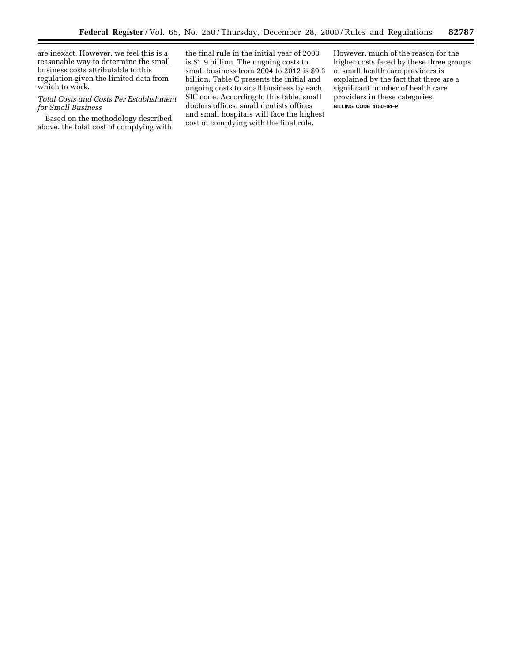are inexact. However, we feel this is a reasonable way to determine the small business costs attributable to this regulation given the limited data from which to work.

# *Total Costs and Costs Per Establishment for Small Business*

Based on the methodology described above, the total cost of complying with the final rule in the initial year of 2003 is \$1.9 billion. The ongoing costs to small business from 2004 to 2012 is \$9.3 billion. Table C presents the initial and ongoing costs to small business by each SIC code. According to this table, small doctors offices, small dentists offices and small hospitals will face the highest cost of complying with the final rule.

However, much of the reason for the higher costs faced by these three groups of small health care providers is explained by the fact that there are a significant number of health care providers in these categories. **BILLING CODE 4150–04–P**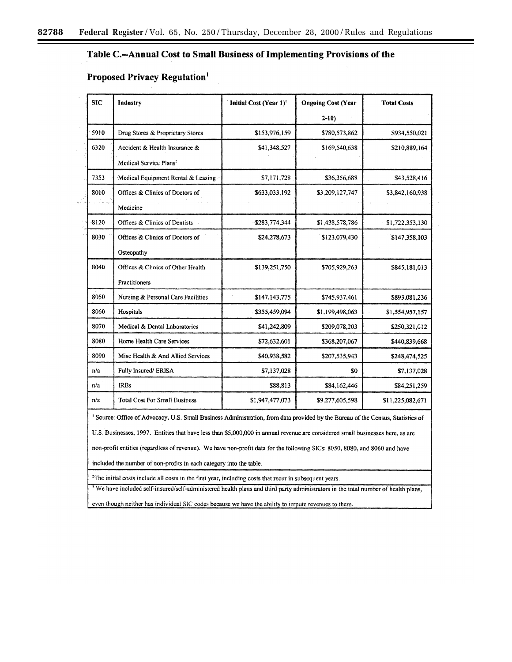# Table C.-Annual Cost to Small Business of Implementing Provisions of the

# Proposed Privacy Regulation<sup>1</sup>

| <b>SIC</b> | Industry                             | Initial Cost (Year 1) <sup>1</sup> | <b>Ongoing Cost (Year</b><br>$2 - 10$ | <b>Total Costs</b> |
|------------|--------------------------------------|------------------------------------|---------------------------------------|--------------------|
| 5910       | Drug Stores & Proprietary Stores     | \$153,976,159                      | \$780,573,862                         | \$934,550,021      |
| 6320       | Accident & Health Insurance &        | \$41,348,527                       | \$169,540,638                         | \$210,889,164      |
|            | Medical Service Plans <sup>2</sup>   |                                    |                                       |                    |
| 7353       | Medical Equipment Rental & Leasing   | \$7,171,728                        | \$36,356,688                          | \$43,528,416       |
| 8010       | Offices & Clinics of Doctors of      | \$633,033,192                      | \$3,209,127,747                       | \$3,842,160,938    |
|            | Medicine                             |                                    |                                       |                    |
| 8120       | Offices & Clinics of Dentists        | \$283,774,344                      | \$1,438,578,786                       | \$1,722,353,130    |
| 8030       | Offices & Clinics of Doctors of      | \$24,278,673                       | \$123,079,430                         | \$147,358,103      |
|            | Osteopathy                           |                                    |                                       |                    |
| 8040       | Offices & Clinics of Other Health    | \$139,251,750                      | \$705,929,263                         | \$845,181,013      |
|            | Practitioners                        |                                    |                                       |                    |
| 8050       | Nursing & Personal Care Facilities   | \$147,143,775                      | \$745,937,461                         | \$893,081,236      |
| 8060       | Hospitals                            | \$355,459,094                      | \$1,199,498,063                       | \$1,554,957,157    |
| 8070       | Medical & Dental Laboratories        | \$41,242,809                       | \$209,078,203                         | \$250,321,012      |
| 8080       | Home Health Care Services            | \$72,632,601                       | \$368,207,067                         | \$440,839,668      |
| 8090       | Misc Health & And Allied Services    | \$40,938,582                       | \$207,535,943                         | \$248,474,525      |
| n/a        | Fully Insured/ERISA                  | \$7,137,028                        | \$0                                   | \$7,137,028        |
| n/a        | <b>IRBs</b>                          | \$88,813                           | \$84,162,446                          | \$84,251,259       |
| n/a        | <b>Total Cost For Small Business</b> | \$1,947,477,073                    | \$9,277,605,598                       | \$11,225,082,671   |

<sup>1</sup> Source: Office of Advocacy, U.S. Small Business Administration, from data provided by the Bureau of the Census, Statistics of

U.S. Businesses, 1997. Entities that have less than \$5,000,000 in annual revenue are considered small businesses here, as are

non-profit entities (regardless of revenue). We have non-profit data for the following SICs: 8050, 8080, and 8060 and have

included the number of non-profits in each category into the table.

<sup>2</sup>The initial costs include all costs in the first year, including costs that recur in subsequent years.

<sup>3</sup> We have included self-insured/self-administered health plans and third party administrators in the total number of health plans,

even though neither has individual SIC codes because we have the ability to impute revenues to them.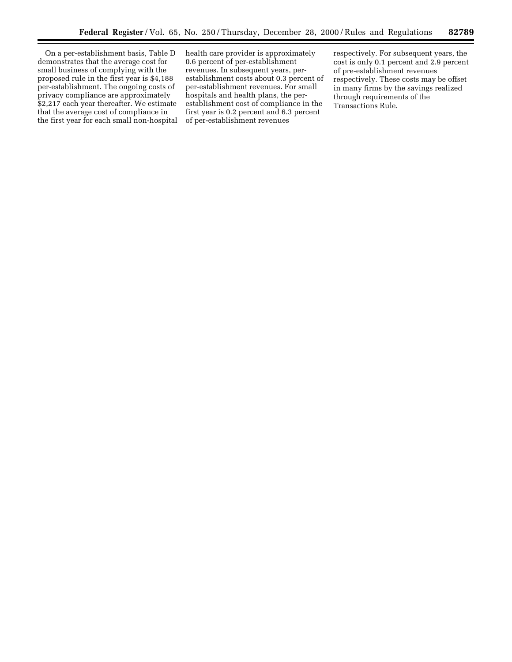On a per-establishment basis, Table D demonstrates that the average cost for small business of complying with the proposed rule in the first year is \$4,188 per-establishment. The ongoing costs of privacy compliance are approximately \$2,217 each year thereafter. We estimate that the average cost of compliance in the first year for each small non-hospital health care provider is approximately 0.6 percent of per-establishment revenues. In subsequent years, perestablishment costs about 0.3 percent of per-establishment revenues. For small hospitals and health plans, the perestablishment cost of compliance in the first year is 0.2 percent and 6.3 percent of per-establishment revenues

respectively. For subsequent years, the cost is only 0.1 percent and 2.9 percent of pre-establishment revenues respectively. These costs may be offset in many firms by the savings realized through requirements of the Transactions Rule.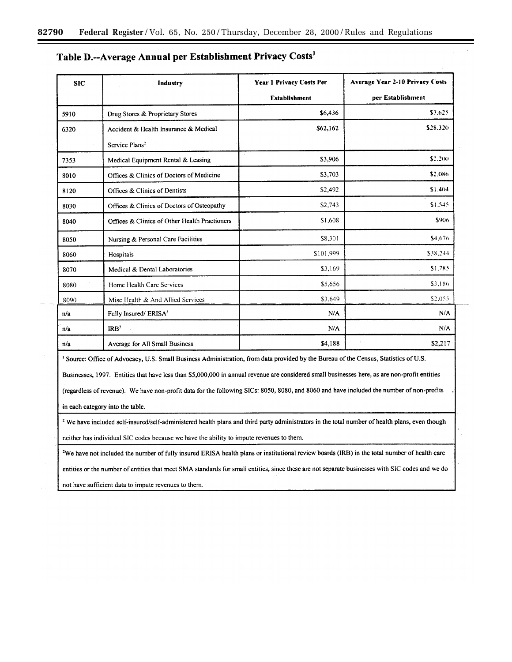| <b>SIC</b> | Industry                                      | <b>Year 1 Privacy Costs Per</b> | <b>Average Year 2-10 Privacy Costs</b> |
|------------|-----------------------------------------------|---------------------------------|----------------------------------------|
|            |                                               | <b>Establishment</b>            | per Establishment                      |
| 5910       | Drug Stores & Proprietary Stores              | \$6,436                         | \$3.625                                |
| 6320       | Accident & Health Insurance & Medical         | \$62,162                        | \$28,320                               |
|            | Service Plans <sup>2</sup>                    |                                 |                                        |
| 7353       | Medical Equipment Rental & Leasing            | \$3,906                         | \$2,200                                |
| 8010       | Offices & Clinics of Doctors of Medicine      | \$3,703                         | \$2,086                                |
| 8120       | Offices & Clinics of Dentists                 | \$2,492                         | \$1,404                                |
| 8030       | Offices & Clinics of Doctors of Osteopathy    | \$2,743                         | \$1,545                                |
| 8040       | Offices & Clinics of Other Health Practioners | \$1,608                         | \$906                                  |
| 8050       | Nursing & Personal Care Facilities            | \$8,301                         | \$4,676                                |
| 8060       | Hospitals                                     | \$101,999                       | \$38,244                               |
| 8070       | Medical & Dental Laboratories                 | \$3,169                         | \$1,785                                |
| 8080       | Home Health Care Services                     | \$5,656                         | \$3,186                                |
| 8090       | Misc Health & And Allied Services             | \$3,649                         | \$2,055                                |
| n/a        | Fully Insured/ERISA <sup>3</sup>              | N/A                             | N/A                                    |
| n/a        | IRB <sup>3</sup>                              | N/A                             | N/A                                    |
| n/a        | Average for All Small Business                | \$4,188                         | \$2,217                                |

# Table D.--Average Annual per Establishment Privacy Costs<sup>1</sup>

<sup>1</sup> Source: Office of Advocacy, U.S. Small Business Administration, from data provided by the Bureau of the Census, Statistics of U.S.

Businesses, 1997. Entities that have less than \$5,000,000 in annual revenue are considered small businesses here, as are non-profit entities

(regardless of revenue). We have non-profit data for the following SICs: 8050, 8080, and 8060 and have included the number of non-profits

in each category into the table.

<sup>2</sup> We have included self-insured/self-administered health plans and third party administrators in the total number of health plans, even though

neither has individual SIC codes because we have the ability to impute revenues to them.

<sup>2</sup>We have not included the number of fully insured ERISA health plans or institutional review boards (IRB) in the total number of health care

entities or the number of entities that meet SMA standards for small entities, since these are not separate businesses with SIC codes and we do

not have sufficient data to impute revenues to them.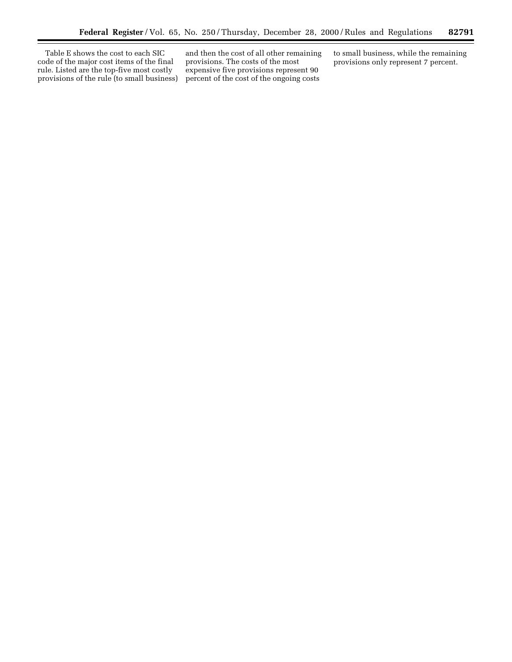Table E shows the cost to each SIC code of the major cost items of the final rule. Listed are the top-five most costly provisions of the rule (to small business) and then the cost of all other remaining provisions. The costs of the most expensive five provisions represent 90 percent of the cost of the ongoing costs

to small business, while the remaining provisions only represent 7 percent.

۰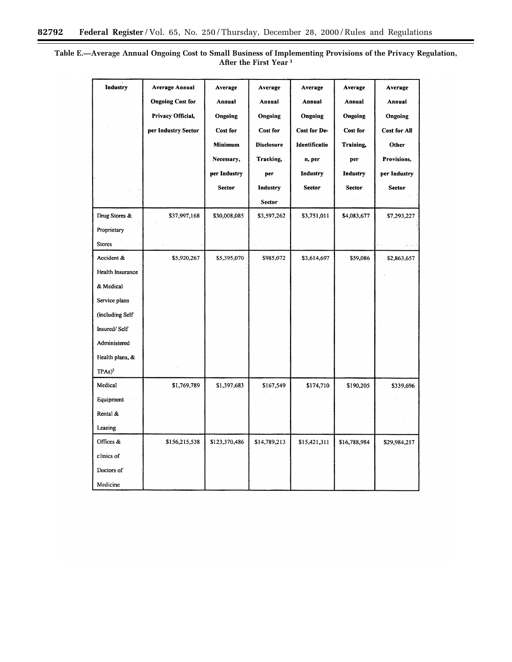$\equiv$ 

| Table E.—Average Annual Ongoing Cost to Small Business of Implementing Provisions of the Privacy Regulation, |                                   |  |  |
|--------------------------------------------------------------------------------------------------------------|-----------------------------------|--|--|
|                                                                                                              | After the First Year <sup>1</sup> |  |  |

÷.

| Industry         | <b>Average Annual</b>   | Average       | Average           | Average       | Average       | Average             |
|------------------|-------------------------|---------------|-------------------|---------------|---------------|---------------------|
|                  | <b>Ongoing Cost for</b> | Annual        | Annual            | Annual        | Annual        | Annual              |
|                  | Privacy Official,       | Ongoing       | Ongoing           | Ongoing       | Ongoing       | Ongoing             |
|                  | per Industry Sector     | Cost for      | Cost for          | Cost for De-  | Cost for      | <b>Cost for All</b> |
|                  |                         | Minimum       | <b>Disclosure</b> | Identificatio | Training,     | Other               |
|                  |                         | Necessary,    | Tracking,         | n, per        | per           | Provisions,         |
|                  |                         | per Industry  | per               | Industry      | Industry      | per Industry        |
|                  |                         | <b>Sector</b> | Industry          | <b>Sector</b> | <b>Sector</b> | <b>Sector</b>       |
|                  |                         |               | Sector            |               |               |                     |
| Drug Stores &    | \$37,997,168            | \$30,008,085  | \$3,597,262       | \$3,751,011   | \$4,083,677   | \$7,293,227         |
| Proprietary      |                         |               |                   |               |               |                     |
| <b>Stores</b>    |                         |               |                   |               |               |                     |
| Accident &       | \$5,920,267             | \$5,395,070   | \$985,072         | \$3,614,697   | \$59,086      | \$2,863,657         |
| Health Insurance |                         |               |                   |               |               |                     |
| & Medical        |                         |               |                   |               |               |                     |
| Service plans    |                         |               |                   |               |               |                     |
| (including Self  |                         |               |                   |               |               |                     |
| Insured/Self     |                         |               |                   |               |               |                     |
| Administered     |                         |               |                   |               |               |                     |
| Health plans, &  |                         |               |                   |               |               |                     |
| $TPAs)^2$        |                         |               |                   |               |               |                     |
| Medical          | \$1,769,789             | \$1,397,683   | \$167,549         | \$174,710     | \$190,205     | \$339,696           |
| Equipment        |                         |               |                   |               |               |                     |
| Rental &         |                         |               |                   |               |               |                     |
| Leasing          |                         |               |                   |               |               |                     |
| Offices &        | \$156,215,538           | \$123,370,486 | \$14,789,213      | \$15,421,311  | \$16,788,984  | \$29,984,217        |
| clinics of       |                         |               |                   |               |               |                     |
| Doctors of       |                         |               |                   |               |               |                     |
| Medicine         |                         |               |                   |               |               |                     |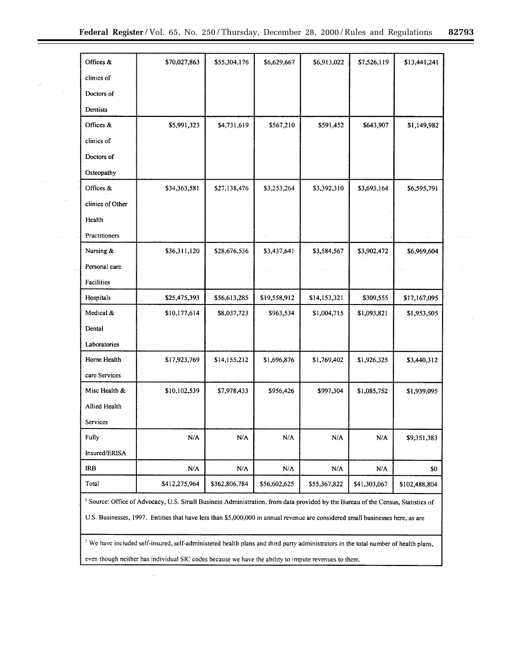| Offices &        | \$70,027,863  | \$55,304,176  | \$6,629,667             | \$6,913,022  | \$7,526,119  | \$13,441,241  |
|------------------|---------------|---------------|-------------------------|--------------|--------------|---------------|
| clinics of       |               |               |                         |              |              |               |
| Doctors of       |               |               |                         |              |              |               |
| Dentists         |               |               |                         |              |              |               |
| Offices &        | \$5,991,323   | \$4,731,619   | \$567,210               | \$591,452    | \$643,907    | \$1,149,982   |
| clinics of       |               |               |                         |              |              |               |
| Doctors of       |               |               |                         |              |              |               |
| Osteopathy       |               |               |                         |              |              |               |
| Offices &        | \$34,363,581  | \$27,138,476  | \$3,253,264             | \$3,392,310  | \$3,693,164  | \$6,595,791   |
| clinics of Other |               |               |                         |              |              |               |
| Health           |               |               |                         |              |              |               |
| Practitioners    |               |               |                         |              |              |               |
| Nursing &        | \$36,311,120  | \$28,676,536  | \$3,437,641             | \$3,584,567  | \$3,902,472  | \$6,969,604   |
| Personal care    |               |               |                         |              |              |               |
| Facilities       |               |               |                         |              |              |               |
| Hospitals        | \$25,475,393  | \$56,613,285  | \$19,558,912            | \$14,153,321 | \$309,555    | \$17,167,095  |
| Medical &        | \$10,177,614  | \$8,037,723   | \$963,534               | \$1,004,715  | \$1,093,821  | \$1,953,505   |
| Dental           |               |               |                         |              |              |               |
| Laboratories     |               |               |                         |              |              |               |
| Home Health      | \$17,923,769  | \$14,155,212  | \$1,696,876             | \$1,769,402  | \$1,926,325  | \$3,440,312   |
| care Services    |               |               |                         |              |              |               |
| Misc Health &    | \$10,102,539  | \$7,978,433   | \$956,426               | \$997,304    | \$1,085,752  | \$1,939,095   |
| Allied Health    |               |               |                         |              |              |               |
| Services         |               |               |                         |              |              |               |
| Fully            | N/A           | N/A           | $\mathbf{N}/\mathbf{A}$ | N/A          | N/A          | \$9,351,383   |
| Insured/ERISA    |               |               |                         |              |              |               |
| IRB              | N/A           | N/A           | N/A                     | N/A          | N/A          | \$0           |
| Total            | \$412,275,964 | \$362,806,784 | \$56,602,625            | \$55,367,822 | \$41,303,067 | \$102,488,804 |

i i

 $\sim 10^{-10}$ 

 $\frac{1}{2} \sum_{i=1}^n \frac{1}{2} \sum_{j=1}^n \frac{1}{2} \sum_{j=1}^n \frac{1}{2} \sum_{j=1}^n \frac{1}{2} \sum_{j=1}^n \frac{1}{2} \sum_{j=1}^n \frac{1}{2} \sum_{j=1}^n \frac{1}{2} \sum_{j=1}^n \frac{1}{2} \sum_{j=1}^n \frac{1}{2} \sum_{j=1}^n \frac{1}{2} \sum_{j=1}^n \frac{1}{2} \sum_{j=1}^n \frac{1}{2} \sum_{j=1}^n \frac{1}{2} \sum_{j=$ 

<sup>2</sup> We have included self-insured, self-administered health plans and third party administrators in the total number of health plans, even though neither has individual SIC codes because we have the ability to impute revenues to them.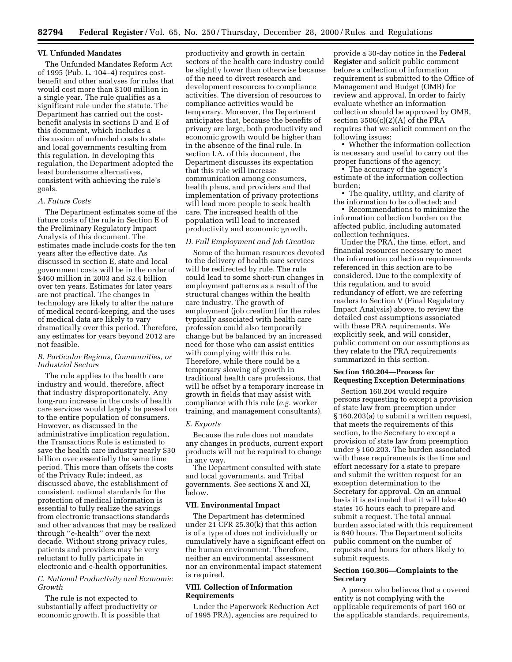# **VI. Unfunded Mandates**

The Unfunded Mandates Reform Act of 1995 (Pub. L. 104–4) requires costbenefit and other analyses for rules that would cost more than \$100 million in a single year. The rule qualifies as a significant rule under the statute. The Department has carried out the costbenefit analysis in sections D and E of this document, which includes a discussion of unfunded costs to state and local governments resulting from this regulation. In developing this regulation, the Department adopted the least burdensome alternatives, consistent with achieving the rule's goals.

# *A. Future Costs*

The Department estimates some of the future costs of the rule in Section E of the Preliminary Regulatory Impact Analysis of this document. The estimates made include costs for the ten years after the effective date. As discussed in section E, state and local government costs will be in the order of \$460 million in 2003 and \$2.4 billion over ten years. Estimates for later years are not practical. The changes in technology are likely to alter the nature of medical record-keeping, and the uses of medical data are likely to vary dramatically over this period. Therefore, any estimates for years beyond 2012 are not feasible.

# *B. Particular Regions, Communities, or Industrial Sectors*

The rule applies to the health care industry and would, therefore, affect that industry disproportionately. Any long-run increase in the costs of health care services would largely be passed on to the entire population of consumers. However, as discussed in the administrative implication regulation, the Transactions Rule is estimated to save the health care industry nearly \$30 billion over essentially the same time period. This more than offsets the costs of the Privacy Rule; indeed, as discussed above, the establishment of consistent, national standards for the protection of medical information is essential to fully realize the savings from electronic transactions standards and other advances that may be realized through ''e-health'' over the next decade. Without strong privacy rules, patients and providers may be very reluctant to fully participate in electronic and e-health opportunities.

# *C. National Productivity and Economic Growth*

The rule is not expected to substantially affect productivity or economic growth. It is possible that productivity and growth in certain sectors of the health care industry could be slightly lower than otherwise because of the need to divert research and development resources to compliance activities. The diversion of resources to compliance activities would be temporary. Moreover, the Department anticipates that, because the benefits of privacy are large, both productivity and economic growth would be higher than in the absence of the final rule. In section I.A. of this document, the Department discusses its expectation that this rule will increase communication among consumers, health plans, and providers and that implementation of privacy protections will lead more people to seek health care. The increased health of the population will lead to increased productivity and economic growth.

# *D. Full Employment and Job Creation*

Some of the human resources devoted to the delivery of health care services will be redirected by rule. The rule could lead to some short-run changes in employment patterns as a result of the structural changes within the health care industry. The growth of employment (job creation) for the roles typically associated with health care profession could also temporarily change but be balanced by an increased need for those who can assist entities with complying with this rule. Therefore, while there could be a temporary slowing of growth in traditional health care professions, that will be offset by a temporary increase in growth in fields that may assist with compliance with this rule (*e.g.* worker training, and management consultants).

#### *E. Exports*

Because the rule does not mandate any changes in products, current export products will not be required to change in any way.

The Department consulted with state and local governments, and Tribal governments. See sections X and XI, below.

# **VII. Environmental Impact**

The Department has determined under 21 CFR 25.30(k) that this action is of a type of does not individually or cumulatively have a significant effect on the human environment. Therefore, neither an environmental assessment nor an environmental impact statement is required.

# **VIII. Collection of Information Requirements**

Under the Paperwork Reduction Act of 1995 PRA), agencies are required to

provide a 30-day notice in the **Federal Register** and solicit public comment before a collection of information requirement is submitted to the Office of Management and Budget (OMB) for review and approval. In order to fairly evaluate whether an information collection should be approved by OMB, section 3506(c)(2)(A) of the PRA requires that we solicit comment on the following issues:

• Whether the information collection is necessary and useful to carry out the proper functions of the agency;

• The accuracy of the agency's estimate of the information collection burden;

• The quality, utility, and clarity of the information to be collected; and

• Recommendations to minimize the information collection burden on the affected public, including automated collection techniques.

Under the PRA, the time, effort, and financial resources necessary to meet the information collection requirements referenced in this section are to be considered. Due to the complexity of this regulation, and to avoid redundancy of effort, we are referring readers to Section V (Final Regulatory Impact Analysis) above, to review the detailed cost assumptions associated with these PRA requirements. We explicitly seek, and will consider, public comment on our assumptions as they relate to the PRA requirements summarized in this section.

# **Section 160.204—Process for Requesting Exception Determinations**

Section 160.204 would require persons requesting to except a provision of state law from preemption under § 160.203(a) to submit a written request, that meets the requirements of this section, to the Secretary to except a provision of state law from preemption under § 160.203. The burden associated with these requirements is the time and effort necessary for a state to prepare and submit the written request for an exception determination to the Secretary for approval. On an annual basis it is estimated that it will take 40 states 16 hours each to prepare and submit a request. The total annual burden associated with this requirement is 640 hours. The Department solicits public comment on the number of requests and hours for others likely to submit requests.

# **Section 160.306—Complaints to the Secretary**

A person who believes that a covered entity is not complying with the applicable requirements of part 160 or the applicable standards, requirements,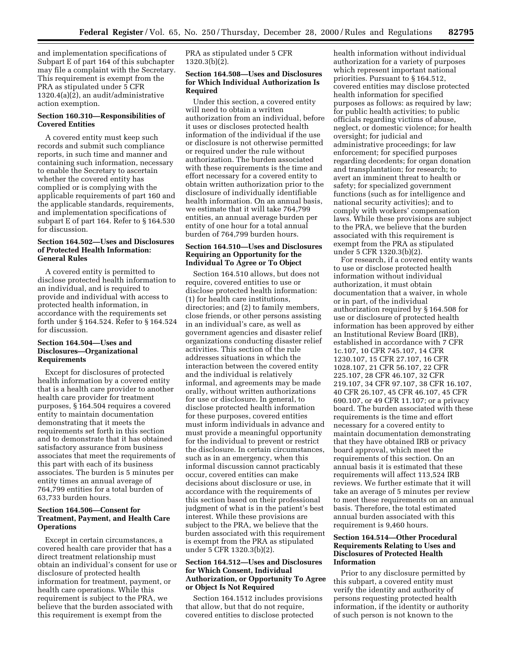and implementation specifications of Subpart E of part 164 of this subchapter may file a complaint with the Secretary. This requirement is exempt from the PRA as stipulated under 5 CFR  $1320.4(a)(2)$ , an audit/administrative action exemption.

# **Section 160.310—Responsibilities of Covered Entities**

A covered entity must keep such records and submit such compliance reports, in such time and manner and containing such information, necessary to enable the Secretary to ascertain whether the covered entity has complied or is complying with the applicable requirements of part 160 and the applicable standards, requirements, and implementation specifications of subpart E of part 164. Refer to § 164.530 for discussion.

# **Section 164.502—Uses and Disclosures of Protected Health Information: General Rules**

A covered entity is permitted to disclose protected health information to an individual, and is required to provide and individual with access to protected health information, in accordance with the requirements set forth under § 164.524. Refer to § 164.524 for discussion.

# **Section 164.504—Uses and Disclosures—Organizational Requirements**

Except for disclosures of protected health information by a covered entity that is a health care provider to another health care provider for treatment purposes, § 164.504 requires a covered entity to maintain documentation demonstrating that it meets the requirements set forth in this section and to demonstrate that it has obtained satisfactory assurance from business associates that meet the requirements of this part with each of its business associates. The burden is 5 minutes per entity times an annual average of 764,799 entities for a total burden of 63,733 burden hours.

# **Section 164.506—Consent for Treatment, Payment, and Health Care Operations**

Except in certain circumstances, a covered health care provider that has a direct treatment relationship must obtain an individual's consent for use or disclosure of protected health information for treatment, payment, or health care operations. While this requirement is subject to the PRA, we believe that the burden associated with this requirement is exempt from the

PRA as stipulated under 5 CFR 1320.3(b)(2).

# **Section 164.508—Uses and Disclosures for Which Individual Authorization Is Required**

Under this section, a covered entity will need to obtain a written authorization from an individual, before it uses or discloses protected health information of the individual if the use or disclosure is not otherwise permitted or required under the rule without authorization. The burden associated with these requirements is the time and effort necessary for a covered entity to obtain written authorization prior to the disclosure of individually identifiable health information. On an annual basis, we estimate that it will take 764,799 entities, an annual average burden per entity of one hour for a total annual burden of 764,799 burden hours.

# **Section 164.510—Uses and Disclosures Requiring an Opportunity for the Individual To Agree or To Object**

Section 164.510 allows, but does not require, covered entities to use or disclose protected health information: (1) for health care institutions, directories; and (2) to family members, close friends, or other persons assisting in an individual's care, as well as government agencies and disaster relief organizations conducting disaster relief activities. This section of the rule addresses situations in which the interaction between the covered entity and the individual is relatively informal, and agreements may be made orally, without written authorizations for use or disclosure. In general, to disclose protected health information for these purposes, covered entities must inform individuals in advance and must provide a meaningful opportunity for the individual to prevent or restrict the disclosure. In certain circumstances, such as in an emergency, when this informal discussion cannot practicably occur, covered entities can make decisions about disclosure or use, in accordance with the requirements of this section based on their professional judgment of what is in the patient's best interest. While these provisions are subject to the PRA, we believe that the burden associated with this requirement is exempt from the PRA as stipulated under 5 CFR 1320.3(b)(2).

# **Section 164.512—Uses and Disclosures for Which Consent, Individual Authorization, or Opportunity To Agree or Object Is Not Required**

Section 164.1512 includes provisions that allow, but that do not require, covered entities to disclose protected

health information without individual authorization for a variety of purposes which represent important national priorities. Pursuant to § 164.512, covered entities may disclose protected health information for specified purposes as follows: as required by law; for public health activities; to public officials regarding victims of abuse, neglect, or domestic violence; for health oversight; for judicial and administrative proceedings; for law enforcement; for specified purposes regarding decedents; for organ donation and transplantation; for research; to avert an imminent threat to health or safety; for specialized government functions (such as for intelligence and national security activities); and to comply with workers' compensation laws. While these provisions are subject to the PRA, we believe that the burden associated with this requirement is exempt from the PRA as stipulated under 5 CFR 1320.3(b)(2).

For research, if a covered entity wants to use or disclose protected health information without individual authorization, it must obtain documentation that a waiver, in whole or in part, of the individual authorization required by § 164.508 for use or disclosure of protected health information has been approved by either an Institutional Review Board (IRB), established in accordance with 7 CFR 1c.107, 10 CFR 745.107, 14 CFR 1230.107, 15 CFR 27.107, 16 CFR 1028.107, 21 CFR 56.107, 22 CFR 225.107, 28 CFR 46.107, 32 CFR 219.107, 34 CFR 97.107, 38 CFR 16.107, 40 CFR 26.107, 45 CFR 46.107, 45 CFR 690.107, or 49 CFR 11.107; or a privacy board. The burden associated with these requirements is the time and effort necessary for a covered entity to maintain documentation demonstrating that they have obtained IRB or privacy board approval, which meet the requirements of this section. On an annual basis it is estimated that these requirements will affect 113,524 IRB reviews. We further estimate that it will take an average of 5 minutes per review to meet these requirements on an annual basis. Therefore, the total estimated annual burden associated with this requirement is 9,460 hours.

# **Section 164.514—Other Procedural Requirements Relating to Uses and Disclosures of Protected Health Information**

Prior to any disclosure permitted by this subpart, a covered entity must verify the identity and authority of persons requesting protected health information, if the identity or authority of such person is not known to the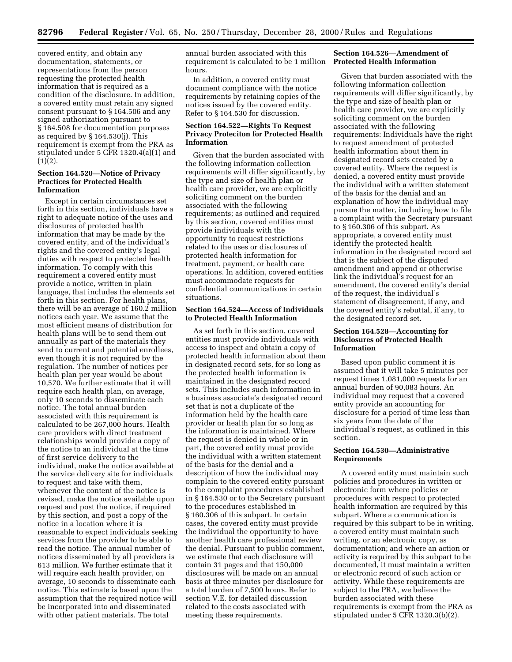covered entity, and obtain any documentation, statements, or representations from the person requesting the protected health information that is required as a condition of the disclosure. In addition, a covered entity must retain any signed consent pursuant to § 164.506 and any signed authorization pursuant to § 164.508 for documentation purposes as required by § 164.530(j). This requirement is exempt from the PRA as stipulated under 5 CFR 1320.4(a)(1) and  $(1)(2)$ .

# **Section 164.520—Notice of Privacy Practices for Protected Health Information**

Except in certain circumstances set forth in this section, individuals have a right to adequate notice of the uses and disclosures of protected health information that may be made by the covered entity, and of the individual's rights and the covered entity's legal duties with respect to protected health information. To comply with this requirement a covered entity must provide a notice, written in plain language, that includes the elements set forth in this section. For health plans, there will be an average of 160.2 million notices each year. We assume that the most efficient means of distribution for health plans will be to send them out annually as part of the materials they send to current and potential enrollees, even though it is not required by the regulation. The number of notices per health plan per year would be about 10,570. We further estimate that it will require each health plan, on average, only 10 seconds to disseminate each notice. The total annual burden associated with this requirement is calculated to be 267,000 hours. Health care providers with direct treatment relationships would provide a copy of the notice to an individual at the time of first service delivery to the individual, make the notice available at the service delivery site for individuals to request and take with them, whenever the content of the notice is revised, make the notice available upon request and post the notice, if required by this section, and post a copy of the notice in a location where it is reasonable to expect individuals seeking services from the provider to be able to read the notice. The annual number of notices disseminated by all providers is 613 million. We further estimate that it will require each health provider, on average, 10 seconds to disseminate each notice. This estimate is based upon the assumption that the required notice will be incorporated into and disseminated with other patient materials. The total

annual burden associated with this requirement is calculated to be 1 million hours.

In addition, a covered entity must document compliance with the notice requirements by retaining copies of the notices issued by the covered entity. Refer to § 164.530 for discussion.

# **Section 164.522—Rights To Request Privacy Proteciton for Protected Health Information**

Given that the burden associated with the following information collection requirements will differ significantly, by the type and size of health plan or health care provider, we are explicitly soliciting comment on the burden associated with the following requirements; as outlined and required by this section, covered entities must provide individuals with the opportunity to request restrictions related to the uses or disclosures of protected health information for treatment, payment, or health care operations. In addition, covered entities must accommodate requests for confidential communications in certain situations.

# **Section 164.524—Access of Individuals to Protected Health Information**

As set forth in this section, covered entities must provide individuals with access to inspect and obtain a copy of protected health information about them in designated record sets, for so long as the protected health information is maintained in the designated record sets. This includes such information in a business associate's designated record set that is not a duplicate of the information held by the health care provider or health plan for so long as the information is maintained. Where the request is denied in whole or in part, the covered entity must provide the individual with a written statement of the basis for the denial and a description of how the individual may complain to the covered entity pursuant to the complaint procedures established in § 164.530 or to the Secretary pursuant to the procedures established in § 160.306 of this subpart. In certain cases, the covered entity must provide the individual the opportunity to have another health care professional review the denial. Pursuant to public comment, we estimate that each disclosure will contain 31 pages and that 150,000 disclosures will be made on an annual basis at three minutes per disclosure for a total burden of 7,500 hours. Refer to section V.E. for detailed discussion related to the costs associated with meeting these requirements.

# **Section 164.526—Amendment of Protected Health Information**

Given that burden associated with the following information collection requirements will differ significantly, by the type and size of health plan or health care provider, we are explicitly soliciting comment on the burden associated with the following requirements: Individuals have the right to request amendment of protected health information about them in designated record sets created by a covered entity. Where the request is denied, a covered entity must provide the individual with a written statement of the basis for the denial and an explanation of how the individual may pursue the matter, including how to file a complaint with the Secretary pursuant to § 160.306 of this subpart. As appropriate, a covered entity must identify the protected health information in the designated record set that is the subject of the disputed amendment and append or otherwise link the individual's request for an amendment, the covered entity's denial of the request, the individual's statement of disagreement, if any, and the covered entity's rebuttal, if any, to the designated record set.

# **Section 164.528—Accounting for Disclosures of Protected Health Information**

Based upon public comment it is assumed that it will take 5 minutes per request times 1,081,000 requests for an annual burden of 90,083 hours. An individual may request that a covered entity provide an accounting for disclosure for a period of time less than six years from the date of the individual's request, as outlined in this section.

# **Section 164.530—Administrative Requirements**

A covered entity must maintain such policies and procedures in written or electronic form where policies or procedures with respect to protected health information are required by this subpart. Where a communication is required by this subpart to be in writing, a covered entity must maintain such writing, or an electronic copy, as documentation; and where an action or activity is required by this subpart to be documented, it must maintain a written or electronic record of such action or activity. While these requirements are subject to the PRA, we believe the burden associated with these requirements is exempt from the PRA as stipulated under 5 CFR 1320.3(b)(2).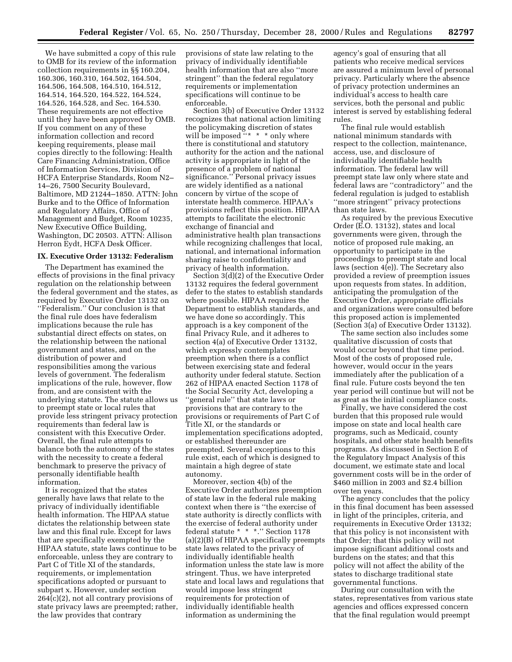We have submitted a copy of this rule to OMB for its review of the information collection requirements in §§ 160.204, 160.306, 160.310, 164.502, 164.504, 164.506, 164.508, 164.510, 164.512, 164.514, 164.520, 164.522, 164.524, 164.526, 164.528, and Sec. 164.530. These requirements are not effective until they have been approved by OMB. If you comment on any of these information collection and record keeping requirements, please mail copies directly to the following: Health Care Financing Administration, Office of Information Services, Division of HCFA Enterprise Standards, Room N2– 14–26, 7500 Security Boulevard, Baltimore, MD 21244–1850. ATTN: John Burke and to the Office of Information and Regulatory Affairs, Office of Management and Budget, Room 10235, New Executive Office Building, Washington, DC 20503. ATTN: Allison Herron Eydt, HCFA Desk Officer.

# **IX. Executive Order 13132: Federalism**

The Department has examined the effects of provisions in the final privacy regulation on the relationship between the federal government and the states, as required by Executive Order 13132 on ''Federalism.'' Our conclusion is that the final rule does have federalism implications because the rule has substantial direct effects on states, on the relationship between the national government and states, and on the distribution of power and responsibilities among the various levels of government. The federalism implications of the rule, however, flow from, and are consistent with the underlying statute. The statute allows us to preempt state or local rules that provide less stringent privacy protection requirements than federal law is consistent with this Executive Order. Overall, the final rule attempts to balance both the autonomy of the states with the necessity to create a federal benchmark to preserve the privacy of personally identifiable health information.

It is recognized that the states generally have laws that relate to the privacy of individually identifiable health information. The HIPAA statue dictates the relationship between state law and this final rule. Except for laws that are specifically exempted by the HIPAA statute, state laws continue to be enforceable, unless they are contrary to Part C of Title XI of the standards, requirements, or implementation specifications adopted or pursuant to subpart x. However, under section  $264(c)(2)$ , not all contrary provisions of state privacy laws are preempted; rather, the law provides that contrary

provisions of state law relating to the privacy of individually identifiable health information that are also ''more stringent'' than the federal regulatory requirements or implementation specifications will continue to be enforceable.

Section 3(b) of Executive Order 13132 recognizes that national action limiting the policymaking discretion of states will be imposed "\* \* \* only where there is constitutional and statutory authority for the action and the national activity is appropriate in light of the presence of a problem of national significance.'' Personal privacy issues are widely identified as a national concern by virtue of the scope of interstate health commerce. HIPAA's provisions reflect this position. HIPAA attempts to facilitate the electronic exchange of financial and administrative health plan transactions while recognizing challenges that local, national, and international information sharing raise to confidentiality and privacy of health information.

Section 3(d)(2) of the Executive Order 13132 requires the federal government defer to the states to establish standards where possible. HIPAA requires the Department to establish standards, and we have done so accordingly. This approach is a key component of the final Privacy Rule, and it adheres to section 4(a) of Executive Order 13132, which expressly contemplates preemption when there is a conflict between exercising state and federal authority under federal statute. Section 262 of HIPAA enacted Section 1178 of the Social Security Act, developing a ''general rule'' that state laws or provisions that are contrary to the provisions or requirements of Part C of Title XI, or the standards or implementation specifications adopted, or established thereunder are preempted. Several exceptions to this rule exist, each of which is designed to maintain a high degree of state autonomy.

Moreover, section 4(b) of the Executive Order authorizes preemption of state law in the federal rule making context when there is ''the exercise of state authority is directly conflicts with the exercise of federal authority under federal statute \* \* \*.'' Section 1178 (a)(2)(B) of HIPAA specifically preempts state laws related to the privacy of individually identifiable health information unless the state law is more stringent. Thus, we have interpreted state and local laws and regulations that would impose less stringent requirements for protection of individually identifiable health information as undermining the

agency's goal of ensuring that all patients who receive medical services are assured a minimum level of personal privacy. Particularly where the absence of privacy protection undermines an individual's access to health care services, both the personal and public interest is served by establishing federal rules.

The final rule would establish national minimum standards with respect to the collection, maintenance, access, use, and disclosure of individually identifiable health information. The federal law will preempt state law only where state and federal laws are ''contradictory'' and the federal regulation is judged to establish ''more stringent'' privacy protections than state laws.

As required by the previous Executive Order (E.O. 13132), states and local governments were given, through the notice of proposed rule making, an opportunity to participate in the proceedings to preempt state and local laws (section 4(e)). The Secretary also provided a review of preemption issues upon requests from states. In addition, anticipating the promulgation of the Executive Order, appropriate officials and organizations were consulted before this proposed action is implemented (Section 3(a) of Executive Order 13132).

The same section also includes some qualitative discussion of costs that would occur beyond that time period. Most of the costs of proposed rule, however, would occur in the years immediately after the publication of a final rule. Future costs beyond the ten year period will continue but will not be as great as the initial compliance costs.

Finally, we have considered the cost burden that this proposed rule would impose on state and local health care programs, such as Medicaid, county hospitals, and other state health benefits programs. As discussed in Section E of the Regulatory Impact Analysis of this document, we estimate state and local government costs will be in the order of \$460 million in 2003 and \$2.4 billion over ten years.

The agency concludes that the policy in this final document has been assessed in light of the principles, criteria, and requirements in Executive Order 13132; that this policy is not inconsistent with that Order; that this policy will not impose significant additional costs and burdens on the states; and that this policy will not affect the ability of the states to discharge traditional state governmental functions.

During our consultation with the states, representatives from various state agencies and offices expressed concern that the final regulation would preempt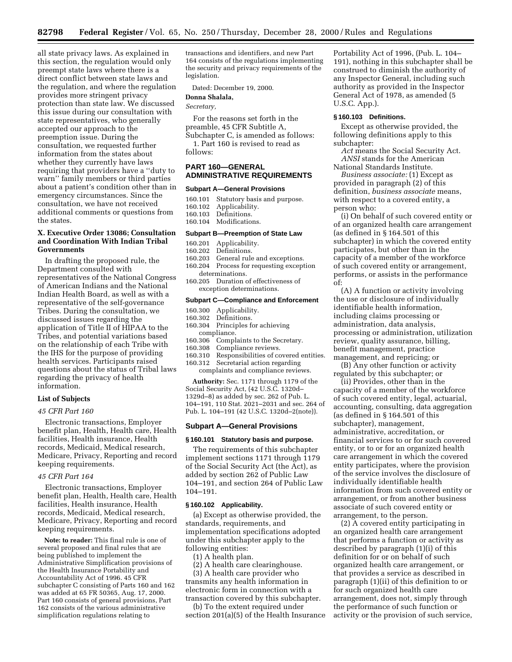all state privacy laws. As explained in this section, the regulation would only preempt state laws where there is a direct conflict between state laws and the regulation, and where the regulation provides more stringent privacy protection than state law. We discussed this issue during our consultation with state representatives, who generally accepted our approach to the preemption issue. During the consultation, we requested further information from the states about whether they currently have laws requiring that providers have a ''duty to warn'' family members or third parties about a patient's condition other than in emergency circumstances. Since the consultation, we have not received additional comments or questions from the states.

# **X. Executive Order 13086; Consultation and Coordination With Indian Tribal Governments**

In drafting the proposed rule, the Department consulted with representatives of the National Congress of American Indians and the National Indian Health Board, as well as with a representative of the self-governance Tribes. During the consultation, we discussed issues regarding the application of Title II of HIPAA to the Tribes, and potential variations based on the relationship of each Tribe with the IHS for the purpose of providing health services. Participants raised questions about the status of Tribal laws regarding the privacy of health information.

# **List of Subjects**

#### *45 CFR Part 160*

Electronic transactions, Employer benefit plan, Health, Health care, Health facilities, Health insurance, Health records, Medicaid, Medical research, Medicare, Privacy, Reporting and record keeping requirements.

#### *45 CFR Part 164*

Electronic transactions, Employer benefit plan, Health, Health care, Health facilities, Health insurance, Health records, Medicaid, Medical research, Medicare, Privacy, Reporting and record keeping requirements.

**Note: to reader:** This final rule is one of several proposed and final rules that are being published to implement the Administrative Simplification provisions of the Health Insurance Portability and Accountability Act of 1996. 45 CFR subchapter C consisting of Parts 160 and 162 was added at 65 FR 50365, Aug. 17, 2000. Part 160 consists of general provisions, Part 162 consists of the various administrative simplification regulations relating to

transactions and identifiers, and new Part 164 consists of the regulations implementing the security and privacy requirements of the legislation.

Dated: December 19, 2000.

# **Donna Shalala,**

*Secretary,*

For the reasons set forth in the preamble, 45 CFR Subtitle A, Subchapter C, is amended as follows: 1. Part 160 is revised to read as

follows:

# **PART 160—GENERAL ADMINISTRATIVE REQUIREMENTS**

#### **Subpart A—General Provisions**

| 160.101 Statutory basis and purpose. |
|--------------------------------------|
| 160.102 Applicability.               |
| 160.103 Definitions.                 |
| 160.104 Modifications.               |

# **Subpart B—Preemption of State Law**

- 160.201 Applicability.
- 160.202 Definitions.
- 160.203 General rule and exceptions. 160.204 Process for requesting exception
- determinations. 160.205 Duration of effectiveness of
- exception determinations.
- **Subpart C—Compliance and Enforcement**
- 
- 160.300 Applicability. Definitions.
- 160.304 Principles for achieving
- compliance.<br>160.306 Compl
- 160.306 Complaints to the Secretary.<br>160.308 Compliance reviews. Compliance reviews.
- 160.310 Responsibilities of covered entities.
- 160.312 Secretarial action regarding complaints and compliance reviews.

**Authority:** Sec. 1171 through 1179 of the Social Security Act, (42 U.S.C. 1320d– 1329d–8) as added by sec. 262 of Pub. L. 104–191, 110 Stat. 2021–2031 and sec. 264 of Pub. L. 104–191 (42 U.S.C. 1320d–2(note)).

# **Subpart A—General Provisions**

# **§ 160.101 Statutory basis and purpose.**

The requirements of this subchapter implement sections 1171 through 1179 of the Social Security Act (the Act), as added by section 262 of Public Law 104–191, and section 264 of Public Law 104–191.

# **§ 160.102 Applicability.**

(a) Except as otherwise provided, the standards, requirements, and implementation specifications adopted under this subchapter apply to the following entities:

(1) A health plan.

(2) A health care clearinghouse.

(3) A health care provider who transmits any health information in electronic form in connection with a transaction covered by this subchapter.

(b) To the extent required under section 201(a)(5) of the Health Insurance Portability Act of 1996, (Pub. L. 104– 191), nothing in this subchapter shall be construed to diminish the authority of any Inspector General, including such authority as provided in the Inspector General Act of 1978, as amended (5 U.S.C. App.).

# **§ 160.103 Definitions.**

Except as otherwise provided, the following definitions apply to this subchapter:

*Act* means the Social Security Act. *ANSI* stands for the American

National Standards Institute. *Business associate:* (1) Except as provided in paragraph (2) of this definition, *business associate* means, with respect to a covered entity, a person who:

(i) On behalf of such covered entity or of an organized health care arrangement (as defined in § 164.501 of this subchapter) in which the covered entity participates, but other than in the capacity of a member of the workforce of such covered entity or arrangement, performs, or assists in the performance of:

(A) A function or activity involving the use or disclosure of individually identifiable health information, including claims processing or administration, data analysis, processing or administration, utilization review, quality assurance, billing, benefit management, practice management, and repricing; or

(B) Any other function or activity regulated by this subchapter; or

(ii) Provides, other than in the capacity of a member of the workforce of such covered entity, legal, actuarial, accounting, consulting, data aggregation (as defined in § 164.501 of this subchapter), management, administrative, accreditation, or financial services to or for such covered entity, or to or for an organized health care arrangement in which the covered entity participates, where the provision of the service involves the disclosure of individually identifiable health information from such covered entity or arrangement, or from another business associate of such covered entity or arrangement, to the person.

(2) A covered entity participating in an organized health care arrangement that performs a function or activity as described by paragraph (1)(i) of this definition for or on behalf of such organized health care arrangement, or that provides a service as described in paragraph (1)(ii) of this definition to or for such organized health care arrangement, does not, simply through the performance of such function or activity or the provision of such service,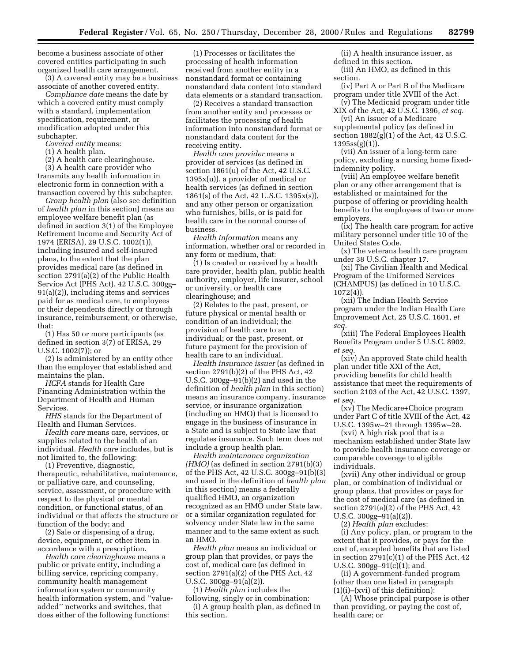become a business associate of other covered entities participating in such organized health care arrangement.

(3) A covered entity may be a business associate of another covered entity.

*Compliance date* means the date by which a covered entity must comply with a standard, implementation specification, requirement, or modification adopted under this subchapter.

*Covered entity* means:

(1) A health plan.

(2) A health care clearinghouse.

(3) A health care provider who transmits any health information in electronic form in connection with a transaction covered by this subchapter.

*Group health plan* (also see definition of *health plan* in this section) means an employee welfare benefit plan (as defined in section 3(1) of the Employee Retirement Income and Security Act of 1974 (ERISA), 29 U.S.C. 1002(1)), including insured and self-insured plans, to the extent that the plan provides medical care (as defined in section 2791(a)(2) of the Public Health Service Act (PHS Act), 42 U.S.C. 300gg– 91(a)(2)), including items and services paid for as medical care, to employees or their dependents directly or through insurance, reimbursement, or otherwise, that:

(1) Has 50 or more participants (as defined in section 3(7) of ERISA, 29 U.S.C. 1002(7)); or

(2) Is administered by an entity other than the employer that established and maintains the plan.

*HCFA* stands for Health Care Financing Administration within the Department of Health and Human Services.

*HHS* stands for the Department of Health and Human Services.

*Health care* means care, services, or supplies related to the health of an individual. *Health care* includes, but is not limited to, the following:

(1) Preventive, diagnostic, therapeutic, rehabilitative, maintenance, or palliative care, and counseling, service, assessment, or procedure with respect to the physical or mental condition, or functional status, of an individual or that affects the structure or function of the body; and

(2) Sale or dispensing of a drug, device, equipment, or other item in accordance with a prescription.

*Health care clearinghouse* means a public or private entity, including a billing service, repricing company, community health management information system or community health information system, and ''valueadded'' networks and switches, that does either of the following functions:

(1) Processes or facilitates the processing of health information received from another entity in a nonstandard format or containing nonstandard data content into standard data elements or a standard transaction.

(2) Receives a standard transaction from another entity and processes or facilitates the processing of health information into nonstandard format or nonstandard data content for the receiving entity.

*Health care provider* means a provider of services (as defined in section 1861(u) of the Act, 42 U.S.C. 1395x(u)), a provider of medical or health services (as defined in section 1861(s) of the Act, 42 U.S.C. 1395x(s)), and any other person or organization who furnishes, bills, or is paid for health care in the normal course of business.

*Health information* means any information, whether oral or recorded in any form or medium, that:

(1) Is created or received by a health care provider, health plan, public health authority, employer, life insurer, school or university, or health care clearinghouse; and

(2) Relates to the past, present, or future physical or mental health or condition of an individual; the provision of health care to an individual; or the past, present, or future payment for the provision of health care to an individual.

*Health insurance issuer* (as defined in section 2791(b)(2) of the PHS Act, 42 U.S.C. 300gg–91(b)(2) and used in the definition of *health plan* in this section) means an insurance company, insurance service, or insurance organization (including an HMO) that is licensed to engage in the business of insurance in a State and is subject to State law that regulates insurance. Such term does not include a group health plan.

*Health maintenance organization (HMO)* (as defined in section 2791(b)(3) of the PHS Act, 42 U.S.C. 300gg–91(b)(3) and used in the definition of *health plan* in this section) means a federally qualified HMO, an organization recognized as an HMO under State law, or a similar organization regulated for solvency under State law in the same manner and to the same extent as such an HMO.

*Health plan* means an individual or group plan that provides, or pays the cost of, medical care (as defined in section 2791(a)(2) of the PHS Act, 42 U.S.C. 300gg–91(a)(2)).

(1) *Health plan* includes the following, singly or in combination:

(i) A group health plan, as defined in this section.

(ii) A health insurance issuer, as defined in this section.

(iii) An HMO, as defined in this section.

(iv) Part A or Part B of the Medicare program under title XVIII of the Act.

(v) The Medicaid program under title XIX of the Act, 42 U.S.C. 1396, *et seq.*

(vi) An issuer of a Medicare supplemental policy (as defined in section 1882(g)(1) of the Act, 42 U.S.C. 1395ss(g)(1)).

(vii) An issuer of a long-term care policy, excluding a nursing home fixedindemnity policy.

(viii) An employee welfare benefit plan or any other arrangement that is established or maintained for the purpose of offering or providing health benefits to the employees of two or more employers.

(ix) The health care program for active military personnel under title 10 of the United States Code.

(x) The veterans health care program under 38 U.S.C. chapter 17.

(xi) The Civilian Health and Medical Program of the Uniformed Services (CHAMPUS) (as defined in 10 U.S.C. 1072(4)).

(xii) The Indian Health Service program under the Indian Health Care Improvement Act, 25 U.S.C. 1601, *et seq.*

(xiii) The Federal Employees Health Benefits Program under 5 U.S.C. 8902, *et seq.*

(xiv) An approved State child health plan under title XXI of the Act, providing benefits for child health assistance that meet the requirements of section 2103 of the Act, 42 U.S.C. 1397, *et seq.*

(xv) The Medicare+Choice program under Part C of title XVIII of the Act, 42 U.S.C. 1395w–21 through 1395w–28.

(xvi) A high risk pool that is a mechanism established under State law to provide health insurance coverage or comparable coverage to eligible individuals.

(xvii) Any other individual or group plan, or combination of individual or group plans, that provides or pays for the cost of medical care (as defined in section 2791(a)(2) of the PHS Act, 42 U.S.C. 300gg–91(a)(2)).

(2) *Health plan* excludes:

(i) Any policy, plan, or program to the extent that it provides, or pays for the cost of, excepted benefits that are listed in section 2791(c)(1) of the PHS Act, 42 U.S.C. 300gg–91(c)(1); and

(ii) A government-funded program (other than one listed in paragraph (1)(i)–(xvi) of this definition):

(A) Whose principal purpose is other than providing, or paying the cost of, health care; or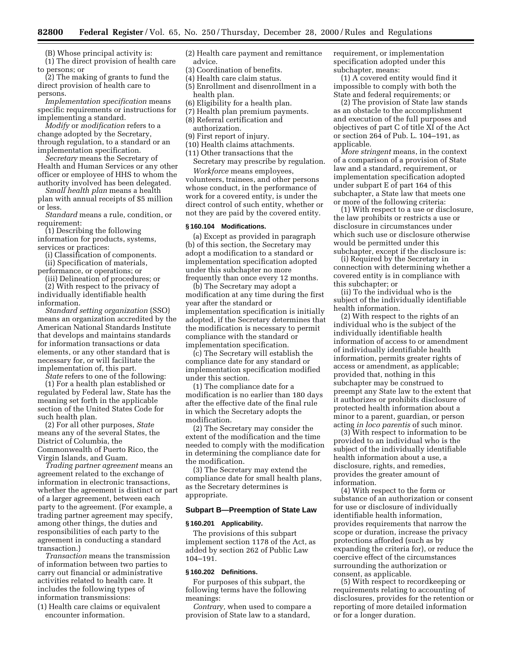(B) Whose principal activity is:

(1) The direct provision of health care to persons; or

(2) The making of grants to fund the direct provision of health care to persons.

*Implementation specification* means specific requirements or instructions for implementing a standard.

*Modify* or *modification* refers to a change adopted by the Secretary, through regulation, to a standard or an implementation specification.

*Secretary* means the Secretary of Health and Human Services or any other officer or employee of HHS to whom the authority involved has been delegated.

*Small health plan* means a health plan with annual receipts of \$5 million or less.

*Standard* means a rule, condition, or requirement:

(1) Describing the following information for products, systems, services or practices:

(i) Classification of components. (ii) Specification of materials,

performance, or operations; or

(iii) Delineation of procedures; or (2) With respect to the privacy of

individually identifiable health information.

*Standard setting organization* (SSO) means an organization accredited by the American National Standards Institute that develops and maintains standards for information transactions or data elements, or any other standard that is necessary for, or will facilitate the implementation of, this part.

*State* refers to one of the following:

(1) For a health plan established or regulated by Federal law, State has the meaning set forth in the applicable section of the United States Code for such health plan.

(2) For all other purposes, *State* means any of the several States, the District of Columbia, the Commonwealth of Puerto Rico, the Virgin Islands, and Guam.

*Trading partner agreement* means an agreement related to the exchange of information in electronic transactions, whether the agreement is distinct or part of a larger agreement, between each party to the agreement. (For example, a trading partner agreement may specify, among other things, the duties and responsibilities of each party to the agreement in conducting a standard transaction.)

*Transaction* means the transmission of information between two parties to carry out financial or administrative activities related to health care. It includes the following types of information transmissions:

(1) Health care claims or equivalent encounter information.

# (2) Health care payment and remittance advice.

- (3) Coordination of benefits.
- (4) Health care claim status.
- (5) Enrollment and disenrollment in a health plan.
- (6) Eligibility for a health plan.
- (7) Health plan premium payments.
- (8) Referral certification and authorization.
- (9) First report of injury.
- (10) Health claims attachments.
- (11) Other transactions that the Secretary may prescribe by regulation.

*Workforce* means employees, volunteers, trainees, and other persons whose conduct, in the performance of work for a covered entity, is under the direct control of such entity, whether or not they are paid by the covered entity.

# **§ 160.104 Modifications.**

(a) Except as provided in paragraph (b) of this section, the Secretary may adopt a modification to a standard or implementation specification adopted under this subchapter no more frequently than once every 12 months.

(b) The Secretary may adopt a modification at any time during the first year after the standard or implementation specification is initially adopted, if the Secretary determines that the modification is necessary to permit compliance with the standard or implementation specification.

(c) The Secretary will establish the compliance date for any standard or implementation specification modified under this section.

(1) The compliance date for a modification is no earlier than 180 days after the effective date of the final rule in which the Secretary adopts the modification.

(2) The Secretary may consider the extent of the modification and the time needed to comply with the modification in determining the compliance date for the modification.

(3) The Secretary may extend the compliance date for small health plans, as the Secretary determines is appropriate.

# **Subpart B—Preemption of State Law**

# **§ 160.201 Applicability.**

The provisions of this subpart implement section 1178 of the Act, as added by section 262 of Public Law 104–191.

# **§ 160.202 Definitions.**

For purposes of this subpart, the following terms have the following meanings:

*Contrary,* when used to compare a provision of State law to a standard,

requirement, or implementation specification adopted under this subchapter, means:

(1) A covered entity would find it impossible to comply with both the State and federal requirements; or

(2) The provision of State law stands as an obstacle to the accomplishment and execution of the full purposes and objectives of part C of title XI of the Act or section 264 of Pub. L. 104–191, as applicable.

*More stringent* means, in the context of a comparison of a provision of State law and a standard, requirement, or implementation specification adopted under subpart E of part 164 of this subchapter, a State law that meets one or more of the following criteria:

(1) With respect to a use or disclosure, the law prohibits or restricts a use or disclosure in circumstances under which such use or disclosure otherwise would be permitted under this subchapter, except if the disclosure is:

(i) Required by the Secretary in connection with determining whether a covered entity is in compliance with this subchapter; or

(ii) To the individual who is the subject of the individually identifiable health information.

(2) With respect to the rights of an individual who is the subject of the individually identifiable health information of access to or amendment of individually identifiable health information, permits greater rights of access or amendment, as applicable; provided that, nothing in this subchapter may be construed to preempt any State law to the extent that it authorizes or prohibits disclosure of protected health information about a minor to a parent, guardian, or person acting *in loco parentis* of such minor.

(3) With respect to information to be provided to an individual who is the subject of the individually identifiable health information about a use, a disclosure, rights, and remedies, provides the greater amount of information.

(4) With respect to the form or substance of an authorization or consent for use or disclosure of individually identifiable health information, provides requirements that narrow the scope or duration, increase the privacy protections afforded (such as by expanding the criteria for), or reduce the coercive effect of the circumstances surrounding the authorization or consent, as applicable.

(5) With respect to recordkeeping or requirements relating to accounting of disclosures, provides for the retention or reporting of more detailed information or for a longer duration.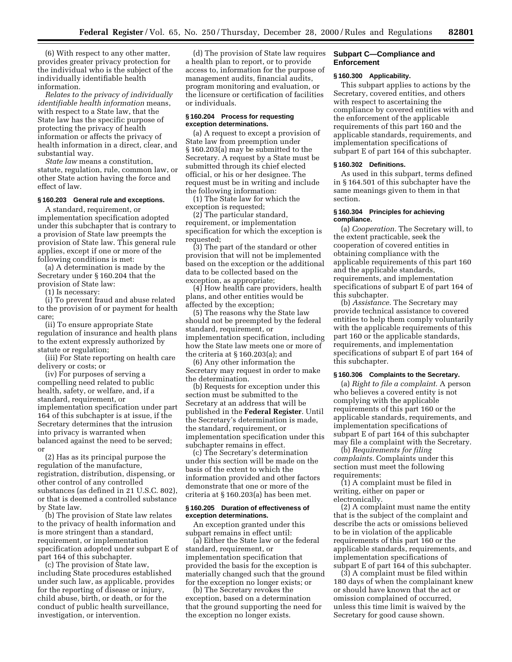(6) With respect to any other matter, provides greater privacy protection for the individual who is the subject of the individually identifiable health information.

*Relates to the privacy of individually identifiable health information* means, with respect to a State law, that the State law has the specific purpose of protecting the privacy of health information or affects the privacy of health information in a direct, clear, and substantial way.

*State law* means a constitution, statute, regulation, rule, common law, or other State action having the force and effect of law.

#### **§ 160.203 General rule and exceptions.**

A standard, requirement, or implementation specification adopted under this subchapter that is contrary to a provision of State law preempts the provision of State law. This general rule applies, except if one or more of the following conditions is met:

(a) A determination is made by the Secretary under § 160.204 that the provision of State law:

(1) Is necessary:

(i) To prevent fraud and abuse related to the provision of or payment for health care;

(ii) To ensure appropriate State regulation of insurance and health plans to the extent expressly authorized by statute or regulation;

(iii) For State reporting on health care delivery or costs; or

(iv) For purposes of serving a compelling need related to public health, safety, or welfare, and, if a standard, requirement, or implementation specification under part 164 of this subchapter is at issue, if the Secretary determines that the intrusion into privacy is warranted when balanced against the need to be served; or

(2) Has as its principal purpose the regulation of the manufacture, registration, distribution, dispensing, or other control of any controlled substances (as defined in 21 U.S.C. 802), or that is deemed a controlled substance by State law.

(b) The provision of State law relates to the privacy of health information and is more stringent than a standard, requirement, or implementation specification adopted under subpart E of part 164 of this subchapter.

(c) The provision of State law, including State procedures established under such law, as applicable, provides for the reporting of disease or injury, child abuse, birth, or death, or for the conduct of public health surveillance, investigation, or intervention.

(d) The provision of State law requires a health plan to report, or to provide access to, information for the purpose of management audits, financial audits, program monitoring and evaluation, or the licensure or certification of facilities or individuals.

#### **§ 160.204 Process for requesting exception determinations.**

(a) A request to except a provision of State law from preemption under § 160.203(a) may be submitted to the Secretary. A request by a State must be submitted through its chief elected official, or his or her designee. The request must be in writing and include the following information:

(1) The State law for which the exception is requested;

(2) The particular standard, requirement, or implementation specification for which the exception is requested;

(3) The part of the standard or other provision that will not be implemented based on the exception or the additional data to be collected based on the exception, as appropriate;

(4) How health care providers, health plans, and other entities would be affected by the exception;

(5) The reasons why the State law should not be preempted by the federal standard, requirement, or implementation specification, including how the State law meets one or more of the criteria at § 160.203(a); and

(6) Any other information the Secretary may request in order to make the determination.

(b) Requests for exception under this section must be submitted to the Secretary at an address that will be published in the **Federal Register**. Until the Secretary's determination is made, the standard, requirement, or implementation specification under this subchapter remains in effect.

(c) The Secretary's determination under this section will be made on the basis of the extent to which the information provided and other factors demonstrate that one or more of the criteria at § 160.203(a) has been met.

# **§ 160.205 Duration of effectiveness of exception determinations.**

An exception granted under this subpart remains in effect until:

(a) Either the State law or the federal standard, requirement, or implementation specification that provided the basis for the exception is materially changed such that the ground for the exception no longer exists; or

(b) The Secretary revokes the exception, based on a determination that the ground supporting the need for the exception no longer exists.

# **Subpart C—Compliance and Enforcement**

# **§ 160.300 Applicability.**

This subpart applies to actions by the Secretary, covered entities, and others with respect to ascertaining the compliance by covered entities with and the enforcement of the applicable requirements of this part 160 and the applicable standards, requirements, and implementation specifications of subpart E of part 164 of this subchapter.

# **§ 160.302 Definitions.**

As used in this subpart, terms defined in § 164.501 of this subchapter have the same meanings given to them in that section.

# **§ 160.304 Principles for achieving compliance.**

(a) *Cooperation.* The Secretary will, to the extent practicable, seek the cooperation of covered entities in obtaining compliance with the applicable requirements of this part 160 and the applicable standards, requirements, and implementation specifications of subpart E of part 164 of this subchapter.

(b) *Assistance.* The Secretary may provide technical assistance to covered entities to help them comply voluntarily with the applicable requirements of this part 160 or the applicable standards, requirements, and implementation specifications of subpart E of part 164 of this subchapter.

#### **§ 160.306 Complaints to the Secretary.**

(a) *Right to file a complaint.* A person who believes a covered entity is not complying with the applicable requirements of this part 160 or the applicable standards, requirements, and implementation specifications of subpart E of part 164 of this subchapter may file a complaint with the Secretary.

(b) *Requirements for filing complaints.* Complaints under this section must meet the following requirements:

(1) A complaint must be filed in writing, either on paper or electronically.

(2) A complaint must name the entity that is the subject of the complaint and describe the acts or omissions believed to be in violation of the applicable requirements of this part 160 or the applicable standards, requirements, and implementation specifications of subpart E of part 164 of this subchapter.

(3) A complaint must be filed within 180 days of when the complainant knew or should have known that the act or omission complained of occurred, unless this time limit is waived by the Secretary for good cause shown.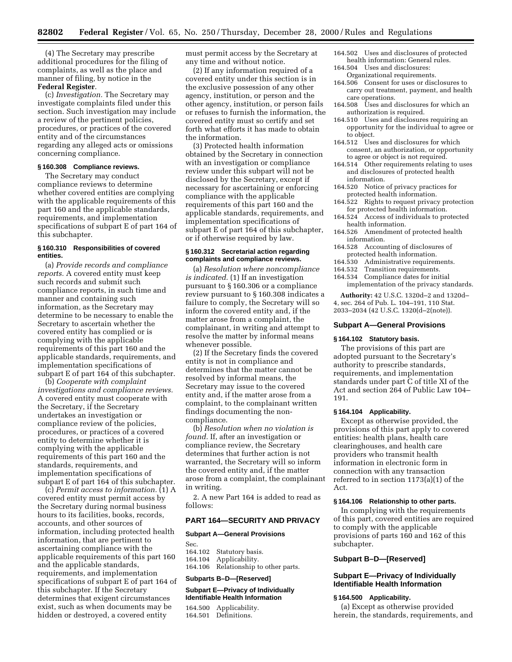(4) The Secretary may prescribe additional procedures for the filing of complaints, as well as the place and manner of filing, by notice in the **Federal Register**.

(c) *Investigation.* The Secretary may investigate complaints filed under this section. Such investigation may include a review of the pertinent policies, procedures, or practices of the covered entity and of the circumstances regarding any alleged acts or omissions concerning compliance.

#### **§ 160.308 Compliance reviews.**

The Secretary may conduct compliance reviews to determine whether covered entities are complying with the applicable requirements of this part 160 and the applicable standards, requirements, and implementation specifications of subpart E of part 164 of this subchapter.

### **§ 160.310 Responsibilities of covered entities.**

(a) *Provide records and compliance reports.* A covered entity must keep such records and submit such compliance reports, in such time and manner and containing such information, as the Secretary may determine to be necessary to enable the Secretary to ascertain whether the covered entity has complied or is complying with the applicable requirements of this part 160 and the applicable standards, requirements, and implementation specifications of subpart E of part 164 of this subchapter.

(b) *Cooperate with complaint investigations and compliance reviews.* A covered entity must cooperate with the Secretary, if the Secretary undertakes an investigation or compliance review of the policies, procedures, or practices of a covered entity to determine whether it is complying with the applicable requirements of this part 160 and the standards, requirements, and implementation specifications of subpart E of part 164 of this subchapter.

(c) *Permit access to information.* (1) A covered entity must permit access by the Secretary during normal business hours to its facilities, books, records, accounts, and other sources of information, including protected health information, that are pertinent to ascertaining compliance with the applicable requirements of this part 160 and the applicable standards, requirements, and implementation specifications of subpart E of part 164 of this subchapter. If the Secretary determines that exigent circumstances exist, such as when documents may be hidden or destroyed, a covered entity

must permit access by the Secretary at any time and without notice.

(2) If any information required of a covered entity under this section is in the exclusive possession of any other agency, institution, or person and the other agency, institution, or person fails or refuses to furnish the information, the covered entity must so certify and set forth what efforts it has made to obtain the information.

(3) Protected health information obtained by the Secretary in connection with an investigation or compliance review under this subpart will not be disclosed by the Secretary, except if necessary for ascertaining or enforcing compliance with the applicable requirements of this part 160 and the applicable standards, requirements, and implementation specifications of subpart E of part 164 of this subchapter, or if otherwise required by law.

# **§ 160.312 Secretarial action regarding complaints and compliance reviews.**

(a) *Resolution where noncompliance is indicated.* (1) If an investigation pursuant to § 160.306 or a compliance review pursuant to § 160.308 indicates a failure to comply, the Secretary will so inform the covered entity and, if the matter arose from a complaint, the complainant, in writing and attempt to resolve the matter by informal means whenever possible.

(2) If the Secretary finds the covered entity is not in compliance and determines that the matter cannot be resolved by informal means, the Secretary may issue to the covered entity and, if the matter arose from a complaint, to the complainant written findings documenting the noncompliance.

(b) *Resolution when no violation is found.* If, after an investigation or compliance review, the Secretary determines that further action is not warranted, the Secretary will so inform the covered entity and, if the matter arose from a complaint, the complainant in writing.

2. A new Part 164 is added to read as follows:

# **PART 164—SECURITY AND PRIVACY**

#### **Subpart A—General Provisions**

Sec.<br>164.102 Statutory basis. 164.104 Applicability. 164.106 Relationship to other parts.

#### **Subparts B–D—[Reserved]**

# **Subpart E—Privacy of Individually Identifiable Health Information**

164.500 Applicability. 164.501 Definitions.

- 164.502 Uses and disclosures of protected health information: General rules.
- 164.504 Uses and disclosures: Organizational requirements.
- 164.506 Consent for uses or disclosures to carry out treatment, payment, and health care operations.
- 164.508 Uses and disclosures for which an authorization is required.
- 164.510 Uses and disclosures requiring an opportunity for the individual to agree or to object.
- 164.512 Uses and disclosures for which consent, an authorization, or opportunity to agree or object is not required.
- 164.514 Other requirements relating to uses and disclosures of protected health information.
- 164.520 Notice of privacy practices for protected health information.
- 164.522 Rights to request privacy protection for protected health information.
- 164.524 Access of individuals to protected health information.
- 164.526 Amendment of protected health information.
- 164.528 Accounting of disclosures of
- protected health information.
- 164.530 Administrative requirements. 164.532 Transition requirements.
- 164.534 Compliance dates for initial implementation of the privacy standards.

**Authority:** 42 U.S.C. 1320d–2 and 1320d– 4, sec. 264 of Pub. L. 104–191, 110 Stat. 2033–2034 (42 U.S.C. 1320(d–2(note)).

# **Subpart A—General Provisions**

# **§ 164.102 Statutory basis.**

The provisions of this part are adopted pursuant to the Secretary's authority to prescribe standards, requirements, and implementation standards under part C of title XI of the Act and section 264 of Public Law 104– 191.

# **§ 164.104 Applicability.**

Except as otherwise provided, the provisions of this part apply to covered entities: health plans, health care clearinghouses, and health care providers who transmit health information in electronic form in connection with any transaction referred to in section 1173(a)(1) of the Act.

# **§ 164.106 Relationship to other parts.**

In complying with the requirements of this part, covered entities are required to comply with the applicable provisions of parts 160 and 162 of this subchapter.

# **Subpart B–D—[Reserved]**

# **Subpart E—Privacy of Individually Identifiable Health Information**

# **§ 164.500 Applicability.**

(a) Except as otherwise provided herein, the standards, requirements, and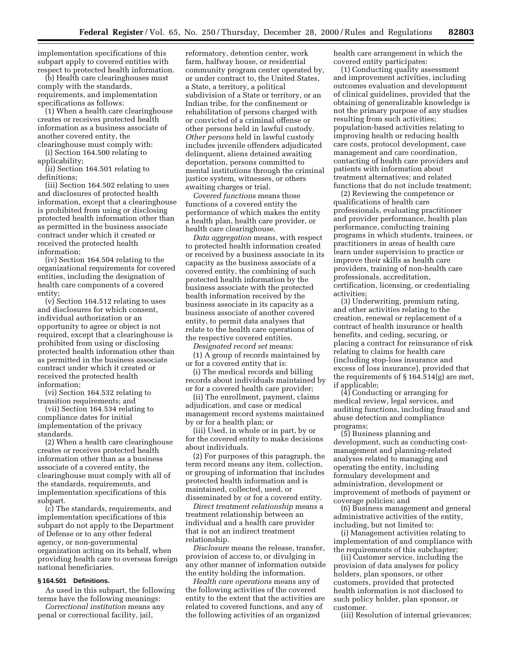implementation specifications of this subpart apply to covered entities with respect to protected health information.

(b) Health care clearinghouses must comply with the standards, requirements, and implementation specifications as follows:

(1) When a health care clearinghouse creates or receives protected health information as a business associate of another covered entity, the clearinghouse must comply with:

(i) Section 164.500 relating to applicability;

(ii) Section 164.501 relating to definitions;

(iii) Section 164.502 relating to uses and disclosures of protected health information, except that a clearinghouse is prohibited from using or disclosing protected health information other than as permitted in the business associate contract under which it created or received the protected health information;

(iv) Section 164.504 relating to the organizational requirements for covered entities, including the designation of health care components of a covered entity;

(v) Section 164.512 relating to uses and disclosures for which consent, individual authorization or an opportunity to agree or object is not required, except that a clearinghouse is prohibited from using or disclosing protected health information other than as permitted in the business associate contract under which it created or received the protected health information;

(vi) Section 164.532 relating to transition requirements; and

(vii) Section 164.534 relating to compliance dates for initial implementation of the privacy standards.

(2) When a health care clearinghouse creates or receives protected health information other than as a business associate of a covered entity, the clearinghouse must comply with all of the standards, requirements, and implementation specifications of this subpart.

(c) The standards, requirements, and implementation specifications of this subpart do not apply to the Department of Defense or to any other federal agency, or non-governmental organization acting on its behalf, when providing health care to overseas foreign national beneficiaries.

# **§ 164.501 Definitions.**

As used in this subpart, the following terms have the following meanings:

*Correctional institution* means any penal or correctional facility, jail,

reformatory, detention center, work farm, halfway house, or residential community program center operated by, or under contract to, the United States, a State, a territory, a political subdivision of a State or territory, or an Indian tribe, for the confinement or rehabilitation of persons charged with or convicted of a criminal offense or other persons held in lawful custody. *Other persons* held in lawful custody includes juvenile offenders adjudicated delinquent, aliens detained awaiting deportation, persons committed to mental institutions through the criminal justice system, witnesses, or others awaiting charges or trial.

*Covered functions* means those functions of a covered entity the performance of which makes the entity a health plan, health care provider, or health care clearinghouse.

*Data aggregation* means, with respect to protected health information created or received by a business associate in its capacity as the business associate of a covered entity, the combining of such protected health information by the business associate with the protected health information received by the business associate in its capacity as a business associate of another covered entity, to permit data analyses that relate to the health care operations of the respective covered entities.

*Designated record set* means:

(1) A group of records maintained by or for a covered entity that is:

(i) The medical records and billing records about individuals maintained by or for a covered health care provider;

(ii) The enrollment, payment, claims adjudication, and case or medical management record systems maintained by or for a health plan; or

(iii) Used, in whole or in part, by or for the covered entity to make decisions about individuals.

(2) For purposes of this paragraph, the term record means any item, collection, or grouping of information that includes protected health information and is maintained, collected, used, or disseminated by or for a covered entity.

*Direct treatment relationship* means a treatment relationship between an individual and a health care provider that is not an indirect treatment relationship.

*Disclosure* means the release, transfer, provision of access to, or divulging in any other manner of information outside the entity holding the information.

*Health care operations* means any of the following activities of the covered entity to the extent that the activities are related to covered functions, and any of the following activities of an organized

health care arrangement in which the covered entity participates:

(1) Conducting quality assessment and improvement activities, including outcomes evaluation and development of clinical guidelines, provided that the obtaining of generalizable knowledge is not the primary purpose of any studies resulting from such activities; population-based activities relating to improving health or reducing health care costs, protocol development, case management and care coordination, contacting of health care providers and patients with information about treatment alternatives; and related functions that do not include treatment;

(2) Reviewing the competence or qualifications of health care professionals, evaluating practitioner and provider performance, health plan performance, conducting training programs in which students, trainees, or practitioners in areas of health care learn under supervision to practice or improve their skills as health care providers, training of non-health care professionals, accreditation, certification, licensing, or credentialing activities;

(3) Underwriting, premium rating, and other activities relating to the creation, renewal or replacement of a contract of health insurance or health benefits, and ceding, securing, or placing a contract for reinsurance of risk relating to claims for health care (including stop-loss insurance and excess of loss insurance), provided that the requirements of § 164.514(g) are met, if applicable;

(4) Conducting or arranging for medical review, legal services, and auditing functions, including fraud and abuse detection and compliance programs;

(5) Business planning and development, such as conducting costmanagement and planning-related analyses related to managing and operating the entity, including formulary development and administration, development or improvement of methods of payment or coverage policies; and

(6) Business management and general administrative activities of the entity, including, but not limited to:

(i) Management activities relating to implementation of and compliance with the requirements of this subchapter;

(ii) Customer service, including the provision of data analyses for policy holders, plan sponsors, or other customers, provided that protected health information is not disclosed to such policy holder, plan sponsor, or customer.

(iii) Resolution of internal grievances;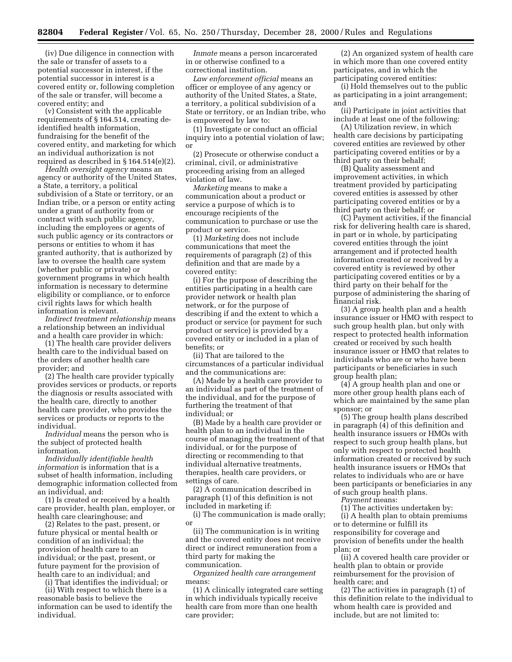(iv) Due diligence in connection with the sale or transfer of assets to a potential successor in interest, if the potential successor in interest is a covered entity or, following completion of the sale or transfer, will become a covered entity; and

(v) Consistent with the applicable requirements of § 164.514, creating deidentified health information, fundraising for the benefit of the covered entity, and marketing for which an individual authorization is not required as described in § 164.514(e)(2).

*Health oversight agency* means an agency or authority of the United States, a State, a territory, a political subdivision of a State or territory, or an Indian tribe, or a person or entity acting under a grant of authority from or contract with such public agency, including the employees or agents of such public agency or its contractors or persons or entities to whom it has granted authority, that is authorized by law to oversee the health care system (whether public or private) or government programs in which health information is necessary to determine eligibility or compliance, or to enforce civil rights laws for which health information is relevant.

*Indirect treatment relationship* means a relationship between an individual and a health care provider in which:

(1) The health care provider delivers health care to the individual based on the orders of another health care provider; and

(2) The health care provider typically provides services or products, or reports the diagnosis or results associated with the health care, directly to another health care provider, who provides the services or products or reports to the individual.

*Individual* means the person who is the subject of protected health information.

*Individually identifiable health information* is information that is a subset of health information, including demographic information collected from an individual, and:

(1) Is created or received by a health care provider, health plan, employer, or health care clearinghouse; and

(2) Relates to the past, present, or future physical or mental health or condition of an individual; the provision of health care to an individual; or the past, present, or future payment for the provision of health care to an individual; and

(i) That identifies the individual; or

(ii) With respect to which there is a reasonable basis to believe the information can be used to identify the individual.

*Inmate* means a person incarcerated in or otherwise confined to a correctional institution.

*Law enforcement official* means an officer or employee of any agency or authority of the United States, a State, a territory, a political subdivision of a State or territory, or an Indian tribe, who is empowered by law to:

(1) Investigate or conduct an official inquiry into a potential violation of law; or

(2) Prosecute or otherwise conduct a criminal, civil, or administrative proceeding arising from an alleged violation of law.

*Marketing* means to make a communication about a product or service a purpose of which is to encourage recipients of the communication to purchase or use the product or service.

(1) *Marketing* does not include communications that meet the requirements of paragraph (2) of this definition and that are made by a covered entity:

(i) For the purpose of describing the entities participating in a health care provider network or health plan network, or for the purpose of describing if and the extent to which a product or service (or payment for such product or service) is provided by a covered entity or included in a plan of benefits; or

(ii) That are tailored to the circumstances of a particular individual and the communications are:

(A) Made by a health care provider to an individual as part of the treatment of the individual, and for the purpose of furthering the treatment of that individual; or

(B) Made by a health care provider or health plan to an individual in the course of managing the treatment of that individual, or for the purpose of directing or recommending to that individual alternative treatments, therapies, health care providers, or settings of care.

(2) A communication described in paragraph (1) of this definition is not included in marketing if:

(i) The communication is made orally; or

(ii) The communication is in writing and the covered entity does not receive direct or indirect remuneration from a third party for making the communication.

*Organized health care arrangement* means:

(1) A clinically integrated care setting in which individuals typically receive health care from more than one health care provider;

(2) An organized system of health care in which more than one covered entity participates, and in which the participating covered entities:

(i) Hold themselves out to the public as participating in a joint arrangement; and

(ii) Participate in joint activities that include at least one of the following:

(A) Utilization review, in which health care decisions by participating covered entities are reviewed by other participating covered entities or by a third party on their behalf;

(B) Quality assessment and improvement activities, in which treatment provided by participating covered entities is assessed by other participating covered entities or by a third party on their behalf; or

(C) Payment activities, if the financial risk for delivering health care is shared, in part or in whole, by participating covered entities through the joint arrangement and if protected health information created or received by a covered entity is reviewed by other participating covered entities or by a third party on their behalf for the purpose of administering the sharing of financial risk.

(3) A group health plan and a health insurance issuer or HMO with respect to such group health plan, but only with respect to protected health information created or received by such health insurance issuer or HMO that relates to individuals who are or who have been participants or beneficiaries in such group health plan;

(4) A group health plan and one or more other group health plans each of which are maintained by the same plan sponsor; or

(5) The group health plans described in paragraph (4) of this definition and health insurance issuers or HMOs with respect to such group health plans, but only with respect to protected health information created or received by such health insurance issuers or HMOs that relates to individuals who are or have been participants or beneficiaries in any of such group health plans.

*Payment* means:

(1) The activities undertaken by:

(i) A health plan to obtain premiums or to determine or fulfill its responsibility for coverage and provision of benefits under the health plan; or

(ii) A covered health care provider or health plan to obtain or provide reimbursement for the provision of health care; and

(2) The activities in paragraph (1) of this definition relate to the individual to whom health care is provided and include, but are not limited to: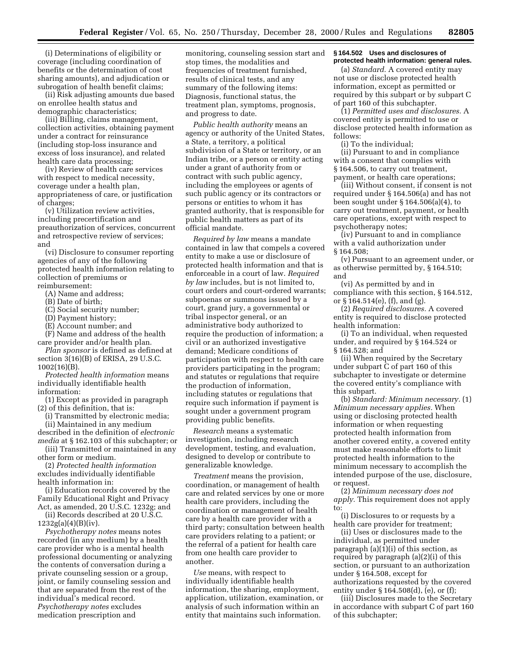(i) Determinations of eligibility or coverage (including coordination of benefits or the determination of cost sharing amounts), and adjudication or subrogation of health benefit claims;

(ii) Risk adjusting amounts due based on enrollee health status and demographic characteristics;

(iii) Billing, claims management, collection activities, obtaining payment under a contract for reinsurance (including stop-loss insurance and excess of loss insurance), and related health care data processing;

(iv) Review of health care services with respect to medical necessity, coverage under a health plan, appropriateness of care, or justification of charges;

(v) Utilization review activities, including precertification and preauthorization of services, concurrent and retrospective review of services; and

(vi) Disclosure to consumer reporting agencies of any of the following protected health information relating to collection of premiums or reimbursement:

(A) Name and address;

(B) Date of birth;

(C) Social security number;

(D) Payment history;

(E) Account number; and

(F) Name and address of the health

care provider and/or health plan.

*Plan sponsor* is defined as defined at section 3(16)(B) of ERISA, 29 U.S.C. 1002(16)(B).

*Protected health information* means individually identifiable health information:

(1) Except as provided in paragraph (2) of this definition, that is:

(i) Transmitted by electronic media;

(ii) Maintained in any medium described in the definition of *electronic*

*media* at § 162.103 of this subchapter; or (iii) Transmitted or maintained in any other form or medium.

(2) *Protected health information* excludes individually identifiable health information in:

(i) Education records covered by the Family Educational Right and Privacy Act, as amended, 20 U.S.C. 1232g; and

(ii) Records described at 20 U.S.C. 1232g(a)(4)(B)(iv).

*Psychotherapy notes* means notes recorded (in any medium) by a health care provider who is a mental health professional documenting or analyzing the contents of conversation during a private counseling session or a group, joint, or family counseling session and that are separated from the rest of the individual's medical record. *Psychotherapy notes* excludes medication prescription and

monitoring, counseling session start and stop times, the modalities and frequencies of treatment furnished, results of clinical tests, and any summary of the following items: Diagnosis, functional status, the treatment plan, symptoms, prognosis, and progress to date.

*Public health authority* means an agency or authority of the United States, a State, a territory, a political subdivision of a State or territory, or an Indian tribe, or a person or entity acting under a grant of authority from or contract with such public agency, including the employees or agents of such public agency or its contractors or persons or entities to whom it has granted authority, that is responsible for public health matters as part of its official mandate.

*Required by law* means a mandate contained in law that compels a covered entity to make a use or disclosure of protected health information and that is enforceable in a court of law. *Required by law* includes, but is not limited to, court orders and court-ordered warrants; subpoenas or summons issued by a court, grand jury, a governmental or tribal inspector general, or an administrative body authorized to require the production of information; a civil or an authorized investigative demand; Medicare conditions of participation with respect to health care providers participating in the program; and statutes or regulations that require the production of information, including statutes or regulations that require such information if payment is sought under a government program providing public benefits.

*Research* means a systematic investigation, including research development, testing, and evaluation, designed to develop or contribute to generalizable knowledge.

*Treatment* means the provision, coordination, or management of health care and related services by one or more health care providers, including the coordination or management of health care by a health care provider with a third party; consultation between health care providers relating to a patient; or the referral of a patient for health care from one health care provider to another.

*Use* means, with respect to individually identifiable health information, the sharing, employment, application, utilization, examination, or analysis of such information within an entity that maintains such information.

# **§ 164.502 Uses and disclosures of protected health information: general rules.**

(a) *Standard.* A covered entity may not use or disclose protected health information, except as permitted or required by this subpart or by subpart C of part 160 of this subchapter.

(1) *Permitted uses and disclosures.* A covered entity is permitted to use or disclose protected health information as follows:

(i) To the individual;

(ii) Pursuant to and in compliance with a consent that complies with § 164.506, to carry out treatment, payment, or health care operations;

(iii) Without consent, if consent is not required under § 164.506(a) and has not been sought under § 164.506(a)(4), to carry out treatment, payment, or health care operations, except with respect to psychotherapy notes;

(iv) Pursuant to and in compliance with a valid authorization under § 164.508;

(v) Pursuant to an agreement under, or as otherwise permitted by, § 164.510; and

(vi) As permitted by and in compliance with this section, § 164.512, or § 164.514(e), (f), and (g).

(2) *Required disclosures.* A covered entity is required to disclose protected health information:

(i) To an individual, when requested under, and required by § 164.524 or § 164.528; and

(ii) When required by the Secretary under subpart C of part 160 of this subchapter to investigate or determine the covered entity's compliance with this subpart.

(b) *Standard: Minimum necessary.* (1) *Minimum necessary applies.* When using or disclosing protected health information or when requesting protected health information from another covered entity, a covered entity must make reasonable efforts to limit protected health information to the minimum necessary to accomplish the intended purpose of the use, disclosure, or request.

(2) *Minimum necessary does not apply.* This requirement does not apply to:

(i) Disclosures to or requests by a health care provider for treatment;

(ii) Uses or disclosures made to the individual, as permitted under paragraph (a)(1)(i) of this section, as required by paragraph (a)(2)(i) of this section, or pursuant to an authorization under § 164.508, except for authorizations requested by the covered entity under § 164.508(d), (e), or (f);

(iii) Disclosures made to the Secretary in accordance with subpart C of part 160 of this subchapter;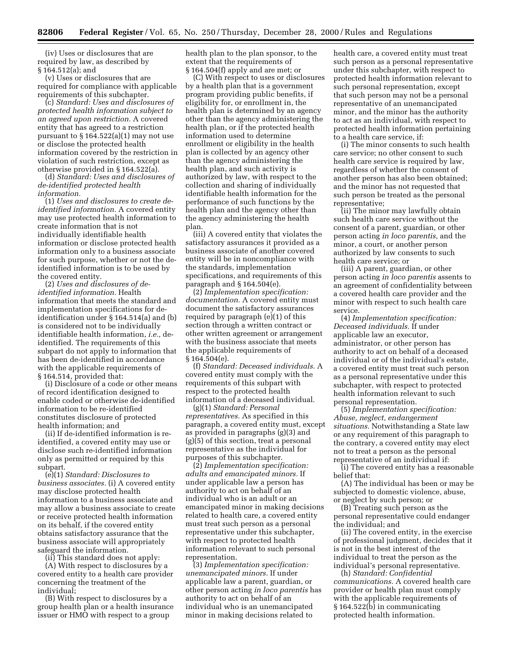(iv) Uses or disclosures that are required by law, as described by § 164.512(a); and

(v) Uses or disclosures that are required for compliance with applicable requirements of this subchapter.

(c) *Standard: Uses and disclosures of protected health information subject to an agreed upon restriction.* A covered entity that has agreed to a restriction pursuant to  $\S 164.522(a)(1)$  may not use or disclose the protected health information covered by the restriction in violation of such restriction, except as otherwise provided in § 164.522(a).

(d) *Standard: Uses and disclosures of de-identified protected health information.*

(1) *Uses and disclosures to create deidentified information.* A covered entity may use protected health information to create information that is not individually identifiable health information or disclose protected health information only to a business associate for such purpose, whether or not the deidentified information is to be used by the covered entity.

(2) *Uses and disclosures of deidentified information.* Health information that meets the standard and implementation specifications for deidentification under § 164.514(a) and (b) is considered not to be individually identifiable health information, *i.e.,* deidentified. The requirements of this subpart do not apply to information that has been de-identified in accordance with the applicable requirements of § 164.514, provided that:

(i) Disclosure of a code or other means of record identification designed to enable coded or otherwise de-identified information to be re-identified constitutes disclosure of protected health information; and

(ii) If de-identified information is reidentified, a covered entity may use or disclose such re-identified information only as permitted or required by this subpart.

(e)(1) *Standard: Disclosures to business associates.* (i) A covered entity may disclose protected health information to a business associate and may allow a business associate to create or receive protected health information on its behalf, if the covered entity obtains satisfactory assurance that the business associate will appropriately safeguard the information.

(ii) This standard does not apply:

(A) With respect to disclosures by a covered entity to a health care provider concerning the treatment of the individual;

(B) With respect to disclosures by a group health plan or a health insurance issuer or HMO with respect to a group

health plan to the plan sponsor, to the extent that the requirements of § 164.504(f) apply and are met; or

(C) With respect to uses or disclosures by a health plan that is a government program providing public benefits, if eligibility for, or enrollment in, the health plan is determined by an agency other than the agency administering the health plan, or if the protected health information used to determine enrollment or eligibility in the health plan is collected by an agency other than the agency administering the health plan, and such activity is authorized by law, with respect to the collection and sharing of individually identifiable health information for the performance of such functions by the health plan and the agency other than the agency administering the health plan.

(iii) A covered entity that violates the satisfactory assurances it provided as a business associate of another covered entity will be in noncompliance with the standards, implementation specifications, and requirements of this paragraph and § 164.504(e).

(2) *Implementation specification: documentation.* A covered entity must document the satisfactory assurances required by paragraph (e)(1) of this section through a written contract or other written agreement or arrangement with the business associate that meets the applicable requirements of § 164.504(e).

(f) *Standard: Deceased individuals.* A covered entity must comply with the requirements of this subpart with respect to the protected health information of a deceased individual.

(g)(1) *Standard: Personal representatives.* As specified in this paragraph, a covered entity must, except as provided in paragraphs (g)(3) and (g)(5) of this section, treat a personal representative as the individual for purposes of this subchapter.

(2) *Implementation specification: adults and emancipated minors.* If under applicable law a person has authority to act on behalf of an individual who is an adult or an emancipated minor in making decisions related to health care, a covered entity must treat such person as a personal representative under this subchapter, with respect to protected health information relevant to such personal representation.

(3) *Implementation specification: unemancipated minors.* If under applicable law a parent, guardian, or other person acting *in loco parentis* has authority to act on behalf of an individual who is an unemancipated minor in making decisions related to

health care, a covered entity must treat such person as a personal representative under this subchapter, with respect to protected health information relevant to such personal representation, except that such person may not be a personal representative of an unemancipated minor, and the minor has the authority to act as an individual, with respect to protected health information pertaining to a health care service, if:

(i) The minor consents to such health care service; no other consent to such health care service is required by law, regardless of whether the consent of another person has also been obtained; and the minor has not requested that such person be treated as the personal representative;

(ii) The minor may lawfully obtain such health care service without the consent of a parent, guardian, or other person acting *in loco parentis,* and the minor, a court, or another person authorized by law consents to such health care service; or

(iii) A parent, guardian, or other person acting *in loco parentis* assents to an agreement of confidentiality between a covered health care provider and the minor with respect to such health care service.

(4) *Implementation specification: Deceased individuals.* If under applicable law an executor, administrator, or other person has authority to act on behalf of a deceased individual or of the individual's estate, a covered entity must treat such person as a personal representative under this subchapter, with respect to protected health information relevant to such personal representation.

(5) *Implementation specification: Abuse, neglect, endangerment situations.* Notwithstanding a State law or any requirement of this paragraph to the contrary, a covered entity may elect not to treat a person as the personal representative of an individual if:

(i) The covered entity has a reasonable belief that:

(A) The individual has been or may be subjected to domestic violence, abuse, or neglect by such person; or

(B) Treating such person as the personal representative could endanger the individual; and

(ii) The covered entity, in the exercise of professional judgment, decides that it is not in the best interest of the individual to treat the person as the individual's personal representative.

(h) *Standard: Confidential communications.* A covered health care provider or health plan must comply with the applicable requirements of § 164.522(b) in communicating protected health information.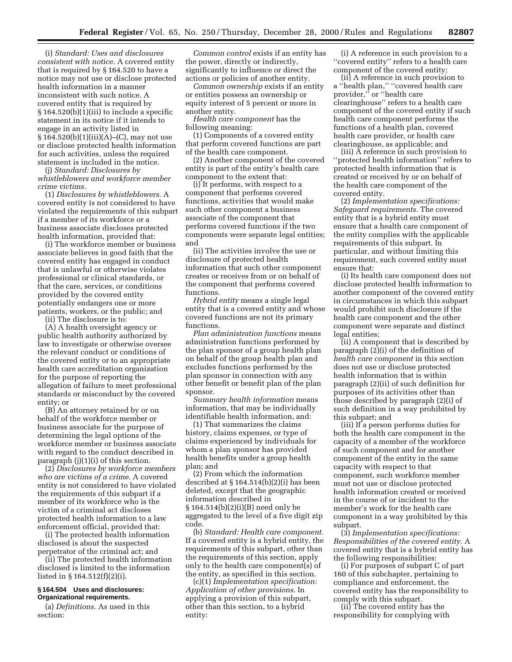(i) *Standard: Uses and disclosures consistent with notice.* A covered entity that is required by § 164.520 to have a notice may not use or disclose protected health information in a manner inconsistent with such notice. A covered entity that is required by § 164.520(b)(1)(iii) to include a specific statement in its notice if it intends to engage in an activity listed in § 164.520(b)(1)(iii)(A)–(C), may not use or disclose protected health information for such activities, unless the required statement is included in the notice.

(j) *Standard: Disclosures by whistleblowers and workforce member crime victims.*

(1) *Disclosures by whistleblowers.* A covered entity is not considered to have violated the requirements of this subpart if a member of its workforce or a business associate discloses protected health information, provided that:

(i) The workforce member or business associate believes in good faith that the covered entity has engaged in conduct that is unlawful or otherwise violates professional or clinical standards, or that the care, services, or conditions provided by the covered entity potentially endangers one or more patients, workers, or the public; and (ii) The disclosure is to:

(A) A health oversight agency or public health authority authorized by law to investigate or otherwise oversee the relevant conduct or conditions of the covered entity or to an appropriate health care accreditation organization for the purpose of reporting the allegation of failure to meet professional standards or misconduct by the covered entity; or

(B) An attorney retained by or on behalf of the workforce member or business associate for the purpose of determining the legal options of the workforce member or business associate with regard to the conduct described in paragraph (j)(1)(i) of this section.

(2) *Disclosures by workforce members who are victims of a crime.* A covered entity is not considered to have violated the requirements of this subpart if a member of its workforce who is the victim of a criminal act discloses protected health information to a law enforcement official, provided that:

(i) The protected health information disclosed is about the suspected perpetrator of the criminal act; and

(ii) The protected health information disclosed is limited to the information listed in § 164.512(f)(2)(i).

# **§ 164.504 Uses and disclosures: Organizational requirements.**

(a) *Definitions.* As used in this section:

*Common control* exists if an entity has the power, directly or indirectly, significantly to influence or direct the actions or policies of another entity.

*Common ownership* exists if an entity or entities possess an ownership or equity interest of 5 percent or more in another entity.

*Health care component* has the following meaning:

(1) Components of a covered entity that perform covered functions are part of the health care component.

(2) Another component of the covered entity is part of the entity's health care component to the extent that:

(i) It performs, with respect to a component that performs covered functions, activities that would make such other component a business associate of the component that performs covered functions if the two components were separate legal entities; and

(ii) The activities involve the use or disclosure of protected health information that such other component creates or receives from or on behalf of the component that performs covered functions.

*Hybrid entity* means a single legal entity that is a covered entity and whose covered functions are not its primary functions.

*Plan administration functions* means administration functions performed by the plan sponsor of a group health plan on behalf of the group health plan and excludes functions performed by the plan sponsor in connection with any other benefit or benefit plan of the plan sponsor.

*Summary health information* means information, that may be individually identifiable health information, and:

(1) That summarizes the claims history, claims expenses, or type of claims experienced by individuals for whom a plan sponsor has provided health benefits under a group health plan; and

(2) From which the information described at § 164.514(b)(2)(i) has been deleted, except that the geographic information described in § 164.514(b)(2)(i)(B) need only be aggregated to the level of a five digit zip code.

(b) *Standard: Health care component.* If a covered entity is a hybrid entity, the requirements of this subpart, other than the requirements of this section, apply only to the health care component(s) of the entity, as specified in this section.

(c)(1) *Implementation specification: Application of other provisions.* In applying a provision of this subpart, other than this section, to a hybrid entity:

(i) A reference in such provision to a ''covered entity'' refers to a health care component of the covered entity;

(ii) A reference in such provision to a ''health plan,'' ''covered health care provider,'' or ''health care clearinghouse'' refers to a health care component of the covered entity if such health care component performs the functions of a health plan, covered health care provider, or health care clearinghouse, as applicable; and

(iii) A reference in such provision to ''protected health information'' refers to protected health information that is created or received by or on behalf of the health care component of the covered entity.

(2) *Implementation specifications: Safeguard requirements.* The covered entity that is a hybrid entity must ensure that a health care component of the entity complies with the applicable requirements of this subpart. In particular, and without limiting this requirement, such covered entity must ensure that:

(i) Its health care component does not disclose protected health information to another component of the covered entity in circumstances in which this subpart would prohibit such disclosure if the health care component and the other component were separate and distinct legal entities;

(ii) A component that is described by paragraph (2)(i) of the definition of *health care component* in this section does not use or disclose protected health information that is within paragraph (2)(ii) of such definition for purposes of its activities other than those described by paragraph (2)(i) of such definition in a way prohibited by this subpart; and

(iii) If a person performs duties for both the health care component in the capacity of a member of the workforce of such component and for another component of the entity in the same capacity with respect to that component, such workforce member must not use or disclose protected health information created or received in the course of or incident to the member's work for the health care component in a way prohibited by this subpart.

(3) *Implementation specifications: Responsibilities of the covered entity.* A covered entity that is a hybrid entity has the following responsibilities:

(i) For purposes of subpart C of part 160 of this subchapter, pertaining to compliance and enforcement, the covered entity has the responsibility to comply with this subpart.

(ii) The covered entity has the responsibility for complying with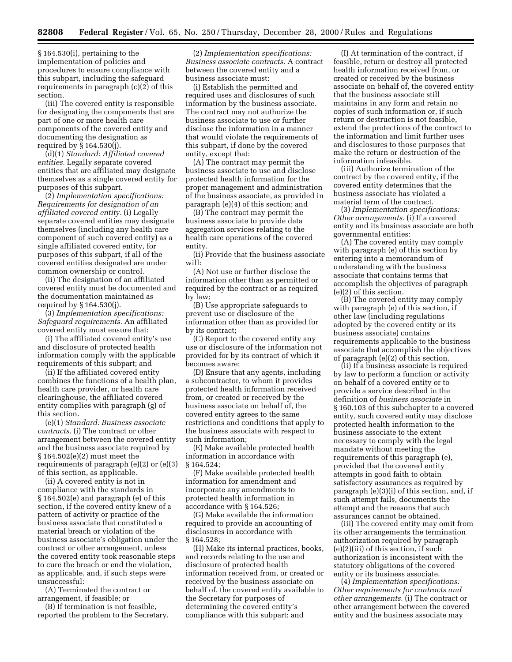§ 164.530(i), pertaining to the implementation of policies and procedures to ensure compliance with this subpart, including the safeguard requirements in paragraph (c)(2) of this section.

(iii) The covered entity is responsible for designating the components that are part of one or more health care components of the covered entity and documenting the designation as required by § 164.530(j).

(d)(1) *Standard: Affiliated covered entities.* Legally separate covered entities that are affiliated may designate themselves as a single covered entity for purposes of this subpart.

(2) *Implementation specifications: Requirements for designation of an affiliated covered entity.* (i) Legally separate covered entities may designate themselves (including any health care component of such covered entity) as a single affiliated covered entity, for purposes of this subpart, if all of the covered entities designated are under common ownership or control.

(ii) The designation of an affiliated covered entity must be documented and the documentation maintained as required by § 164.530(j).

(3) *Implementation specifications: Safeguard requirements.* An affiliated covered entity must ensure that:

(i) The affiliated covered entity's use and disclosure of protected health information comply with the applicable requirements of this subpart; and

(ii) If the affiliated covered entity combines the functions of a health plan, health care provider, or health care clearinghouse, the affiliated covered entity complies with paragraph (g) of this section.

(e)(1) *Standard: Business associate contracts.* (i) The contract or other arrangement between the covered entity and the business associate required by § 164.502(e)(2) must meet the requirements of paragraph (e)(2) or (e)(3) of this section, as applicable.

(ii) A covered entity is not in compliance with the standards in § 164.502(e) and paragraph (e) of this section, if the covered entity knew of a pattern of activity or practice of the business associate that constituted a material breach or violation of the business associate's obligation under the contract or other arrangement, unless the covered entity took reasonable steps to cure the breach or end the violation, as applicable, and, if such steps were unsuccessful:

(A) Terminated the contract or arrangement, if feasible; or

(B) If termination is not feasible, reported the problem to the Secretary.

(2) *Implementation specifications: Business associate contracts.* A contract between the covered entity and a business associate must:

(i) Establish the permitted and required uses and disclosures of such information by the business associate. The contract may not authorize the business associate to use or further disclose the information in a manner that would violate the requirements of this subpart, if done by the covered entity, except that:

(A) The contract may permit the business associate to use and disclose protected health information for the proper management and administration of the business associate, as provided in paragraph (e)(4) of this section; and

(B) The contract may permit the business associate to provide data aggregation services relating to the health care operations of the covered entity.

(ii) Provide that the business associate will:

(A) Not use or further disclose the information other than as permitted or required by the contract or as required by law;

(B) Use appropriate safeguards to prevent use or disclosure of the information other than as provided for by its contract;

(C) Report to the covered entity any use or disclosure of the information not provided for by its contract of which it becomes aware;

(D) Ensure that any agents, including a subcontractor, to whom it provides protected health information received from, or created or received by the business associate on behalf of, the covered entity agrees to the same restrictions and conditions that apply to the business associate with respect to such information;

(E) Make available protected health information in accordance with § 164.524;

(F) Make available protected health information for amendment and incorporate any amendments to protected health information in accordance with § 164.526;

(G) Make available the information required to provide an accounting of disclosures in accordance with § 164.528;

(H) Make its internal practices, books, and records relating to the use and disclosure of protected health information received from, or created or received by the business associate on behalf of, the covered entity available to the Secretary for purposes of determining the covered entity's compliance with this subpart; and

(I) At termination of the contract, if feasible, return or destroy all protected health information received from, or created or received by the business associate on behalf of, the covered entity that the business associate still maintains in any form and retain no copies of such information or, if such return or destruction is not feasible, extend the protections of the contract to the information and limit further uses and disclosures to those purposes that make the return or destruction of the information infeasible.

(iii) Authorize termination of the contract by the covered entity, if the covered entity determines that the business associate has violated a material term of the contract.

(3) *Implementation specifications: Other arrangements.* (i) If a covered entity and its business associate are both governmental entities:

(A) The covered entity may comply with paragraph (e) of this section by entering into a memorandum of understanding with the business associate that contains terms that accomplish the objectives of paragraph (e)(2) of this section.

(B) The covered entity may comply with paragraph (e) of this section, if other law (including regulations adopted by the covered entity or its business associate) contains requirements applicable to the business associate that accomplish the objectives of paragraph (e)(2) of this section.

(ii) If a business associate is required by law to perform a function or activity on behalf of a covered entity or to provide a service described in the definition of *business associate* in § 160.103 of this subchapter to a covered entity, such covered entity may disclose protected health information to the business associate to the extent necessary to comply with the legal mandate without meeting the requirements of this paragraph (e), provided that the covered entity attempts in good faith to obtain satisfactory assurances as required by paragraph (e)(3)(i) of this section, and, if such attempt fails, documents the attempt and the reasons that such assurances cannot be obtained.

(iii) The covered entity may omit from its other arrangements the termination authorization required by paragraph (e)(2)(iii) of this section, if such authorization is inconsistent with the statutory obligations of the covered entity or its business associate.

(4) *Implementation specifications: Other requirements for contracts and other arrangements.* (i) The contract or other arrangement between the covered entity and the business associate may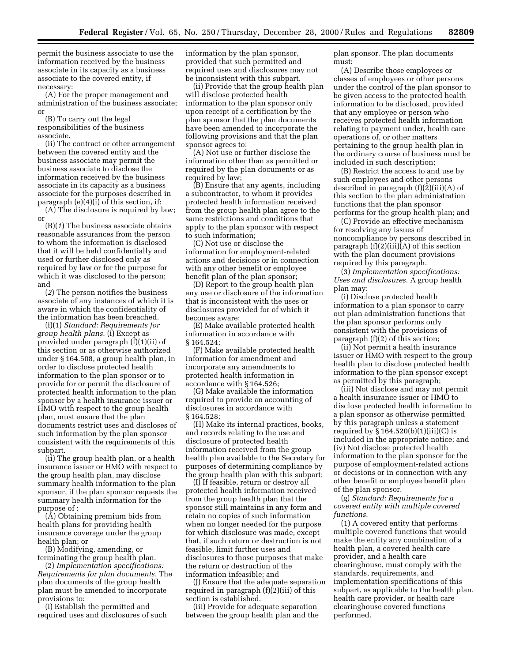permit the business associate to use the information received by the business associate in its capacity as a business associate to the covered entity, if necessary:

(A) For the proper management and administration of the business associate; or

(B) To carry out the legal responsibilities of the business associate.

(ii) The contract or other arrangement between the covered entity and the business associate may permit the business associate to disclose the information received by the business associate in its capacity as a business associate for the purposes described in paragraph (e)(4)(i) of this section, if:

(A) The disclosure is required by law; or

(B)(*1*) The business associate obtains reasonable assurances from the person to whom the information is disclosed that it will be held confidentially and used or further disclosed only as required by law or for the purpose for which it was disclosed to the person; and

(*2*) The person notifies the business associate of any instances of which it is aware in which the confidentiality of the information has been breached.

(f)(1) *Standard: Requirements for group health plans.* (i) Except as provided under paragraph (f)(1)(ii) of this section or as otherwise authorized under § 164.508, a group health plan, in order to disclose protected health information to the plan sponsor or to provide for or permit the disclosure of protected health information to the plan sponsor by a health insurance issuer or HMO with respect to the group health plan, must ensure that the plan documents restrict uses and discloses of such information by the plan sponsor consistent with the requirements of this subpart.

(ii) The group health plan, or a health insurance issuer or HMO with respect to the group health plan, may disclose summary health information to the plan sponsor, if the plan sponsor requests the summary health information for the purpose of :

(A) Obtaining premium bids from health plans for providing health insurance coverage under the group health plan; or

(B) Modifying, amending, or terminating the group health plan.

(2) *Implementation specifications: Requirements for plan documents.* The plan documents of the group health plan must be amended to incorporate provisions to:

(i) Establish the permitted and required uses and disclosures of such information by the plan sponsor, provided that such permitted and required uses and disclosures may not be inconsistent with this subpart.

(ii) Provide that the group health plan will disclose protected health information to the plan sponsor only upon receipt of a certification by the plan sponsor that the plan documents have been amended to incorporate the following provisions and that the plan sponsor agrees to:

(A) Not use or further disclose the information other than as permitted or required by the plan documents or as required by law;

(B) Ensure that any agents, including a subcontractor, to whom it provides protected health information received from the group health plan agree to the same restrictions and conditions that apply to the plan sponsor with respect to such information;

(C) Not use or disclose the information for employment-related actions and decisions or in connection with any other benefit or employee benefit plan of the plan sponsor;

(D) Report to the group health plan any use or disclosure of the information that is inconsistent with the uses or disclosures provided for of which it becomes aware;

(E) Make available protected health information in accordance with § 164.524;

(F) Make available protected health information for amendment and incorporate any amendments to protected health information in accordance with § 164.526;

(G) Make available the information required to provide an accounting of disclosures in accordance with § 164.528;

(H) Make its internal practices, books, and records relating to the use and disclosure of protected health information received from the group health plan available to the Secretary for purposes of determining compliance by the group health plan with this subpart;

(I) If feasible, return or destroy all protected health information received from the group health plan that the sponsor still maintains in any form and retain no copies of such information when no longer needed for the purpose for which disclosure was made, except that, if such return or destruction is not feasible, limit further uses and disclosures to those purposes that make the return or destruction of the information infeasible; and

(J) Ensure that the adequate separation required in paragraph (f)(2)(iii) of this section is established.

(iii) Provide for adequate separation between the group health plan and the plan sponsor. The plan documents must:

(A) Describe those employees or classes of employees or other persons under the control of the plan sponsor to be given access to the protected health information to be disclosed, provided that any employee or person who receives protected health information relating to payment under, health care operations of, or other matters pertaining to the group health plan in the ordinary course of business must be included in such description;

(B) Restrict the access to and use by such employees and other persons described in paragraph (f)(2)(iii)(A) of this section to the plan administration functions that the plan sponsor performs for the group health plan; and

(C) Provide an effective mechanism for resolving any issues of noncompliance by persons described in paragraph  $(f)(2)(iii)(A)$  of this section with the plan document provisions required by this paragraph.

(3) *Implementation specifications: Uses and disclosures.* A group health plan may:

(i) Disclose protected health information to a plan sponsor to carry out plan administration functions that the plan sponsor performs only consistent with the provisions of paragraph (f)(2) of this section;

(ii) Not permit a health insurance issuer or HMO with respect to the group health plan to disclose protected health information to the plan sponsor except as permitted by this paragraph;

(iii) Not disclose and may not permit a health insurance issuer or HMO to disclose protected health information to a plan sponsor as otherwise permitted by this paragraph unless a statement required by  $§ 164.520(b)(1)(iii)(C)$  is included in the appropriate notice; and (iv) Not disclose protected health information to the plan sponsor for the purpose of employment-related actions or decisions or in connection with any other benefit or employee benefit plan of the plan sponsor.

(g) *Standard: Requirements for a covered entity with multiple covered functions.*

(1) A covered entity that performs multiple covered functions that would make the entity any combination of a health plan, a covered health care provider, and a health care clearinghouse, must comply with the standards, requirements, and implementation specifications of this subpart, as applicable to the health plan, health care provider, or health care clearinghouse covered functions performed.